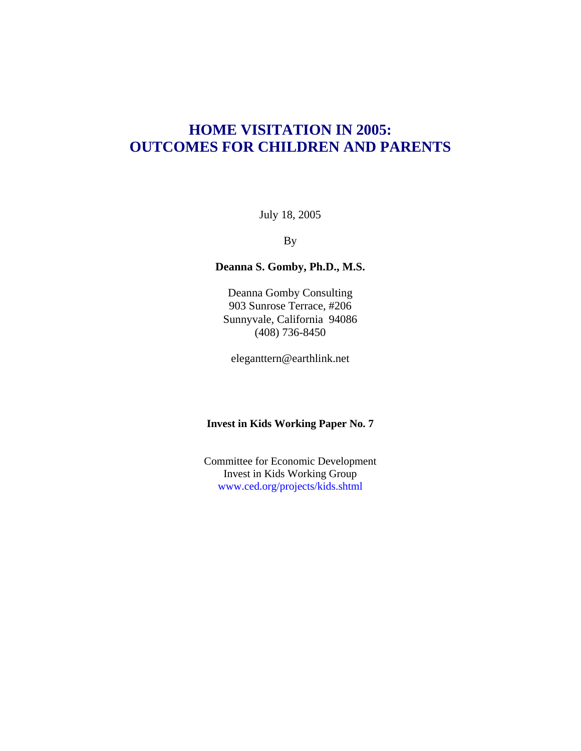# **HOME VISITATION IN 2005: OUTCOMES FOR CHILDREN AND PARENTS**

July 18, 2005

By

## **Deanna S. Gomby, Ph.D., M.S.**

Deanna Gomby Consulting 903 Sunrose Terrace, #206 Sunnyvale, California 94086 (408) 736-8450

eleganttern@earthlink.net

## **Invest in Kids Working Paper No. 7**

Committee for Economic Development Invest in Kids Working Group www.ced.org/projects/kids.shtml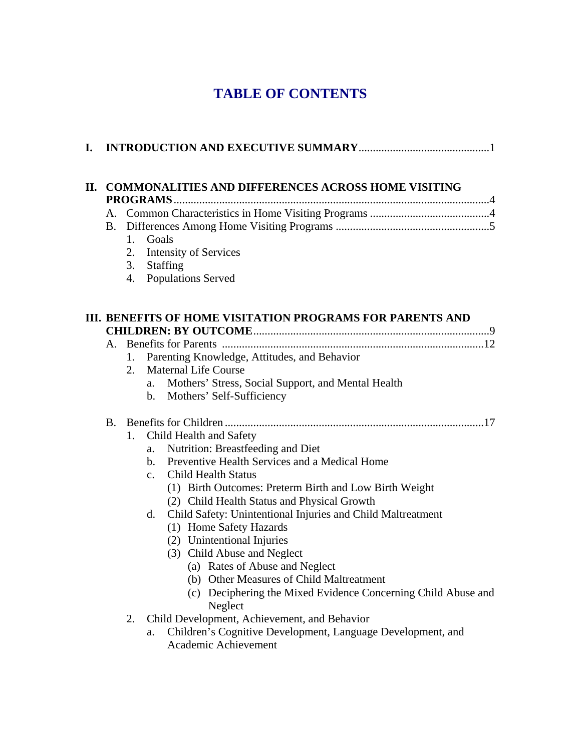# **TABLE OF CONTENTS**

| П. | <b>COMMONALITIES AND DIFFERENCES ACROSS HOME VISITING</b><br>PROGRAMS |                |                                                               |  |  |  |  |  |  |  |
|----|-----------------------------------------------------------------------|----------------|---------------------------------------------------------------|--|--|--|--|--|--|--|
|    |                                                                       |                |                                                               |  |  |  |  |  |  |  |
|    |                                                                       |                |                                                               |  |  |  |  |  |  |  |
| I. | 1.                                                                    | Goals          |                                                               |  |  |  |  |  |  |  |
|    | 2.                                                                    |                | <b>Intensity of Services</b>                                  |  |  |  |  |  |  |  |
|    |                                                                       |                | 3. Staffing                                                   |  |  |  |  |  |  |  |
|    | 4.                                                                    |                | <b>Populations Served</b>                                     |  |  |  |  |  |  |  |
|    |                                                                       |                |                                                               |  |  |  |  |  |  |  |
|    |                                                                       |                | III. BENEFITS OF HOME VISITATION PROGRAMS FOR PARENTS AND     |  |  |  |  |  |  |  |
|    |                                                                       |                |                                                               |  |  |  |  |  |  |  |
|    | 1.                                                                    |                | Parenting Knowledge, Attitudes, and Behavior                  |  |  |  |  |  |  |  |
|    | 2.                                                                    |                | <b>Maternal Life Course</b>                                   |  |  |  |  |  |  |  |
|    |                                                                       | a.             | Mothers' Stress, Social Support, and Mental Health            |  |  |  |  |  |  |  |
|    |                                                                       | $\mathbf{b}$ . | Mothers' Self-Sufficiency                                     |  |  |  |  |  |  |  |
|    |                                                                       |                |                                                               |  |  |  |  |  |  |  |
|    | 1.                                                                    |                | Child Health and Safety                                       |  |  |  |  |  |  |  |
|    |                                                                       | a.             | Nutrition: Breastfeeding and Diet                             |  |  |  |  |  |  |  |
|    |                                                                       | b.             | Preventive Health Services and a Medical Home                 |  |  |  |  |  |  |  |
|    |                                                                       | $\mathbf{c}$ . | <b>Child Health Status</b>                                    |  |  |  |  |  |  |  |
|    |                                                                       |                | (1) Birth Outcomes: Preterm Birth and Low Birth Weight        |  |  |  |  |  |  |  |
|    |                                                                       |                | (2) Child Health Status and Physical Growth                   |  |  |  |  |  |  |  |
|    |                                                                       | d.             | Child Safety: Unintentional Injuries and Child Maltreatment   |  |  |  |  |  |  |  |
|    |                                                                       |                | (1) Home Safety Hazards                                       |  |  |  |  |  |  |  |
|    |                                                                       |                | (2) Unintentional Injuries                                    |  |  |  |  |  |  |  |
|    |                                                                       |                | (3) Child Abuse and Neglect<br>(a) Rates of Abuse and Neglect |  |  |  |  |  |  |  |
|    |                                                                       |                | (b) Other Measures of Child Maltreatment                      |  |  |  |  |  |  |  |
|    |                                                                       |                | (c) Deciphering the Mixed Evidence Concerning Child Abuse and |  |  |  |  |  |  |  |
|    |                                                                       |                | Neglect                                                       |  |  |  |  |  |  |  |
|    | 2.                                                                    |                | Child Development, Achievement, and Behavior                  |  |  |  |  |  |  |  |
|    |                                                                       | a.             | Children's Cognitive Development, Language Development, and   |  |  |  |  |  |  |  |
|    |                                                                       |                | Academic Achievement                                          |  |  |  |  |  |  |  |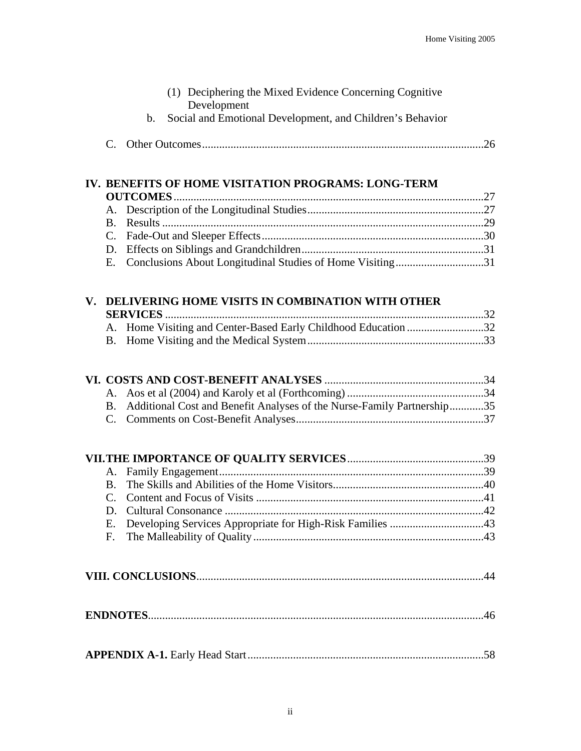|             | (1) Deciphering the Mixed Evidence Concerning Cognitive<br>Development     |  |
|-------------|----------------------------------------------------------------------------|--|
|             | Social and Emotional Development, and Children's Behavior<br>$\mathbf b$ . |  |
| $C_{\cdot}$ |                                                                            |  |
|             |                                                                            |  |
|             | IV. BENEFITS OF HOME VISITATION PROGRAMS: LONG-TERM                        |  |
|             |                                                                            |  |
| A.          |                                                                            |  |
|             |                                                                            |  |
|             |                                                                            |  |
| D.          |                                                                            |  |
| Е.          | Conclusions About Longitudinal Studies of Home Visiting31                  |  |
|             | V. DELIVERING HOME VISITS IN COMBINATION WITH OTHER                        |  |
|             |                                                                            |  |
|             | A. Home Visiting and Center-Based Early Childhood Education 32             |  |
| <b>B</b> .  |                                                                            |  |
|             |                                                                            |  |
|             |                                                                            |  |
|             |                                                                            |  |
|             | B. Additional Cost and Benefit Analyses of the Nurse-Family Partnership35  |  |
|             |                                                                            |  |
|             |                                                                            |  |
| A.          |                                                                            |  |
|             |                                                                            |  |
|             |                                                                            |  |
|             |                                                                            |  |
| Ε.          |                                                                            |  |
| F.          |                                                                            |  |
|             |                                                                            |  |
|             |                                                                            |  |
|             |                                                                            |  |
|             |                                                                            |  |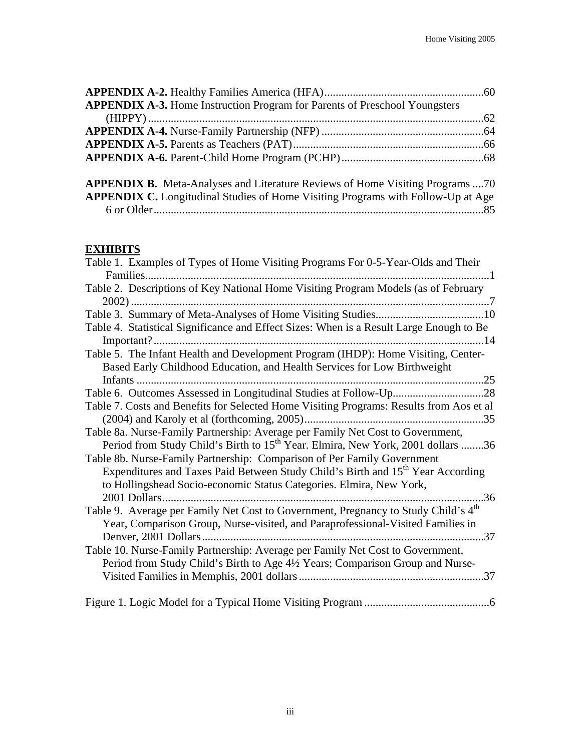| <b>APPENDIX A-3.</b> Home Instruction Program for Parents of Preschool Youngsters |  |
|-----------------------------------------------------------------------------------|--|
|                                                                                   |  |
|                                                                                   |  |
|                                                                                   |  |
|                                                                                   |  |
|                                                                                   |  |

| <b>APPENDIX B.</b> Meta-Analyses and Literature Reviews of Home Visiting Programs 70    |  |  |
|-----------------------------------------------------------------------------------------|--|--|
| <b>APPENDIX C.</b> Longitudinal Studies of Home Visiting Programs with Follow-Up at Age |  |  |
|                                                                                         |  |  |

## **EXHIBITS**

| Table 1. Examples of Types of Home Visiting Programs For 0-5-Year-Olds and Their               |
|------------------------------------------------------------------------------------------------|
|                                                                                                |
| Table 2. Descriptions of Key National Home Visiting Program Models (as of February             |
|                                                                                                |
|                                                                                                |
| Table 4. Statistical Significance and Effect Sizes: When is a Result Large Enough to Be        |
|                                                                                                |
| Table 5. The Infant Health and Development Program (IHDP): Home Visiting, Center-              |
| Based Early Childhood Education, and Health Services for Low Birthweight                       |
|                                                                                                |
|                                                                                                |
| Table 7. Costs and Benefits for Selected Home Visiting Programs: Results from Aos et al        |
|                                                                                                |
| Table 8a. Nurse-Family Partnership: Average per Family Net Cost to Government,                 |
| Period from Study Child's Birth to 15 <sup>th</sup> Year. Elmira, New York, 2001 dollars 36    |
| Table 8b. Nurse-Family Partnership: Comparison of Per Family Government                        |
| Expenditures and Taxes Paid Between Study Child's Birth and 15 <sup>th</sup> Year According    |
| to Hollingshead Socio-economic Status Categories. Elmira, New York,                            |
|                                                                                                |
| Table 9. Average per Family Net Cost to Government, Pregnancy to Study Child's 4 <sup>th</sup> |
| Year, Comparison Group, Nurse-visited, and Paraprofessional-Visited Families in                |
|                                                                                                |
| Table 10. Nurse-Family Partnership: Average per Family Net Cost to Government,                 |
| Period from Study Child's Birth to Age 4½ Years; Comparison Group and Nurse-                   |
|                                                                                                |
|                                                                                                |
|                                                                                                |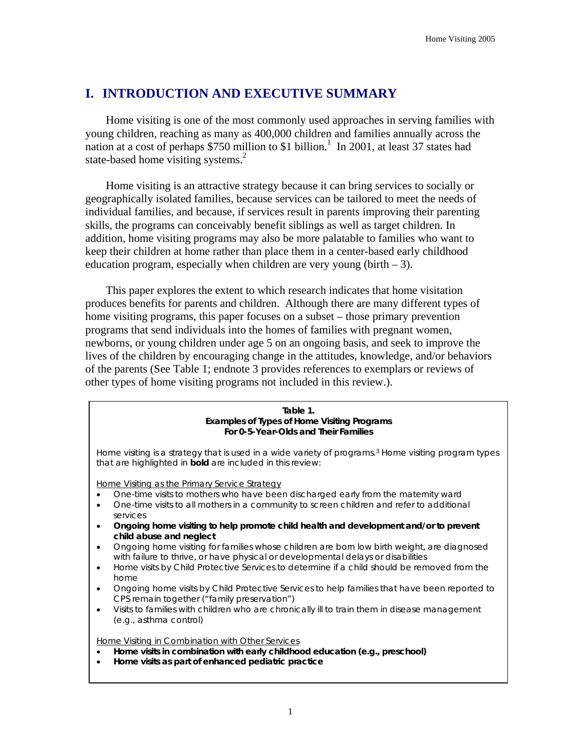## **I. INTRODUCTION AND EXECUTIVE SUMMARY**

Home visiting is one of the most commonly used approaches in serving families with young children, reaching as many as 400,000 children and families annually across the nation at a cost of perhaps  $$750$  million to \$1 billion.<sup>1</sup> In 2001, at least 37 states had state-based home visiting systems. $<sup>2</sup>$ </sup>

Home visiting is an attractive strategy because it can bring services to socially or geographically isolated families, because services can be tailored to meet the needs of individual families, and because, if services result in parents improving their parenting skills, the programs can conceivably benefit siblings as well as target children. In addition, home visiting programs may also be more palatable to families who want to keep their children at home rather than place them in a center-based early childhood education program, especially when children are very young (birth  $-3$ ).

This paper explores the extent to which research indicates that home visitation produces benefits for parents and children. Although there are many different types of home visiting programs, this paper focuses on a subset – those primary prevention programs that send individuals into the homes of families with pregnant women, newborns, or young children under age 5 on an ongoing basis, and seek to improve the lives of the children by encouraging change in the attitudes, knowledge, and/or behaviors of the parents (See Table 1; endnote 3 provides references to exemplars or reviews of other types of home visiting programs not included in this review.).

| Table 1.                                    |
|---------------------------------------------|
| Examples of Types of Home Visiting Programs |
| For 0-5-Year-Olds and Their Families        |

Home visiting is a strategy that is used in a wide variety of programs.3 Home visiting program types that are highlighted in **bold** are included in this review:

Home Visiting as the Primary Service Strategy

- One-time visits to mothers who have been discharged early from the maternity ward
- One-time visits to all mothers in a community to screen children and refer to additional services
- **Ongoing home visiting to help promote child health and development and/or to prevent child abuse and neglect**
- Ongoing home visiting for families whose children are born low birth weight, are diagnosed with failure to thrive, or have physical or developmental delays or disabilities
- Home visits by Child Protective Services to determine if a child should be removed from the home
- Ongoing home visits by Child Protective Services to help families that have been reported to CPS remain together ("family preservation")
- Visits to families with children who are chronically ill to train them in disease management (e.g., asthma control)

Home Visiting in Combination with Other Services

- **Home visits in combination with early childhood education (e.g., preschool)**
- **Home visits as part of enhanced pediatric practice**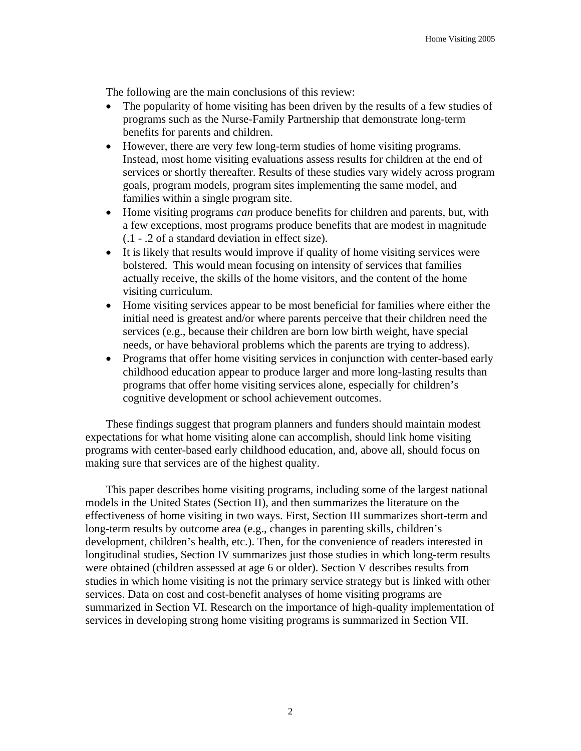The following are the main conclusions of this review:

- The popularity of home visiting has been driven by the results of a few studies of programs such as the Nurse-Family Partnership that demonstrate long-term benefits for parents and children.
- However, there are very few long-term studies of home visiting programs. Instead, most home visiting evaluations assess results for children at the end of services or shortly thereafter. Results of these studies vary widely across program goals, program models, program sites implementing the same model, and families within a single program site.
- Home visiting programs *can* produce benefits for children and parents, but, with a few exceptions, most programs produce benefits that are modest in magnitude (.1 - .2 of a standard deviation in effect size).
- It is likely that results would improve if quality of home visiting services were bolstered. This would mean focusing on intensity of services that families actually receive, the skills of the home visitors, and the content of the home visiting curriculum.
- Home visiting services appear to be most beneficial for families where either the initial need is greatest and/or where parents perceive that their children need the services (e.g., because their children are born low birth weight, have special needs, or have behavioral problems which the parents are trying to address).
- Programs that offer home visiting services in conjunction with center-based early childhood education appear to produce larger and more long-lasting results than programs that offer home visiting services alone, especially for children's cognitive development or school achievement outcomes.

These findings suggest that program planners and funders should maintain modest expectations for what home visiting alone can accomplish, should link home visiting programs with center-based early childhood education, and, above all, should focus on making sure that services are of the highest quality.

This paper describes home visiting programs, including some of the largest national models in the United States (Section II), and then summarizes the literature on the effectiveness of home visiting in two ways. First, Section III summarizes short-term and long-term results by outcome area (e.g., changes in parenting skills, children's development, children's health, etc.). Then, for the convenience of readers interested in longitudinal studies, Section IV summarizes just those studies in which long-term results were obtained (children assessed at age 6 or older). Section V describes results from studies in which home visiting is not the primary service strategy but is linked with other services. Data on cost and cost-benefit analyses of home visiting programs are summarized in Section VI. Research on the importance of high-quality implementation of services in developing strong home visiting programs is summarized in Section VII.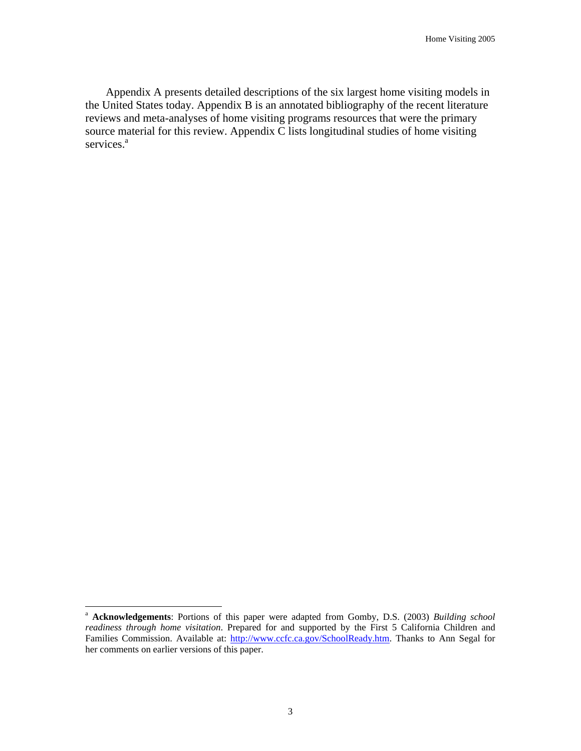Appendix A presents detailed descriptions of the six largest home visiting models in the United States today. Appendix B is an annotated bibliography of the recent literature reviews and meta-analyses of home visiting programs resources that were the primary source material for this review. Appendix C lists longitudinal studies of home visiting services.<sup>a</sup>

 $\overline{a}$ 

<sup>a</sup> **Acknowledgements**: Portions of this paper were adapted from Gomby, D.S. (2003) *Building school readiness through home visitation*. Prepared for and supported by the First 5 California Children and Families Commission. Available at: http://www.ccfc.ca.gov/SchoolReady.htm. Thanks to Ann Segal for her comments on earlier versions of this paper.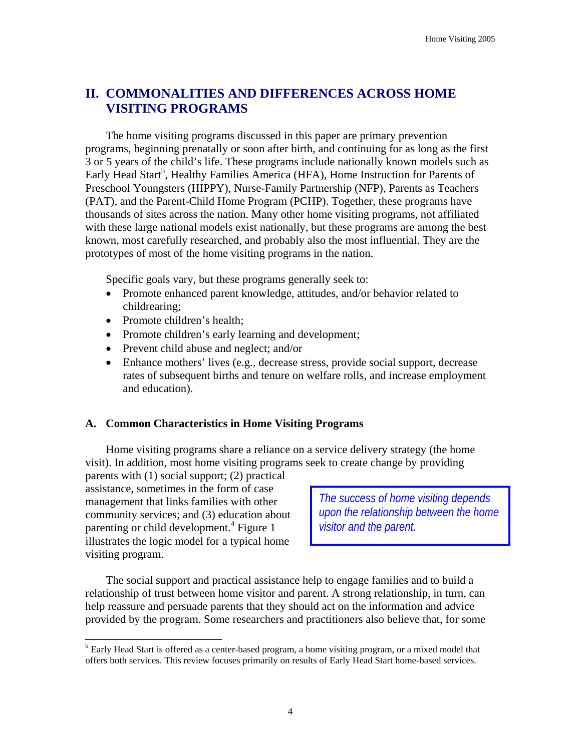## **II. COMMONALITIES AND DIFFERENCES ACROSS HOME VISITING PROGRAMS**

The home visiting programs discussed in this paper are primary prevention programs, beginning prenatally or soon after birth, and continuing for as long as the first 3 or 5 years of the child's life. These programs include nationally known models such as Early Head Start<sup>b</sup>, Healthy Families America (HFA), Home Instruction for Parents of Preschool Youngsters (HIPPY), Nurse-Family Partnership (NFP), Parents as Teachers (PAT), and the Parent-Child Home Program (PCHP). Together, these programs have thousands of sites across the nation. Many other home visiting programs, not affiliated with these large national models exist nationally, but these programs are among the best known, most carefully researched, and probably also the most influential. They are the prototypes of most of the home visiting programs in the nation.

Specific goals vary, but these programs generally seek to:

- Promote enhanced parent knowledge, attitudes, and/or behavior related to childrearing;
- Promote children's health:
- Promote children's early learning and development;
- Prevent child abuse and neglect; and/or
- Enhance mothers' lives (e.g., decrease stress, provide social support, decrease rates of subsequent births and tenure on welfare rolls, and increase employment and education).

## **A. Common Characteristics in Home Visiting Programs**

Home visiting programs share a reliance on a service delivery strategy (the home visit). In addition, most home visiting programs seek to create change by providing

parents with (1) social support; (2) practical assistance, sometimes in the form of case management that links families with other community services; and (3) education about parenting or child development.<sup>4</sup> Figure 1 illustrates the logic model for a typical home visiting program.

 $\overline{a}$ 

*The success of home visiting depends upon the relationship between the home visitor and the parent.* 

The social support and practical assistance help to engage families and to build a relationship of trust between home visitor and parent. A strong relationship, in turn, can help reassure and persuade parents that they should act on the information and advice provided by the program. Some researchers and practitioners also believe that, for some

<sup>&</sup>lt;sup>b</sup> Early Head Start is offered as a center-based program, a home visiting program, or a mixed model that offers both services. This review focuses primarily on results of Early Head Start home-based services.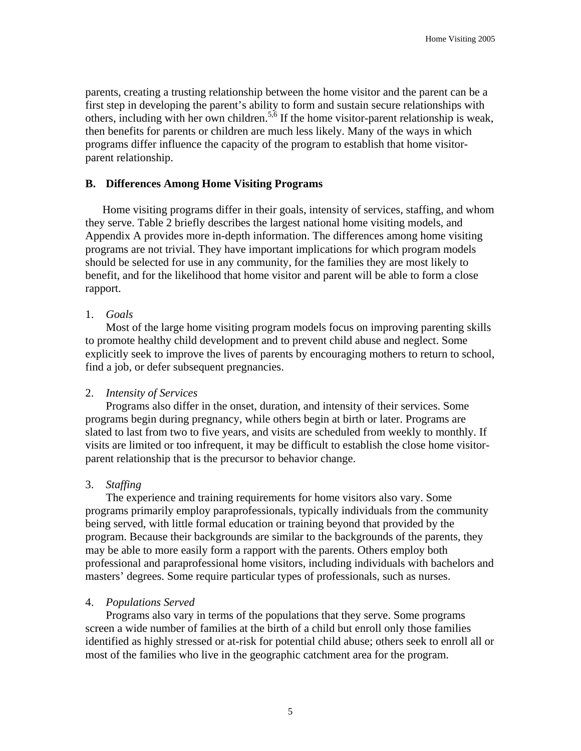parents, creating a trusting relationship between the home visitor and the parent can be a first step in developing the parent's ability to form and sustain secure relationships with others, including with her own children.<sup>5,6</sup> If the home visitor-parent relationship is weak, then benefits for parents or children are much less likely. Many of the ways in which programs differ influence the capacity of the program to establish that home visitorparent relationship.

#### **B. Differences Among Home Visiting Programs**

Home visiting programs differ in their goals, intensity of services, staffing, and whom they serve. Table 2 briefly describes the largest national home visiting models, and Appendix A provides more in-depth information. The differences among home visiting programs are not trivial. They have important implications for which program models should be selected for use in any community, for the families they are most likely to benefit, and for the likelihood that home visitor and parent will be able to form a close rapport.

#### 1. *Goals*

Most of the large home visiting program models focus on improving parenting skills to promote healthy child development and to prevent child abuse and neglect. Some explicitly seek to improve the lives of parents by encouraging mothers to return to school, find a job, or defer subsequent pregnancies.

#### 2. *Intensity of Services*

Programs also differ in the onset, duration, and intensity of their services. Some programs begin during pregnancy, while others begin at birth or later. Programs are slated to last from two to five years, and visits are scheduled from weekly to monthly. If visits are limited or too infrequent, it may be difficult to establish the close home visitorparent relationship that is the precursor to behavior change.

## 3. *Staffing*

The experience and training requirements for home visitors also vary. Some programs primarily employ paraprofessionals, typically individuals from the community being served, with little formal education or training beyond that provided by the program. Because their backgrounds are similar to the backgrounds of the parents, they may be able to more easily form a rapport with the parents. Others employ both professional and paraprofessional home visitors, including individuals with bachelors and masters' degrees. Some require particular types of professionals, such as nurses.

#### 4. *Populations Served*

Programs also vary in terms of the populations that they serve. Some programs screen a wide number of families at the birth of a child but enroll only those families identified as highly stressed or at-risk for potential child abuse; others seek to enroll all or most of the families who live in the geographic catchment area for the program.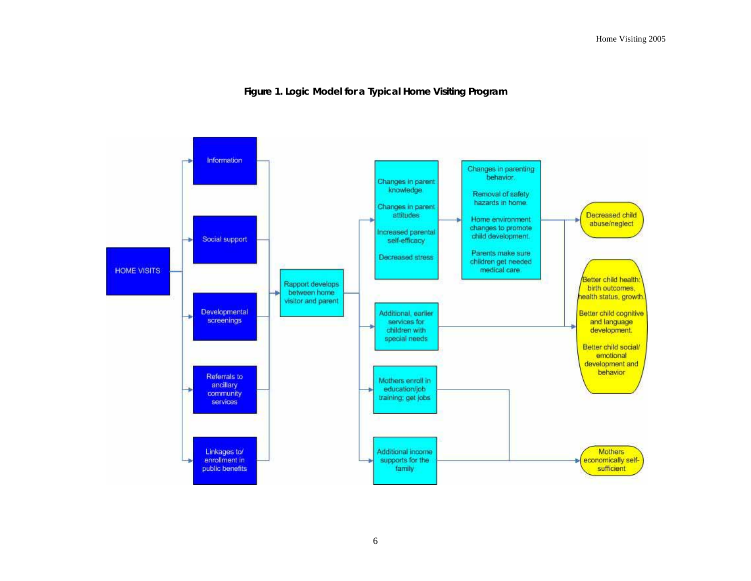#### **Figure 1. Logic Model for a Typical Home Visiting Program**

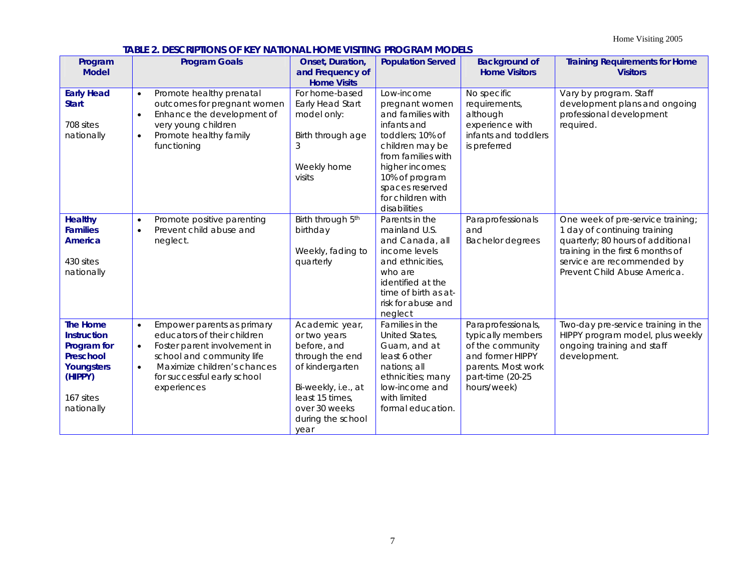Home Visiting 2005

#### **TABLE 2. DESCRIPTIONS OF KEY NATIONAL HOME VISITING PROGRAM MODELS**

| Program<br><b>Model</b>                                                                                               | <b>Program Goals</b>                                                                                                                                                                                                                       | Onset, Duration,<br>and Frequency of<br><b>Home Visits</b>                                                                                                                  | <b>Population Served</b>                                                                                                                                                                                                   | <b>Background of</b><br><b>Home Visitors</b>                                                                                             | <b>Training Requirements for Home</b><br><b>Visitors</b>                                                                                                                                                  |  |  |
|-----------------------------------------------------------------------------------------------------------------------|--------------------------------------------------------------------------------------------------------------------------------------------------------------------------------------------------------------------------------------------|-----------------------------------------------------------------------------------------------------------------------------------------------------------------------------|----------------------------------------------------------------------------------------------------------------------------------------------------------------------------------------------------------------------------|------------------------------------------------------------------------------------------------------------------------------------------|-----------------------------------------------------------------------------------------------------------------------------------------------------------------------------------------------------------|--|--|
| <b>Early Head</b><br><b>Start</b><br>708 sites<br>nationally                                                          | Promote healthy prenatal<br>$\bullet$<br>outcomes for pregnant women<br>Enhance the development of<br>$\bullet$<br>very young children<br>Promote healthy family<br>$\bullet$<br>functioning                                               | For home-based<br>Early Head Start<br>model only:<br>Birth through age<br>3<br>Weekly home<br>visits                                                                        | Low-income<br>pregnant women<br>and families with<br>infants and<br>toddlers; 10% of<br>children may be<br>from families with<br>higher incomes;<br>10% of program<br>spaces reserved<br>for children with<br>disabilities | No specific<br>requirements,<br>although<br>experience with<br>infants and toddlers<br>is preferred                                      | Vary by program. Staff<br>development plans and ongoing<br>professional development<br>required.                                                                                                          |  |  |
| <b>Healthy</b><br><b>Families</b><br><b>America</b><br>430 sites<br>nationally                                        | Promote positive parenting<br>$\bullet$<br>Prevent child abuse and<br>$\bullet$<br>neglect.                                                                                                                                                | Birth through 5th<br>birthday<br>Weekly, fading to<br>quarterly                                                                                                             | Parents in the<br>mainland U.S.<br>and Canada, all<br>income levels<br>and ethnicities,<br>who are<br>identified at the<br>time of birth as at-<br>risk for abuse and<br>neglect                                           | Paraprofessionals<br>and<br><b>Bachelor degrees</b>                                                                                      | One week of pre-service training;<br>1 day of continuing training<br>quarterly; 80 hours of additional<br>training in the first 6 months of<br>service are recommended by<br>Prevent Child Abuse America. |  |  |
| <b>The Home</b><br><b>Instruction</b><br>Program for<br>Preschool<br>Youngsters<br>(HIPPY)<br>167 sites<br>nationally | Empower parents as primary<br>$\bullet$<br>educators of their children<br>Foster parent involvement in<br>$\bullet$<br>school and community life<br>Maximize children's chances<br>$\bullet$<br>for successful early school<br>experiences | Academic year,<br>or two years<br>before, and<br>through the end<br>of kindergarten<br>Bi-weekly, i.e., at<br>least 15 times,<br>over 30 weeks<br>during the school<br>year | Families in the<br>United States,<br>Guam, and at<br>least 6 other<br>nations: all<br>ethnicities; many<br>low-income and<br>with limited<br>formal education.                                                             | Paraprofessionals,<br>typically members<br>of the community<br>and former HIPPY<br>parents. Most work<br>part-time (20-25<br>hours/week) | Two-day pre-service training in the<br>HIPPY program model, plus weekly<br>ongoing training and staff<br>development.                                                                                     |  |  |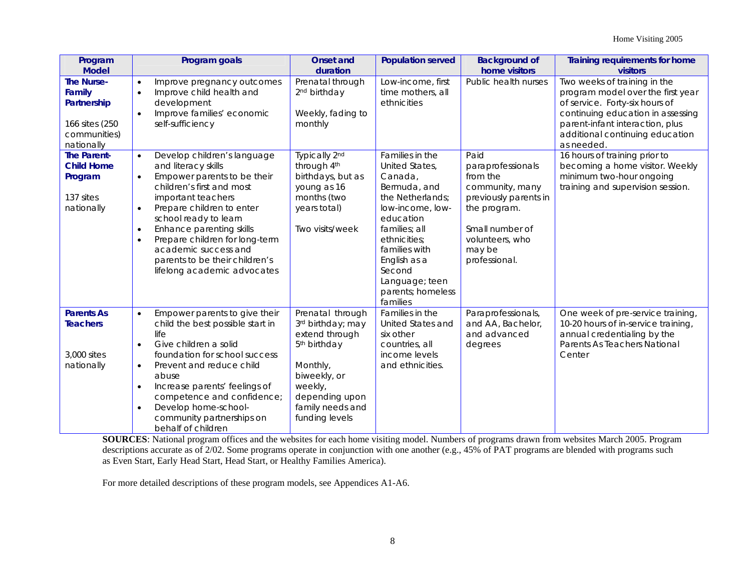| Program<br><b>Model</b>                                                                    | Program goals                                                                                                                                                                                                                                                                                                                                                                                                      | <b>Onset and</b><br>duration                                                                                                                                                       | <b>Population served</b>                                                                                                                                                                                                                         | <b>Background of</b><br>home visitors                                                                                                                              | Training requirements for home<br>visitors                                                                                                                                                                                   |  |  |
|--------------------------------------------------------------------------------------------|--------------------------------------------------------------------------------------------------------------------------------------------------------------------------------------------------------------------------------------------------------------------------------------------------------------------------------------------------------------------------------------------------------------------|------------------------------------------------------------------------------------------------------------------------------------------------------------------------------------|--------------------------------------------------------------------------------------------------------------------------------------------------------------------------------------------------------------------------------------------------|--------------------------------------------------------------------------------------------------------------------------------------------------------------------|------------------------------------------------------------------------------------------------------------------------------------------------------------------------------------------------------------------------------|--|--|
| <b>The Nurse-</b><br>Family<br>Partnership<br>166 sites (250<br>communities)<br>nationally | Improve pregnancy outcomes<br>$\bullet$<br>Improve child health and<br>$\bullet$<br>development<br>Improve families' economic<br>self-sufficiency                                                                                                                                                                                                                                                                  | Prenatal through<br>2 <sup>nd</sup> birthday<br>Weekly, fading to<br>monthly                                                                                                       | Low-income, first<br>time mothers, all<br>ethnicities                                                                                                                                                                                            | Public health nurses                                                                                                                                               | Two weeks of training in the<br>program model over the first year<br>of service. Forty-six hours of<br>continuing education in assessing<br>parent-infant interaction, plus<br>additional continuing education<br>as needed. |  |  |
| <b>The Parent-</b><br><b>Child Home</b><br>Program<br>137 sites<br>nationally              | Develop children's language<br>$\bullet$<br>and literacy skills<br>Empower parents to be their<br>$\bullet$<br>children's first and most<br>important teachers<br>Prepare children to enter<br>$\bullet$<br>school ready to learn<br>Enhance parenting skills<br>$\bullet$<br>Prepare children for long-term<br>$\bullet$<br>academic success and<br>parents to be their children's<br>lifelong academic advocates | Typically 2nd<br>through 4th<br>birthdays, but as<br>young as 16<br>months (two<br>years total)<br>Two visits/week                                                                 | Families in the<br>United States,<br>Canada,<br>Bermuda, and<br>the Netherlands:<br>low-income, low-<br>education<br>families: all<br>ethnicities:<br>families with<br>English as a<br>Second<br>Language; teen<br>parents; homeless<br>families | Paid<br>paraprofessionals<br>from the<br>community, many<br>previously parents in<br>the program.<br>Small number of<br>volunteers, who<br>may be<br>professional. | 16 hours of training prior to<br>becoming a home visitor. Weekly<br>minimum two-hour ongoing<br>training and supervision session.                                                                                            |  |  |
| <b>Parents As</b><br><b>Teachers</b><br>3,000 sites<br>nationally                          | Empower parents to give their<br>$\bullet$<br>child the best possible start in<br>life<br>Give children a solid<br>$\bullet$<br>foundation for school success<br>Prevent and reduce child<br>$\bullet$<br>abuse<br>Increase parents' feelings of<br>competence and confidence;<br>Develop home-school-<br>$\bullet$<br>community partnerships on<br>behalf of children                                             | Prenatal through<br>3rd birthday; may<br>extend through<br>5 <sup>th</sup> birthday<br>Monthly,<br>biweekly, or<br>weekly,<br>depending upon<br>family needs and<br>funding levels | Families in the<br>United States and<br>six other<br>countries, all<br>income levels<br>and ethnicities.                                                                                                                                         | Paraprofessionals,<br>and AA, Bachelor,<br>and advanced<br>degrees                                                                                                 | One week of pre-service training,<br>10-20 hours of in-service training,<br>annual credentialing by the<br>Parents As Teachers National<br>Center                                                                            |  |  |

**SOURCES**: National program offices and the websites for each home visiting model. Numbers of programs drawn from websites March 2005. Program descriptions accurate as of 2/02. Some programs operate in conjunction with one another (e.g., 45% of PAT programs are blended with programs such as Even Start, Early Head Start, Head Start, or Healthy Families America).

For more detailed descriptions of these program models, see Appendices A1-A6.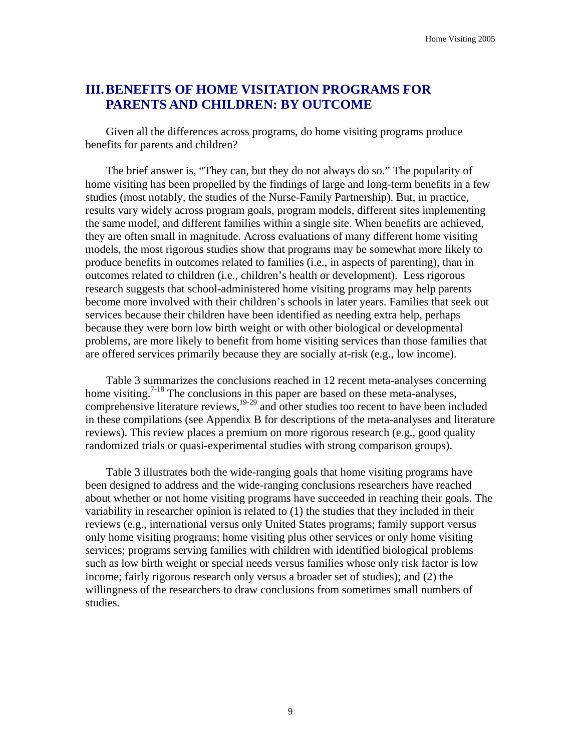## **III. BENEFITS OF HOME VISITATION PROGRAMS FOR PARENTS AND CHILDREN: BY OUTCOME**

Given all the differences across programs, do home visiting programs produce benefits for parents and children?

The brief answer is, "They can, but they do not always do so." The popularity of home visiting has been propelled by the findings of large and long-term benefits in a few studies (most notably, the studies of the Nurse-Family Partnership). But, in practice, results vary widely across program goals, program models, different sites implementing the same model, and different families within a single site. When benefits are achieved, they are often small in magnitude. Across evaluations of many different home visiting models, the most rigorous studies show that programs may be somewhat more likely to produce benefits in outcomes related to families (i.e., in aspects of parenting), than in outcomes related to children (i.e., children's health or development). Less rigorous research suggests that school-administered home visiting programs may help parents become more involved with their children's schools in later years. Families that seek out services because their children have been identified as needing extra help, perhaps because they were born low birth weight or with other biological or developmental problems, are more likely to benefit from home visiting services than those families that are offered services primarily because they are socially at-risk (e.g., low income).

Table 3 summarizes the conclusions reached in 12 recent meta-analyses concerning home visiting.<sup>7-18</sup> The conclusions in this paper are based on these meta-analyses, comprehensive literature reviews,<sup>19-29</sup> and other studies too recent to have been included in these compilations (see Appendix B for descriptions of the meta-analyses and literature reviews). This review places a premium on more rigorous research (e.g., good quality randomized trials or quasi-experimental studies with strong comparison groups).

Table 3 illustrates both the wide-ranging goals that home visiting programs have been designed to address and the wide-ranging conclusions researchers have reached about whether or not home visiting programs have succeeded in reaching their goals. The variability in researcher opinion is related to (1) the studies that they included in their reviews (e.g., international versus only United States programs; family support versus only home visiting programs; home visiting plus other services or only home visiting services; programs serving families with children with identified biological problems such as low birth weight or special needs versus families whose only risk factor is low income; fairly rigorous research only versus a broader set of studies); and (2) the willingness of the researchers to draw conclusions from sometimes small numbers of studies.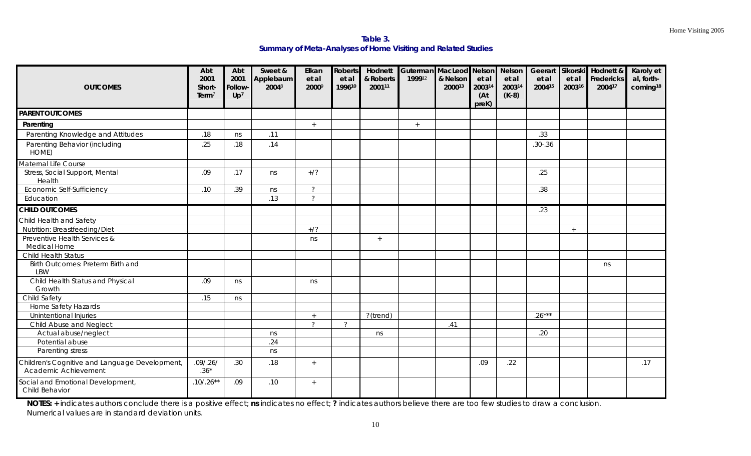**Table 3. Summary of Meta-Analyses of Home Visiting and Related Studies** 

| <b>OUTCOMES</b>                                                        | Abt<br>2001<br>Short-<br>Term $\bar{ }$ | Abt<br>2001<br><b>Follow</b><br>Up <sup>7</sup> | Sweet &<br>Applebaum<br>20048 | Elkan<br>et al<br>20009 | Roberts<br>et al<br>199610 | Hodnett<br>& Roberts<br>200111 | 199912 | & Nelson<br>200013 | et al<br>200314<br>(At)<br>preK) | et al<br>200314<br>$(K-8)$ | et al<br>200415 | et al<br>200316 | Guterman MacLeod Nelson Nelson Geerart Sikorski Hodnett &<br>Fredericks<br>200417 | Karoly et<br>al, forth-<br>coming <sup>18</sup> |
|------------------------------------------------------------------------|-----------------------------------------|-------------------------------------------------|-------------------------------|-------------------------|----------------------------|--------------------------------|--------|--------------------|----------------------------------|----------------------------|-----------------|-----------------|-----------------------------------------------------------------------------------|-------------------------------------------------|
| <b>PARENT OUTCOMES</b>                                                 |                                         |                                                 |                               |                         |                            |                                |        |                    |                                  |                            |                 |                 |                                                                                   |                                                 |
| Parenting                                                              |                                         |                                                 |                               | $+$                     |                            |                                | $+$    |                    |                                  |                            |                 |                 |                                                                                   |                                                 |
| Parenting Knowledge and Attitudes                                      | .18                                     | ns                                              | .11                           |                         |                            |                                |        |                    |                                  |                            | .33             |                 |                                                                                   |                                                 |
| Parenting Behavior (including<br>HOME)                                 | .25                                     | .18                                             | .14                           |                         |                            |                                |        |                    |                                  |                            | $.30 - .36$     |                 |                                                                                   |                                                 |
| Maternal Life Course                                                   |                                         |                                                 |                               |                         |                            |                                |        |                    |                                  |                            |                 |                 |                                                                                   |                                                 |
| Stress, Social Support, Mental<br>Health                               | .09                                     | .17                                             | ns                            | $+/?$                   |                            |                                |        |                    |                                  |                            | .25             |                 |                                                                                   |                                                 |
| Economic Self-Sufficiency                                              | .10                                     | .39                                             | ns                            | $\tilde{?}$             |                            |                                |        |                    |                                  |                            | .38             |                 |                                                                                   |                                                 |
| Education                                                              |                                         |                                                 | .13                           | $\tilde{?}$             |                            |                                |        |                    |                                  |                            |                 |                 |                                                                                   |                                                 |
| <b>CHILD OUTCOMES</b>                                                  |                                         |                                                 |                               |                         |                            |                                |        |                    |                                  |                            | .23             |                 |                                                                                   |                                                 |
| Child Health and Safety                                                |                                         |                                                 |                               |                         |                            |                                |        |                    |                                  |                            |                 |                 |                                                                                   |                                                 |
| Nutrition: Breastfeeding/Diet                                          |                                         |                                                 |                               | $+/?$                   |                            |                                |        |                    |                                  |                            |                 | $+$             |                                                                                   |                                                 |
| Preventive Health Services &<br>Medical Home                           |                                         |                                                 |                               | ns                      |                            | $+$                            |        |                    |                                  |                            |                 |                 |                                                                                   |                                                 |
| Child Health Status                                                    |                                         |                                                 |                               |                         |                            |                                |        |                    |                                  |                            |                 |                 |                                                                                   |                                                 |
| Birth Outcomes: Preterm Birth and<br>LBW                               |                                         |                                                 |                               |                         |                            |                                |        |                    |                                  |                            |                 |                 | ns                                                                                |                                                 |
| Child Health Status and Physical<br>Growth                             | .09                                     | ns                                              |                               | ns                      |                            |                                |        |                    |                                  |                            |                 |                 |                                                                                   |                                                 |
| Child Safety                                                           | .15                                     | ns                                              |                               |                         |                            |                                |        |                    |                                  |                            |                 |                 |                                                                                   |                                                 |
| Home Safety Hazards                                                    |                                         |                                                 |                               |                         |                            |                                |        |                    |                                  |                            |                 |                 |                                                                                   |                                                 |
| Unintentional Injuries                                                 |                                         |                                                 |                               | $+$                     |                            | ?(trend)                       |        |                    |                                  |                            | $.26***$        |                 |                                                                                   |                                                 |
| Child Abuse and Neglect                                                |                                         |                                                 |                               | $\tilde{?}$             | $\mathcal{P}$              |                                |        | .41                |                                  |                            |                 |                 |                                                                                   |                                                 |
| Actual abuse/neglect                                                   |                                         |                                                 | ns                            |                         |                            | ns                             |        |                    |                                  |                            | .20             |                 |                                                                                   |                                                 |
| Potential abuse                                                        |                                         |                                                 | .24                           |                         |                            |                                |        |                    |                                  |                            |                 |                 |                                                                                   |                                                 |
| Parenting stress                                                       |                                         |                                                 | ns                            |                         |                            |                                |        |                    |                                  |                            |                 |                 |                                                                                   |                                                 |
| Children's Cognitive and Language Development,<br>Academic Achievement | .09/.26/<br>$.36*$                      | .30                                             | .18                           | $+$                     |                            |                                |        |                    | .09                              | .22                        |                 |                 |                                                                                   | .17                                             |
| Social and Emotional Development,<br>Child Behavior                    | $.10/.26**$                             | .09                                             | .10                           | $+$                     |                            |                                |        |                    |                                  |                            |                 |                 |                                                                                   |                                                 |

**NOTES: +** indicates authors conclude there is a positive effect; **ns** indicates no effect; **?** indicates authors believe there are too few studies to draw a conclusion. Numerical values are in standard deviation units.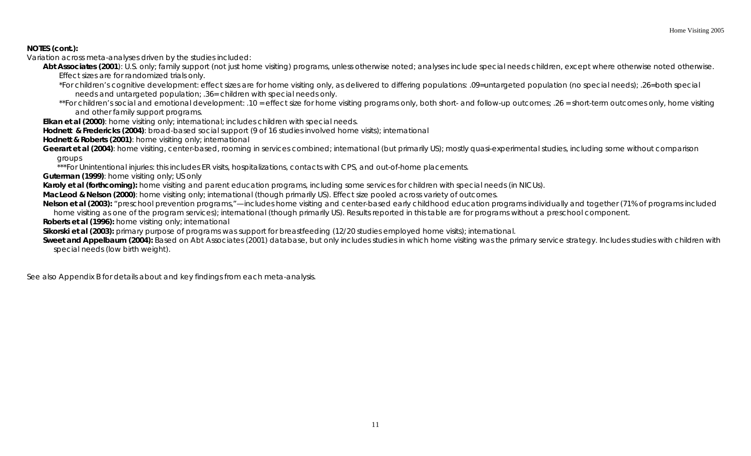## **NOTES (cont.):**

Variation across meta-analyses driven by the studies included:

Abt Associates (2001): U.S. only; family support (not just home visiting) programs, unless otherwise noted; analyses include special needs children, except where otherwise noted otherwise. Effect sizes are for randomized trials only.

\*For children's cognitive development: effect sizes are for home visiting only, as delivered to differing populations: .09=untargeted population (no special needs); .26=both special needs and untargeted population; .36= children with special needs only.

\*\*For children's social and emotional development: .10 = effect size for home visiting programs only, both short- and follow-up outcomes; .26 = short-term outcomes only, home visiting and other family support programs.

*Elkan et al (2000)*: home visiting only; international; includes children with special needs.

*Hodnett & Fredericks* **(2004)**: broad-based social support (9 of 16 studies involved home visits); international

*Hodnett & Roberts (2001)*: home visiting only; international

*Geerart et al (2004)*: home visiting, center-based, rooming in services combined; international (but primarily US); mostly quasi-experimental studies, including some without comparison groups

\*\*\*For Unintentional injuries: this includes ER visits, hospitalizations, contacts with CPS, and out-of-home placements.

*Guterman (1999)*: home visiting only; US only

*Karoly et al (forthcoming):* home visiting and parent education programs, including some services for children with special needs (in NICUs).

*MacLeod & Nelson (2000)*: home visiting only; international (though primarily US). Effect size pooled across variety of outcomes.

*Nelson et al (2003)*: "preschool prevention programs,"—includes home visiting and center-based early childhood education programs individually and together (71% of programs included home visiting as one of the program services); international (though primarily US). Results reported in this table are for programs without a preschool component.

*Roberts et al (1996)***:** home visiting only; international

*Sikorski et al (2003)***:** primary purpose of programs was support for breastfeeding (12/20 studies employed home visits); international.

**Sweet and Appelbaum (2004)**: Based on Abt Associates (2001) database, but only includes studies in which home visiting was the primary service strategy. Includes studies with children with special needs (low birth weight).

See also Appendix B for details about and key findings from each meta-analysis.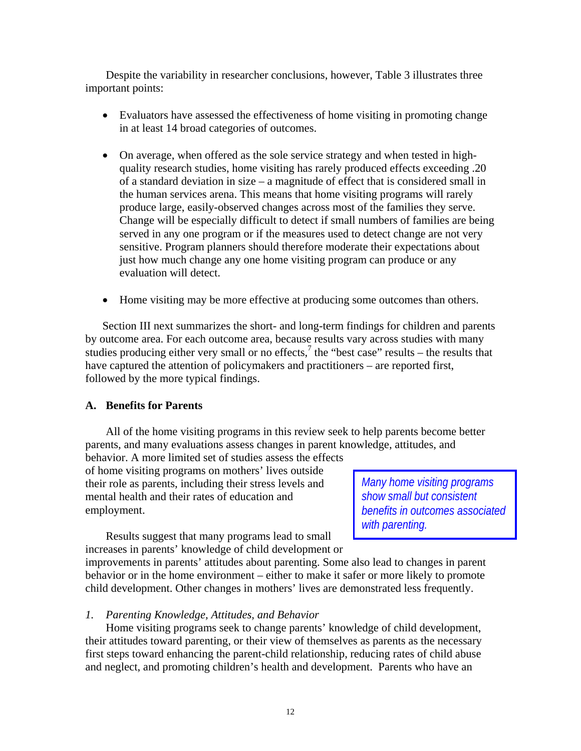Despite the variability in researcher conclusions, however, Table 3 illustrates three important points:

- Evaluators have assessed the effectiveness of home visiting in promoting change in at least 14 broad categories of outcomes.
- On average, when offered as the sole service strategy and when tested in highquality research studies, home visiting has rarely produced effects exceeding .20 of a standard deviation in size – a magnitude of effect that is considered small in the human services arena. This means that home visiting programs will rarely produce large, easily-observed changes across most of the families they serve. Change will be especially difficult to detect if small numbers of families are being served in any one program or if the measures used to detect change are not very sensitive. Program planners should therefore moderate their expectations about just how much change any one home visiting program can produce or any evaluation will detect.
- Home visiting may be more effective at producing some outcomes than others.

Section III next summarizes the short- and long-term findings for children and parents by outcome area. For each outcome area, because results vary across studies with many studies producing either very small or no effects,<sup>7</sup> the "best case" results – the results that have captured the attention of policymakers and practitioners – are reported first, followed by the more typical findings.

#### **A. Benefits for Parents**

All of the home visiting programs in this review seek to help parents become better parents, and many evaluations assess changes in parent knowledge, attitudes, and

behavior. A more limited set of studies assess the effects of home visiting programs on mothers' lives outside their role as parents, including their stress levels and mental health and their rates of education and employment.

*Many home visiting programs show small but consistent benefits in outcomes associated with parenting.* 

Results suggest that many programs lead to small increases in parents' knowledge of child development or

improvements in parents' attitudes about parenting. Some also lead to changes in parent behavior or in the home environment – either to make it safer or more likely to promote child development. Other changes in mothers' lives are demonstrated less frequently.

## *1. Parenting Knowledge, Attitudes, and Behavior*

Home visiting programs seek to change parents' knowledge of child development, their attitudes toward parenting, or their view of themselves as parents as the necessary first steps toward enhancing the parent-child relationship, reducing rates of child abuse and neglect, and promoting children's health and development. Parents who have an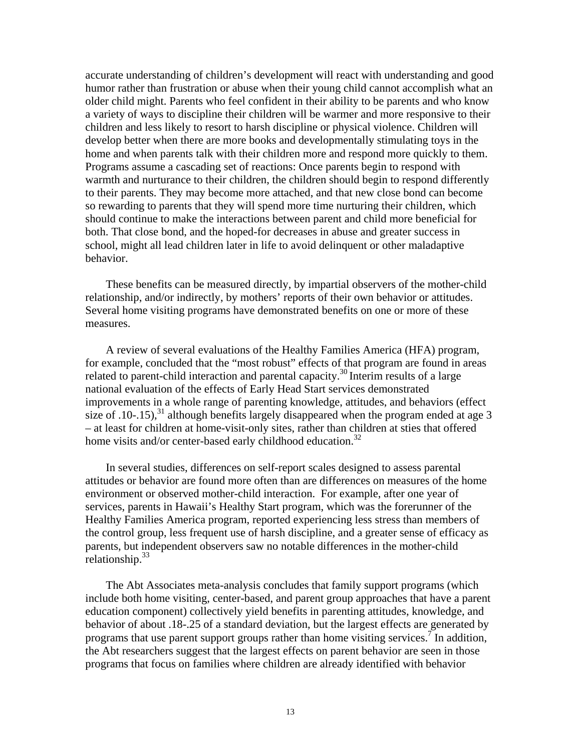accurate understanding of children's development will react with understanding and good humor rather than frustration or abuse when their young child cannot accomplish what an older child might. Parents who feel confident in their ability to be parents and who know a variety of ways to discipline their children will be warmer and more responsive to their children and less likely to resort to harsh discipline or physical violence. Children will develop better when there are more books and developmentally stimulating toys in the home and when parents talk with their children more and respond more quickly to them. Programs assume a cascading set of reactions: Once parents begin to respond with warmth and nurturance to their children, the children should begin to respond differently to their parents. They may become more attached, and that new close bond can become so rewarding to parents that they will spend more time nurturing their children, which should continue to make the interactions between parent and child more beneficial for both. That close bond, and the hoped-for decreases in abuse and greater success in school, might all lead children later in life to avoid delinquent or other maladaptive behavior.

These benefits can be measured directly, by impartial observers of the mother-child relationship, and/or indirectly, by mothers' reports of their own behavior or attitudes. Several home visiting programs have demonstrated benefits on one or more of these measures.

A review of several evaluations of the Healthy Families America (HFA) program, for example, concluded that the "most robust" effects of that program are found in areas related to parent-child interaction and parental capacity.<sup>30</sup> Interim results of a large national evaluation of the effects of Early Head Start services demonstrated improvements in a whole range of parenting knowledge, attitudes, and behaviors (effect size of .10-.15),<sup>31</sup> although benefits largely disappeared when the program ended at age 3 – at least for children at home-visit-only sites, rather than children at sties that offered home visits and/or center-based early childhood education.<sup>32</sup>

In several studies, differences on self-report scales designed to assess parental attitudes or behavior are found more often than are differences on measures of the home environment or observed mother-child interaction. For example, after one year of services, parents in Hawaii's Healthy Start program, which was the forerunner of the Healthy Families America program, reported experiencing less stress than members of the control group, less frequent use of harsh discipline, and a greater sense of efficacy as parents, but independent observers saw no notable differences in the mother-child relationship. $33$ 

The Abt Associates meta-analysis concludes that family support programs (which include both home visiting, center-based, and parent group approaches that have a parent education component) collectively yield benefits in parenting attitudes, knowledge, and behavior of about .18-.25 of a standard deviation, but the largest effects are generated by programs that use parent support groups rather than home visiting services.<sup>7</sup> In addition, the Abt researchers suggest that the largest effects on parent behavior are seen in those programs that focus on families where children are already identified with behavior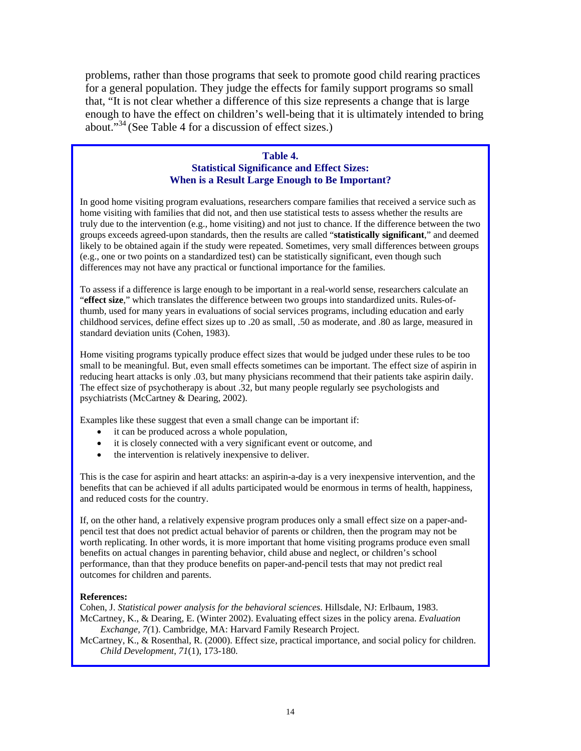problems, rather than those programs that seek to promote good child rearing practices for a general population. They judge the effects for family support programs so small that, "It is not clear whether a difference of this size represents a change that is large enough to have the effect on children's well-being that it is ultimately intended to bring about."<sup>34</sup> (See Table 4 for a discussion of effect sizes.)

#### **Table 4. Statistical Significance and Effect Sizes: When is a Result Large Enough to Be Important?**

In good home visiting program evaluations, researchers compare families that received a service such as home visiting with families that did not, and then use statistical tests to assess whether the results are truly due to the intervention (e.g., home visiting) and not just to chance. If the difference between the two groups exceeds agreed-upon standards, then the results are called "**statistically significant**," and deemed likely to be obtained again if the study were repeated. Sometimes, very small differences between groups (e.g., one or two points on a standardized test) can be statistically significant, even though such differences may not have any practical or functional importance for the families.

To assess if a difference is large enough to be important in a real-world sense, researchers calculate an "**effect size**," which translates the difference between two groups into standardized units. Rules-ofthumb, used for many years in evaluations of social services programs, including education and early childhood services, define effect sizes up to .20 as small, .50 as moderate, and .80 as large, measured in standard deviation units (Cohen, 1983).

Home visiting programs typically produce effect sizes that would be judged under these rules to be too small to be meaningful. But, even small effects sometimes can be important. The effect size of aspirin in reducing heart attacks is only .03, but many physicians recommend that their patients take aspirin daily. The effect size of psychotherapy is about .32, but many people regularly see psychologists and psychiatrists (McCartney & Dearing, 2002).

Examples like these suggest that even a small change can be important if:

- it can be produced across a whole population,
- it is closely connected with a very significant event or outcome, and
- the intervention is relatively inexpensive to deliver.

This is the case for aspirin and heart attacks: an aspirin-a-day is a very inexpensive intervention, and the benefits that can be achieved if all adults participated would be enormous in terms of health, happiness, and reduced costs for the country.

If, on the other hand, a relatively expensive program produces only a small effect size on a paper-andpencil test that does not predict actual behavior of parents or children, then the program may not be worth replicating. In other words, it is more important that home visiting programs produce even small benefits on actual changes in parenting behavior, child abuse and neglect, or children's school performance, than that they produce benefits on paper-and-pencil tests that may not predict real outcomes for children and parents.

#### **References:**

Cohen, J. *Statistical power analysis for the behavioral sciences*. Hillsdale, NJ: Erlbaum, 1983. McCartney, K., & Dearing, E. (Winter 2002). Evaluating effect sizes in the policy arena. *Evaluation Exchange, 7(*1). Cambridge, MA: Harvard Family Research Project.

McCartney, K., & Rosenthal, R. (2000). Effect size, practical importance, and social policy for children. *Child Development*, *71*(1), 173-180.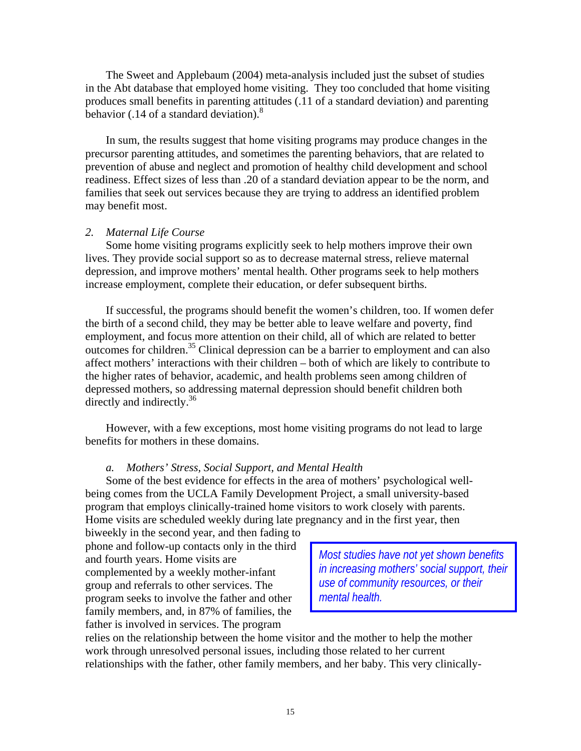The Sweet and Applebaum (2004) meta-analysis included just the subset of studies in the Abt database that employed home visiting. They too concluded that home visiting produces small benefits in parenting attitudes (.11 of a standard deviation) and parenting behavior (.14 of a standard deviation). $8$ 

In sum, the results suggest that home visiting programs may produce changes in the precursor parenting attitudes, and sometimes the parenting behaviors, that are related to prevention of abuse and neglect and promotion of healthy child development and school readiness. Effect sizes of less than .20 of a standard deviation appear to be the norm, and families that seek out services because they are trying to address an identified problem may benefit most.

#### *2. Maternal Life Course*

Some home visiting programs explicitly seek to help mothers improve their own lives. They provide social support so as to decrease maternal stress, relieve maternal depression, and improve mothers' mental health. Other programs seek to help mothers increase employment, complete their education, or defer subsequent births.

If successful, the programs should benefit the women's children, too. If women defer the birth of a second child, they may be better able to leave welfare and poverty, find employment, and focus more attention on their child, all of which are related to better outcomes for children.<sup>35</sup> Clinical depression can be a barrier to employment and can also affect mothers' interactions with their children – both of which are likely to contribute to the higher rates of behavior, academic, and health problems seen among children of depressed mothers, so addressing maternal depression should benefit children both directly and indirectly.<sup>36</sup>

However, with a few exceptions, most home visiting programs do not lead to large benefits for mothers in these domains.

#### *a. Mothers' Stress, Social Support, and Mental Health*

Some of the best evidence for effects in the area of mothers' psychological wellbeing comes from the UCLA Family Development Project, a small university-based program that employs clinically-trained home visitors to work closely with parents. Home visits are scheduled weekly during late pregnancy and in the first year, then

biweekly in the second year, and then fading to phone and follow-up contacts only in the third and fourth years. Home visits are complemented by a weekly mother-infant group and referrals to other services. The program seeks to involve the father and other family members, and, in 87% of families, the father is involved in services. The program

*Most studies have not yet shown benefits in increasing mothers' social support, their use of community resources, or their mental health.* 

relies on the relationship between the home visitor and the mother to help the mother work through unresolved personal issues, including those related to her current relationships with the father, other family members, and her baby. This very clinically-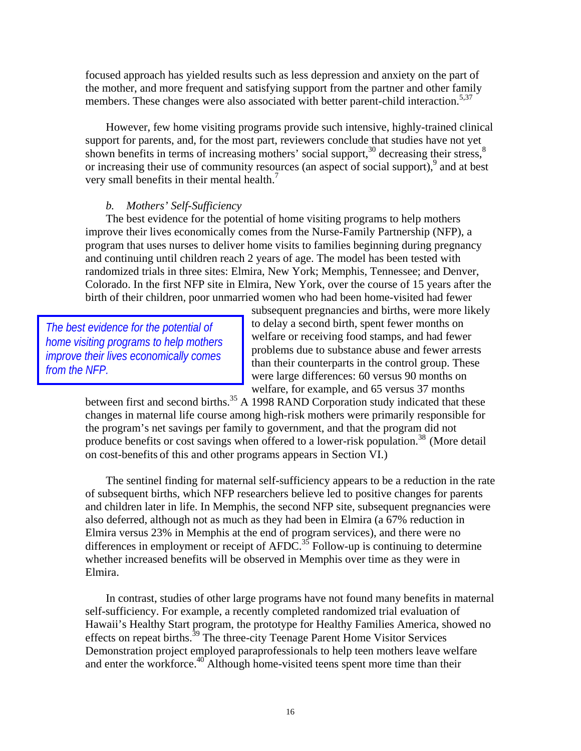focused approach has yielded results such as less depression and anxiety on the part of the mother, and more frequent and satisfying support from the partner and other family members. These changes were also associated with better parent-child interaction.<sup>5,37</sup>

However, few home visiting programs provide such intensive, highly-trained clinical support for parents, and, for the most part, reviewers conclude that studies have not yet shown benefits in terms of increasing mothers' social support,  $30$  decreasing their stress,  $8$ or increasing their use of community resources (an aspect of social support),<sup>9</sup> and at best very small benefits in their mental health.<sup>7</sup>

#### *b. Mothers' Self-Sufficiency*

The best evidence for the potential of home visiting programs to help mothers improve their lives economically comes from the Nurse-Family Partnership (NFP), a program that uses nurses to deliver home visits to families beginning during pregnancy and continuing until children reach 2 years of age. The model has been tested with randomized trials in three sites: Elmira, New York; Memphis, Tennessee; and Denver, Colorado. In the first NFP site in Elmira, New York, over the course of 15 years after the birth of their children, poor unmarried women who had been home-visited had fewer

*The best evidence for the potential of home visiting programs to help mothers improve their lives economically comes from the NFP.* 

subsequent pregnancies and births, were more likely to delay a second birth, spent fewer months on welfare or receiving food stamps, and had fewer problems due to substance abuse and fewer arrests than their counterparts in the control group. These were large differences: 60 versus 90 months on welfare, for example, and 65 versus 37 months

between first and second births.<sup>35</sup> A 1998 RAND Corporation study indicated that these changes in maternal life course among high-risk mothers were primarily responsible for the program's net savings per family to government, and that the program did not produce benefits or cost savings when offered to a lower-risk population.<sup>38</sup> (More detail on cost-benefits of this and other programs appears in Section VI.)

The sentinel finding for maternal self-sufficiency appears to be a reduction in the rate of subsequent births, which NFP researchers believe led to positive changes for parents and children later in life. In Memphis, the second NFP site, subsequent pregnancies were also deferred, although not as much as they had been in Elmira (a 67% reduction in Elmira versus 23% in Memphis at the end of program services), and there were no differences in employment or receipt of AFDC.<sup>35</sup> Follow-up is continuing to determine whether increased benefits will be observed in Memphis over time as they were in Elmira.

In contrast, studies of other large programs have not found many benefits in maternal self-sufficiency. For example, a recently completed randomized trial evaluation of Hawaii's Healthy Start program, the prototype for Healthy Families America, showed no effects on repeat births.<sup>39</sup> The three-city Teenage Parent Home Visitor Services Demonstration project employed paraprofessionals to help teen mothers leave welfare and enter the workforce.40 Although home-visited teens spent more time than their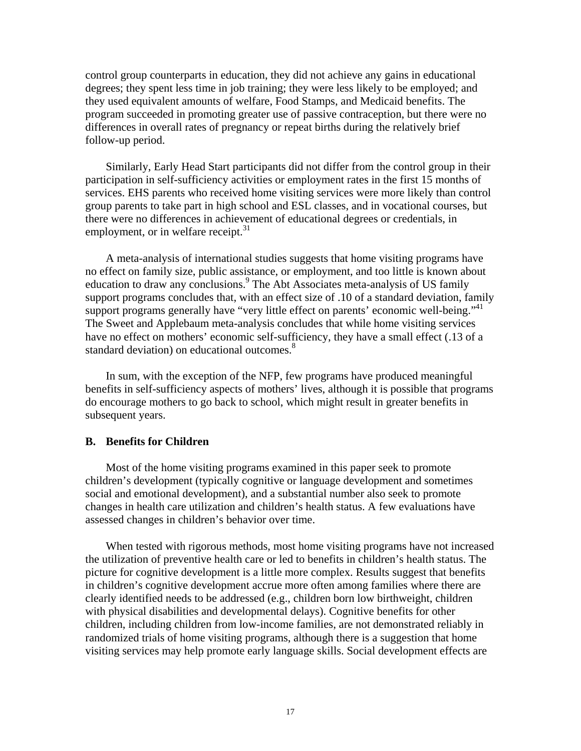control group counterparts in education, they did not achieve any gains in educational degrees; they spent less time in job training; they were less likely to be employed; and they used equivalent amounts of welfare, Food Stamps, and Medicaid benefits. The program succeeded in promoting greater use of passive contraception, but there were no differences in overall rates of pregnancy or repeat births during the relatively brief follow-up period.

Similarly, Early Head Start participants did not differ from the control group in their participation in self-sufficiency activities or employment rates in the first 15 months of services. EHS parents who received home visiting services were more likely than control group parents to take part in high school and ESL classes, and in vocational courses, but there were no differences in achievement of educational degrees or credentials, in employment, or in welfare receipt.<sup>31</sup>

A meta-analysis of international studies suggests that home visiting programs have no effect on family size, public assistance, or employment, and too little is known about education to draw any conclusions.<sup>9</sup> The Abt Associates meta-analysis of US family support programs concludes that, with an effect size of .10 of a standard deviation, family support programs generally have "very little effect on parents' economic well-being."<sup>41</sup> The Sweet and Applebaum meta-analysis concludes that while home visiting services have no effect on mothers' economic self-sufficiency, they have a small effect (.13 of a standard deviation) on educational outcomes.<sup>8</sup>

In sum, with the exception of the NFP, few programs have produced meaningful benefits in self-sufficiency aspects of mothers' lives, although it is possible that programs do encourage mothers to go back to school, which might result in greater benefits in subsequent years.

#### **B. Benefits for Children**

Most of the home visiting programs examined in this paper seek to promote children's development (typically cognitive or language development and sometimes social and emotional development), and a substantial number also seek to promote changes in health care utilization and children's health status. A few evaluations have assessed changes in children's behavior over time.

When tested with rigorous methods, most home visiting programs have not increased the utilization of preventive health care or led to benefits in children's health status. The picture for cognitive development is a little more complex. Results suggest that benefits in children's cognitive development accrue more often among families where there are clearly identified needs to be addressed (e.g., children born low birthweight, children with physical disabilities and developmental delays). Cognitive benefits for other children, including children from low-income families, are not demonstrated reliably in randomized trials of home visiting programs, although there is a suggestion that home visiting services may help promote early language skills. Social development effects are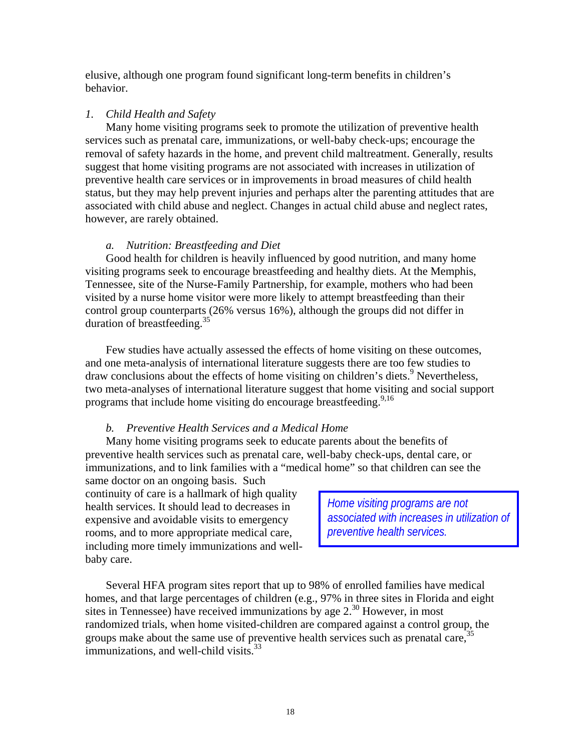elusive, although one program found significant long-term benefits in children's behavior.

#### *1. Child Health and Safety*

Many home visiting programs seek to promote the utilization of preventive health services such as prenatal care, immunizations, or well-baby check-ups; encourage the removal of safety hazards in the home, and prevent child maltreatment. Generally, results suggest that home visiting programs are not associated with increases in utilization of preventive health care services or in improvements in broad measures of child health status, but they may help prevent injuries and perhaps alter the parenting attitudes that are associated with child abuse and neglect. Changes in actual child abuse and neglect rates, however, are rarely obtained.

#### *a. Nutrition: Breastfeeding and Diet*

Good health for children is heavily influenced by good nutrition, and many home visiting programs seek to encourage breastfeeding and healthy diets. At the Memphis, Tennessee, site of the Nurse-Family Partnership, for example, mothers who had been visited by a nurse home visitor were more likely to attempt breastfeeding than their control group counterparts (26% versus 16%), although the groups did not differ in duration of breastfeeding.<sup>35</sup>

Few studies have actually assessed the effects of home visiting on these outcomes, and one meta-analysis of international literature suggests there are too few studies to draw conclusions about the effects of home visiting on children's diets.<sup>9</sup> Nevertheless, two meta-analyses of international literature suggest that home visiting and social support programs that include home visiting do encourage breastfeeding.<sup>9,16</sup>

## *b. Preventive Health Services and a Medical Home*

Many home visiting programs seek to educate parents about the benefits of preventive health services such as prenatal care, well-baby check-ups, dental care, or immunizations, and to link families with a "medical home" so that children can see the

same doctor on an ongoing basis. Such continuity of care is a hallmark of high quality health services. It should lead to decreases in expensive and avoidable visits to emergency rooms, and to more appropriate medical care, including more timely immunizations and wellbaby care.

*Home visiting programs are not associated with increases in utilization of preventive health services.* 

Several HFA program sites report that up to 98% of enrolled families have medical homes, and that large percentages of children (e.g., 97% in three sites in Florida and eight sites in Tennessee) have received immunizations by age  $2^{30}$  However, in most randomized trials, when home visited-children are compared against a control group, the groups make about the same use of preventive health services such as prenatal care,  $35$ immunizations, and well-child visits. $33$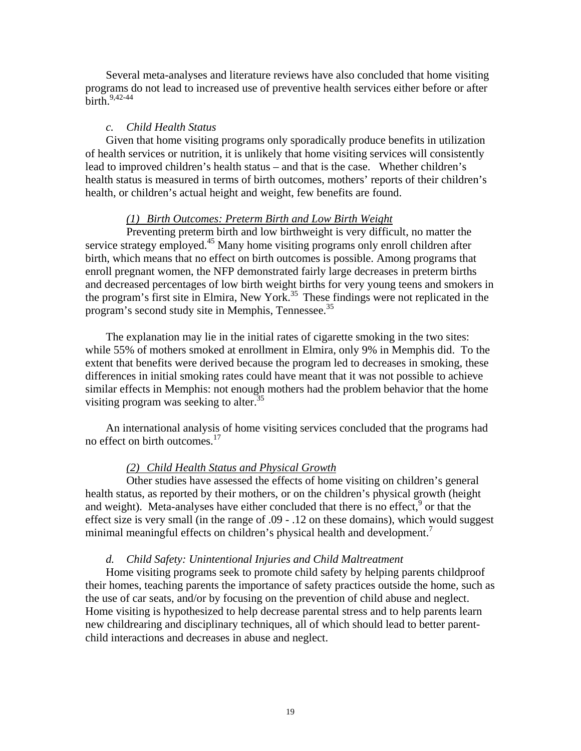Several meta-analyses and literature reviews have also concluded that home visiting programs do not lead to increased use of preventive health services either before or after birth. $9,42-44$ 

#### *c. Child Health Status*

Given that home visiting programs only sporadically produce benefits in utilization of health services or nutrition, it is unlikely that home visiting services will consistently lead to improved children's health status – and that is the case. Whether children's health status is measured in terms of birth outcomes, mothers' reports of their children's health, or children's actual height and weight, few benefits are found.

#### *(1) Birth Outcomes: Preterm Birth and Low Birth Weight*

Preventing preterm birth and low birthweight is very difficult, no matter the service strategy employed.<sup>45</sup> Many home visiting programs only enroll children after birth, which means that no effect on birth outcomes is possible. Among programs that enroll pregnant women, the NFP demonstrated fairly large decreases in preterm births and decreased percentages of low birth weight births for very young teens and smokers in the program's first site in Elmira, New York.<sup>35</sup> These findings were not replicated in the program's second study site in Memphis, Tennessee.<sup>35</sup>

The explanation may lie in the initial rates of cigarette smoking in the two sites: while 55% of mothers smoked at enrollment in Elmira, only 9% in Memphis did. To the extent that benefits were derived because the program led to decreases in smoking, these differences in initial smoking rates could have meant that it was not possible to achieve similar effects in Memphis: not enough mothers had the problem behavior that the home visiting program was seeking to alter.<sup>35</sup>

An international analysis of home visiting services concluded that the programs had no effect on birth outcomes.<sup>17</sup>

#### *(2) Child Health Status and Physical Growth*

Other studies have assessed the effects of home visiting on children's general health status, as reported by their mothers, or on the children's physical growth (height and weight). Meta-analyses have either concluded that there is no effect,  $9$  or that the effect size is very small (in the range of .09 - .12 on these domains), which would suggest minimal meaningful effects on children's physical health and development.<sup>7</sup>

## *d. Child Safety: Unintentional Injuries and Child Maltreatment*

Home visiting programs seek to promote child safety by helping parents childproof their homes, teaching parents the importance of safety practices outside the home, such as the use of car seats, and/or by focusing on the prevention of child abuse and neglect. Home visiting is hypothesized to help decrease parental stress and to help parents learn new childrearing and disciplinary techniques, all of which should lead to better parentchild interactions and decreases in abuse and neglect.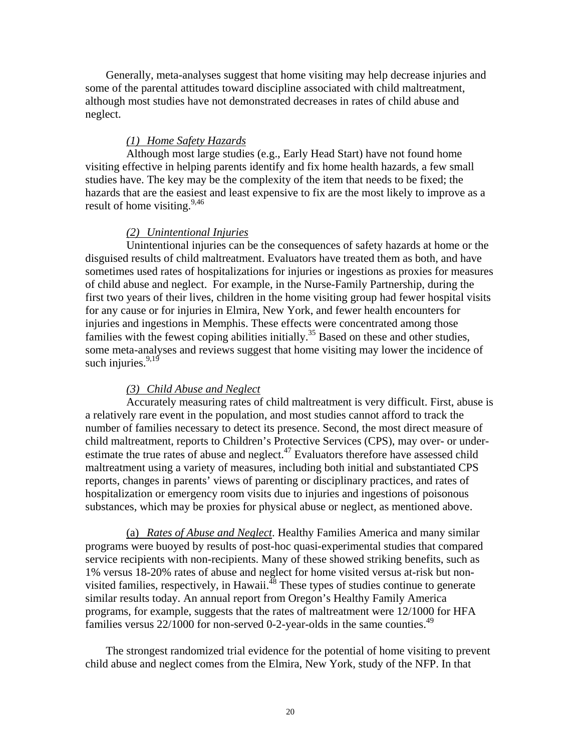Generally, meta-analyses suggest that home visiting may help decrease injuries and some of the parental attitudes toward discipline associated with child maltreatment, although most studies have not demonstrated decreases in rates of child abuse and neglect.

## *(1) Home Safety Hazards*

Although most large studies (e.g., Early Head Start) have not found home visiting effective in helping parents identify and fix home health hazards, a few small studies have. The key may be the complexity of the item that needs to be fixed; the hazards that are the easiest and least expensive to fix are the most likely to improve as a result of home visiting.  $9,46$ 

#### *(2) Unintentional Injuries*

Unintentional injuries can be the consequences of safety hazards at home or the disguised results of child maltreatment. Evaluators have treated them as both, and have sometimes used rates of hospitalizations for injuries or ingestions as proxies for measures of child abuse and neglect. For example, in the Nurse-Family Partnership, during the first two years of their lives, children in the home visiting group had fewer hospital visits for any cause or for injuries in Elmira, New York, and fewer health encounters for injuries and ingestions in Memphis. These effects were concentrated among those families with the fewest coping abilities initially.<sup>35</sup> Based on these and other studies, some meta-analyses and reviews suggest that home visiting may lower the incidence of such injuries. $9,19$ 

## *(3) Child Abuse and Neglect*

Accurately measuring rates of child maltreatment is very difficult. First, abuse is a relatively rare event in the population, and most studies cannot afford to track the number of families necessary to detect its presence. Second, the most direct measure of child maltreatment, reports to Children's Protective Services (CPS), may over- or underestimate the true rates of abuse and neglect.<sup>47</sup> Evaluators therefore have assessed child maltreatment using a variety of measures, including both initial and substantiated CPS reports, changes in parents' views of parenting or disciplinary practices, and rates of hospitalization or emergency room visits due to injuries and ingestions of poisonous substances, which may be proxies for physical abuse or neglect, as mentioned above.

 (a) *Rates of Abuse and Neglect*. Healthy Families America and many similar programs were buoyed by results of post-hoc quasi-experimental studies that compared service recipients with non-recipients. Many of these showed striking benefits, such as 1% versus 18-20% rates of abuse and neglect for home visited versus at-risk but nonvisited families, respectively, in Hawaii. $^{18}$  These types of studies continue to generate similar results today. An annual report from Oregon's Healthy Family America programs, for example, suggests that the rates of maltreatment were 12/1000 for HFA families versus  $22/1000$  for non-served 0-2-year-olds in the same counties.<sup>49</sup>

The strongest randomized trial evidence for the potential of home visiting to prevent child abuse and neglect comes from the Elmira, New York, study of the NFP. In that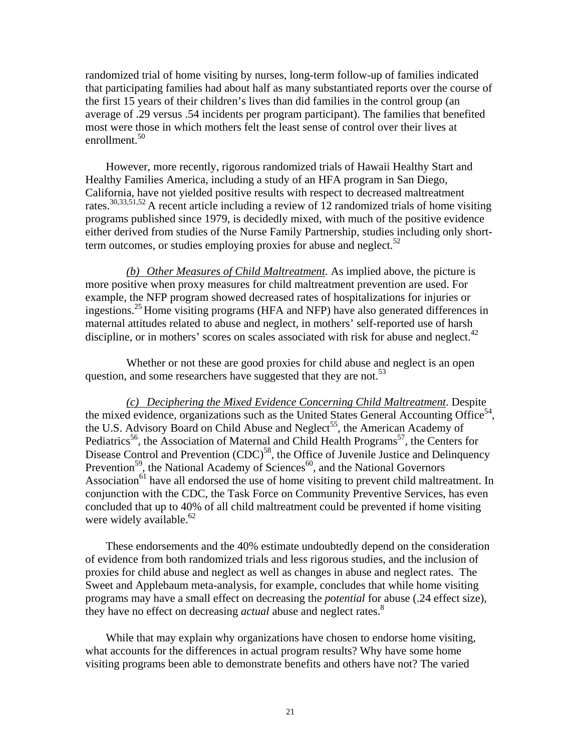randomized trial of home visiting by nurses, long-term follow-up of families indicated that participating families had about half as many substantiated reports over the course of the first 15 years of their children's lives than did families in the control group (an average of .29 versus .54 incidents per program participant). The families that benefited most were those in which mothers felt the least sense of control over their lives at enrollment.<sup>50</sup>

However, more recently, rigorous randomized trials of Hawaii Healthy Start and Healthy Families America, including a study of an HFA program in San Diego, California, have not yielded positive results with respect to decreased maltreatment rates.30,33,51,52 A recent article including a review of 12 randomized trials of home visiting programs published since 1979, is decidedly mixed, with much of the positive evidence either derived from studies of the Nurse Family Partnership, studies including only shortterm outcomes, or studies employing proxies for abuse and neglect.<sup>52</sup>

*(b) Other Measures of Child Maltreatment.* As implied above, the picture is more positive when proxy measures for child maltreatment prevention are used. For example, the NFP program showed decreased rates of hospitalizations for injuries or ingestions.<sup>25</sup> Home visiting programs (HFA and NFP) have also generated differences in maternal attitudes related to abuse and neglect, in mothers' self-reported use of harsh discipline, or in mothers' scores on scales associated with risk for abuse and neglect.<sup>42</sup>

Whether or not these are good proxies for child abuse and neglect is an open question, and some researchers have suggested that they are not.  $53$ 

*(c) Deciphering the Mixed Evidence Concerning Child Maltreatment*. Despite the mixed evidence, organizations such as the United States General Accounting Office<sup>54</sup>, the U.S. Advisory Board on Child Abuse and Neglect<sup>55</sup>, the American Academy of Pediatrics<sup>56</sup>, the Association of Maternal and Child Health Programs<sup>57</sup>, the Centers for Disease Control and Prevention (CDC)<sup>58</sup>, the Office of Juvenile Justice and Delinquency Prevention<sup>59</sup>, the National Academy of Sciences<sup>60</sup>, and the National Governors Association<sup>61</sup> have all endorsed the use of home visiting to prevent child maltreatment. In conjunction with the CDC, the Task Force on Community Preventive Services, has even concluded that up to 40% of all child maltreatment could be prevented if home visiting were widely available. $62$ 

These endorsements and the 40% estimate undoubtedly depend on the consideration of evidence from both randomized trials and less rigorous studies, and the inclusion of proxies for child abuse and neglect as well as changes in abuse and neglect rates. The Sweet and Applebaum meta-analysis, for example, concludes that while home visiting programs may have a small effect on decreasing the *potential* for abuse (.24 effect size), they have no effect on decreasing *actual* abuse and neglect rates.<sup>8</sup>

While that may explain why organizations have chosen to endorse home visiting, what accounts for the differences in actual program results? Why have some home visiting programs been able to demonstrate benefits and others have not? The varied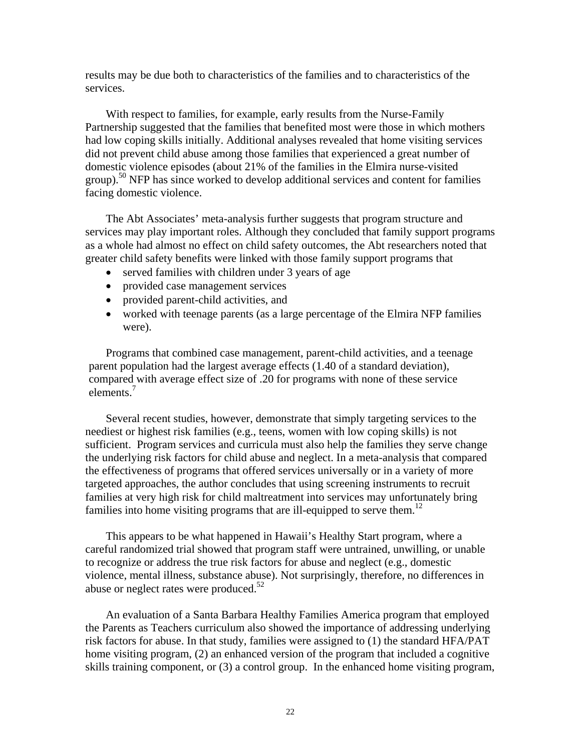results may be due both to characteristics of the families and to characteristics of the services.

With respect to families, for example, early results from the Nurse-Family Partnership suggested that the families that benefited most were those in which mothers had low coping skills initially. Additional analyses revealed that home visiting services did not prevent child abuse among those families that experienced a great number of domestic violence episodes (about 21% of the families in the Elmira nurse-visited  $\text{group}$ .<sup>50</sup> NFP has since worked to develop additional services and content for families facing domestic violence.

The Abt Associates' meta-analysis further suggests that program structure and services may play important roles. Although they concluded that family support programs as a whole had almost no effect on child safety outcomes, the Abt researchers noted that greater child safety benefits were linked with those family support programs that

- served families with children under 3 years of age
- provided case management services
- provided parent-child activities, and
- worked with teenage parents (as a large percentage of the Elmira NFP families were).

Programs that combined case management, parent-child activities, and a teenage parent population had the largest average effects (1.40 of a standard deviation), compared with average effect size of .20 for programs with none of these service elements.<sup>7</sup>

Several recent studies, however, demonstrate that simply targeting services to the neediest or highest risk families (e.g., teens, women with low coping skills) is not sufficient. Program services and curricula must also help the families they serve change the underlying risk factors for child abuse and neglect. In a meta-analysis that compared the effectiveness of programs that offered services universally or in a variety of more targeted approaches, the author concludes that using screening instruments to recruit families at very high risk for child maltreatment into services may unfortunately bring families into home visiting programs that are ill-equipped to serve them.<sup>12</sup>

This appears to be what happened in Hawaii's Healthy Start program, where a careful randomized trial showed that program staff were untrained, unwilling, or unable to recognize or address the true risk factors for abuse and neglect (e.g., domestic violence, mental illness, substance abuse). Not surprisingly, therefore, no differences in abuse or neglect rates were produced. $52$ 

An evaluation of a Santa Barbara Healthy Families America program that employed the Parents as Teachers curriculum also showed the importance of addressing underlying risk factors for abuse. In that study, families were assigned to (1) the standard HFA/PAT home visiting program, (2) an enhanced version of the program that included a cognitive skills training component, or (3) a control group. In the enhanced home visiting program,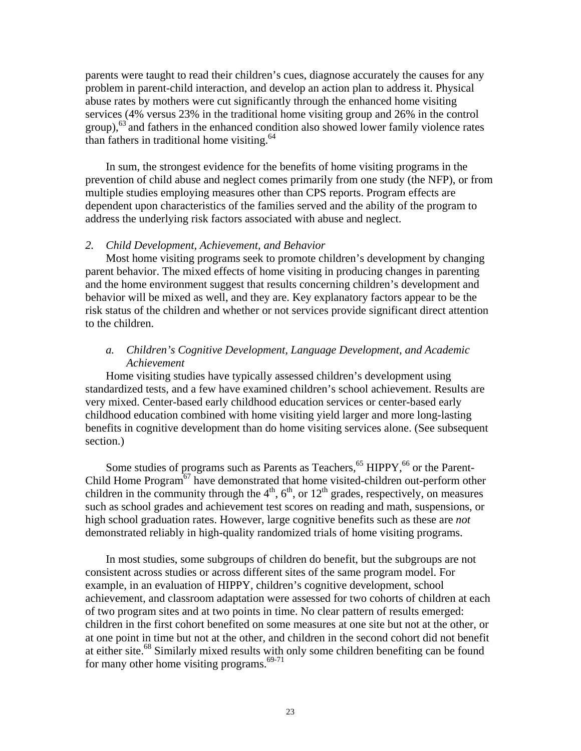parents were taught to read their children's cues, diagnose accurately the causes for any problem in parent-child interaction, and develop an action plan to address it. Physical abuse rates by mothers were cut significantly through the enhanced home visiting services (4% versus 23% in the traditional home visiting group and 26% in the control  $\text{group}$ ,<sup>63</sup> and fathers in the enhanced condition also showed lower family violence rates than fathers in traditional home visiting.<sup>64</sup>

In sum, the strongest evidence for the benefits of home visiting programs in the prevention of child abuse and neglect comes primarily from one study (the NFP), or from multiple studies employing measures other than CPS reports. Program effects are dependent upon characteristics of the families served and the ability of the program to address the underlying risk factors associated with abuse and neglect.

#### *2. Child Development, Achievement, and Behavior*

 Most home visiting programs seek to promote children's development by changing parent behavior. The mixed effects of home visiting in producing changes in parenting and the home environment suggest that results concerning children's development and behavior will be mixed as well, and they are. Key explanatory factors appear to be the risk status of the children and whether or not services provide significant direct attention to the children.

## *a. Children's Cognitive Development, Language Development, and Academic Achievement*

Home visiting studies have typically assessed children's development using standardized tests, and a few have examined children's school achievement. Results are very mixed. Center-based early childhood education services or center-based early childhood education combined with home visiting yield larger and more long-lasting benefits in cognitive development than do home visiting services alone. (See subsequent section.)

Some studies of programs such as Parents as Teachers,<sup>65</sup> HIPPY,<sup>66</sup> or the Parent-Child Home Program<sup>67</sup> have demonstrated that home visited-children out-perform other children in the community through the  $4<sup>th</sup>$ ,  $6<sup>th</sup>$ , or  $12<sup>th</sup>$  grades, respectively, on measures such as school grades and achievement test scores on reading and math, suspensions, or high school graduation rates. However, large cognitive benefits such as these are *not*  demonstrated reliably in high-quality randomized trials of home visiting programs.

In most studies, some subgroups of children do benefit, but the subgroups are not consistent across studies or across different sites of the same program model. For example, in an evaluation of HIPPY, children's cognitive development, school achievement, and classroom adaptation were assessed for two cohorts of children at each of two program sites and at two points in time. No clear pattern of results emerged: children in the first cohort benefited on some measures at one site but not at the other, or at one point in time but not at the other, and children in the second cohort did not benefit at either site.<sup>68</sup> Similarly mixed results with only some children benefiting can be found for many other home visiting programs. $69-71$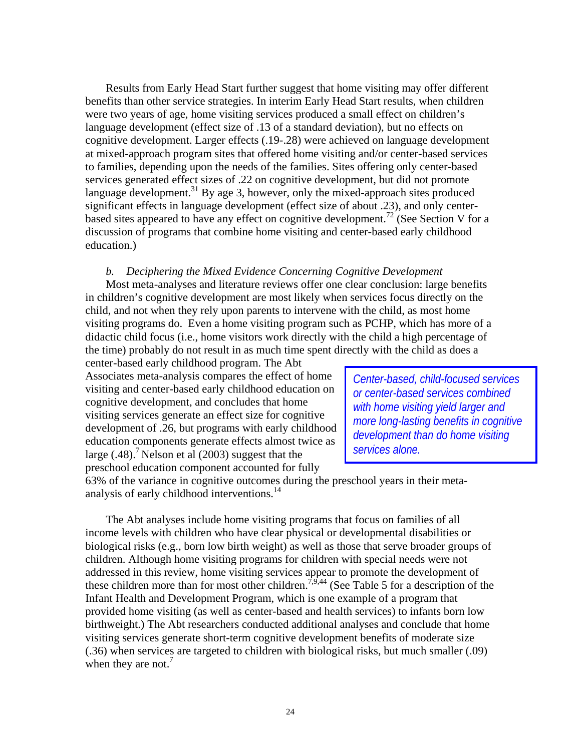Results from Early Head Start further suggest that home visiting may offer different benefits than other service strategies. In interim Early Head Start results, when children were two years of age, home visiting services produced a small effect on children's language development (effect size of .13 of a standard deviation), but no effects on cognitive development. Larger effects (.19-.28) were achieved on language development at mixed-approach program sites that offered home visiting and/or center-based services to families, depending upon the needs of the families. Sites offering only center-based services generated effect sizes of .22 on cognitive development, but did not promote language development.<sup>31</sup> By age 3, however, only the mixed-approach sites produced significant effects in language development (effect size of about .23), and only centerbased sites appeared to have any effect on cognitive development.<sup>72</sup> (See Section V for a discussion of programs that combine home visiting and center-based early childhood education.)

#### *b. Deciphering the Mixed Evidence Concerning Cognitive Development*

Most meta-analyses and literature reviews offer one clear conclusion: large benefits in children's cognitive development are most likely when services focus directly on the child, and not when they rely upon parents to intervene with the child, as most home visiting programs do. Even a home visiting program such as PCHP, which has more of a didactic child focus (i.e., home visitors work directly with the child a high percentage of the time) probably do not result in as much time spent directly with the child as does a

center-based early childhood program. The Abt Associates meta-analysis compares the effect of home visiting and center-based early childhood education on cognitive development, and concludes that home visiting services generate an effect size for cognitive development of .26, but programs with early childhood education components generate effects almost twice as large  $(.48)$ .<sup>7</sup> Nelson et al  $(2003)$  suggest that the preschool education component accounted for fully

*Center-based, child-focused services or center-based services combined with home visiting yield larger and more long-lasting benefits in cognitive development than do home visiting services alone.* 

63% of the variance in cognitive outcomes during the preschool years in their metaanalysis of early childhood interventions.14

The Abt analyses include home visiting programs that focus on families of all income levels with children who have clear physical or developmental disabilities or biological risks (e.g., born low birth weight) as well as those that serve broader groups of children. Although home visiting programs for children with special needs were not addressed in this review, home visiting services appear to promote the development of these children more than for most other children.<sup>7,9,44</sup> (See Table 5 for a description of the Infant Health and Development Program, which is one example of a program that provided home visiting (as well as center-based and health services) to infants born low birthweight.) The Abt researchers conducted additional analyses and conclude that home visiting services generate short-term cognitive development benefits of moderate size (.36) when services are targeted to children with biological risks, but much smaller (.09) when they are not.<sup>7</sup>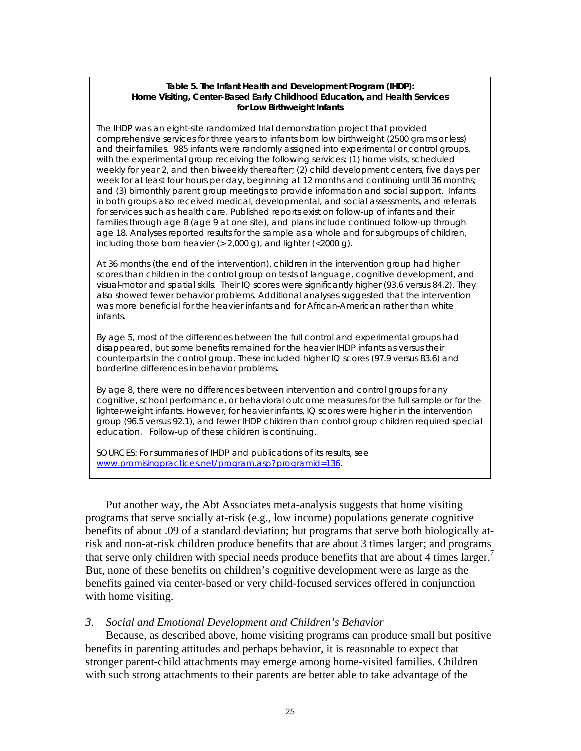#### **Table 5. The Infant Health and Development Program (IHDP):**  *Home Visiting, Center-Based Early Childhood Education, and Health Services for Low Birthweight Infants*

The IHDP was an eight-site randomized trial demonstration project that provided comprehensive services for three years to infants born low birthweight (2500 grams or less) and their families. 985 infants were randomly assigned into experimental or control groups, with the experimental group receiving the following services: (1) home visits, scheduled weekly for year 2, and then biweekly thereafter; (2) child development centers, five days per week for at least four hours per day, beginning at 12 months and continuing until 36 months; and (3) bimonthly parent group meetings to provide information and social support. Infants in both groups also received medical, developmental, and social assessments, and referrals for services such as health care. Published reports exist on follow-up of infants and their families through age 8 (age 9 at one site), and plans include continued follow-up through age 18. Analyses reported results for the sample as a whole and for subgroups of children, including those born heavier  $(> 2,000 \text{ q})$ , and lighter  $( $2000 \text{ q}$ ).$ 

At 36 months (the end of the intervention), children in the intervention group had higher scores than children in the control group on tests of language, cognitive development, and visual-motor and spatial skills. Their IQ scores were significantly higher (93.6 versus 84.2). They also showed fewer behavior problems. Additional analyses suggested that the intervention was more beneficial for the heavier infants and for African-American rather than white infants.

By age 5, most of the differences between the full control and experimental groups had disappeared, but some benefits remained for the heavier IHDP infants as versus their counterparts in the control group. These included higher IQ scores (97.9 versus 83.6) and borderline differences in behavior problems.

By age 8, there were no differences between intervention and control groups for any cognitive, school performance, or behavioral outcome measures for the full sample or for the lighter-weight infants. However, for heavier infants, IQ scores were higher in the intervention group (96.5 versus 92.1), and fewer IHDP children than control group children required special education. Follow-up of these children is continuing.

SOURCES: For summaries of IHDP and publications of its results, see www.promisingpractices.net/program.asp?programid=136.

Put another way, the Abt Associates meta-analysis suggests that home visiting programs that serve socially at-risk (e.g., low income) populations generate cognitive benefits of about .09 of a standard deviation; but programs that serve both biologically atrisk and non-at-risk children produce benefits that are about 3 times larger; and programs that serve only children with special needs produce benefits that are about 4 times larger. But, none of these benefits on children's cognitive development were as large as the benefits gained via center-based or very child-focused services offered in conjunction with home visiting.

#### *3. Social and Emotional Development and Children's Behavior*

Because, as described above, home visiting programs can produce small but positive benefits in parenting attitudes and perhaps behavior, it is reasonable to expect that stronger parent-child attachments may emerge among home-visited families. Children with such strong attachments to their parents are better able to take advantage of the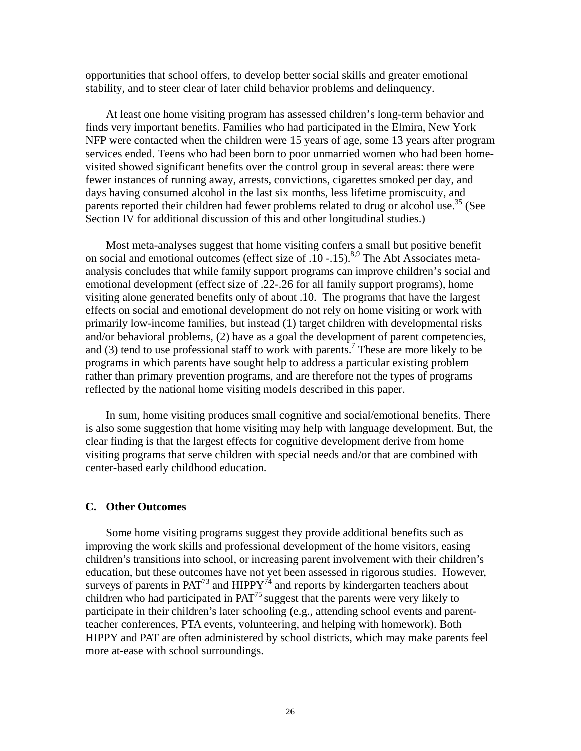opportunities that school offers, to develop better social skills and greater emotional stability, and to steer clear of later child behavior problems and delinquency.

At least one home visiting program has assessed children's long-term behavior and finds very important benefits. Families who had participated in the Elmira, New York NFP were contacted when the children were 15 years of age, some 13 years after program services ended. Teens who had been born to poor unmarried women who had been homevisited showed significant benefits over the control group in several areas: there were fewer instances of running away, arrests, convictions, cigarettes smoked per day, and days having consumed alcohol in the last six months, less lifetime promiscuity, and parents reported their children had fewer problems related to drug or alcohol use.<sup>35</sup> (See Section IV for additional discussion of this and other longitudinal studies.)

Most meta-analyses suggest that home visiting confers a small but positive benefit on social and emotional outcomes (effect size of  $\overline{.10}$  -.15).<sup>8,9</sup> The Abt Associates metaanalysis concludes that while family support programs can improve children's social and emotional development (effect size of .22-.26 for all family support programs), home visiting alone generated benefits only of about .10. The programs that have the largest effects on social and emotional development do not rely on home visiting or work with primarily low-income families, but instead (1) target children with developmental risks and/or behavioral problems, (2) have as a goal the development of parent competencies, and  $(3)$  tend to use professional staff to work with parents.<sup>7</sup> These are more likely to be programs in which parents have sought help to address a particular existing problem rather than primary prevention programs, and are therefore not the types of programs reflected by the national home visiting models described in this paper.

In sum, home visiting produces small cognitive and social/emotional benefits. There is also some suggestion that home visiting may help with language development. But, the clear finding is that the largest effects for cognitive development derive from home visiting programs that serve children with special needs and/or that are combined with center-based early childhood education.

#### **C. Other Outcomes**

Some home visiting programs suggest they provide additional benefits such as improving the work skills and professional development of the home visitors, easing children's transitions into school, or increasing parent involvement with their children's education, but these outcomes have not yet been assessed in rigorous studies. However, surveys of parents in  $PAT^{73}$  and  $HPPY^{74}$  and reports by kindergarten teachers about children who had participated in PAT<sup>75</sup> suggest that the parents were very likely to participate in their children's later schooling (e.g., attending school events and parentteacher conferences, PTA events, volunteering, and helping with homework). Both HIPPY and PAT are often administered by school districts, which may make parents feel more at-ease with school surroundings.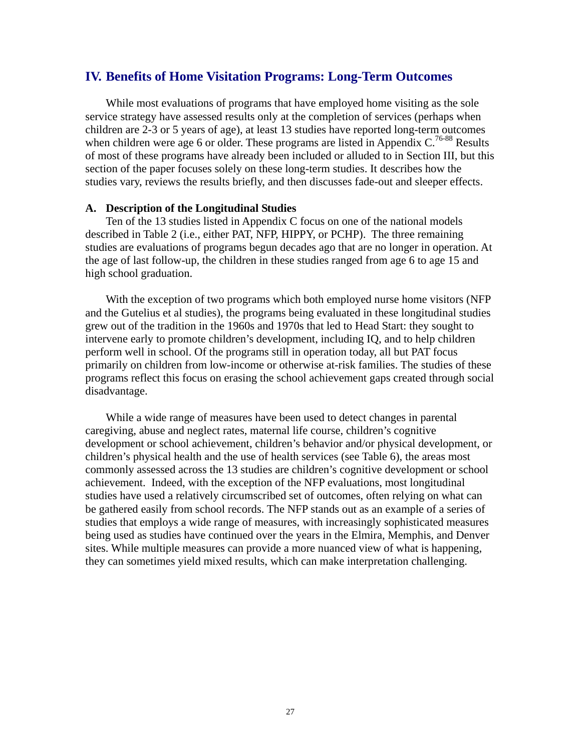## **IV. Benefits of Home Visitation Programs: Long-Term Outcomes**

While most evaluations of programs that have employed home visiting as the sole service strategy have assessed results only at the completion of services (perhaps when children are 2-3 or 5 years of age), at least 13 studies have reported long-term outcomes when children were age 6 or older. These programs are listed in Appendix C.<sup>76-88</sup> Results of most of these programs have already been included or alluded to in Section III, but this section of the paper focuses solely on these long-term studies. It describes how the studies vary, reviews the results briefly, and then discusses fade-out and sleeper effects.

#### **A. Description of the Longitudinal Studies**

Ten of the 13 studies listed in Appendix C focus on one of the national models described in Table 2 (i.e., either PAT, NFP, HIPPY, or PCHP). The three remaining studies are evaluations of programs begun decades ago that are no longer in operation. At the age of last follow-up, the children in these studies ranged from age 6 to age 15 and high school graduation.

With the exception of two programs which both employed nurse home visitors (NFP and the Gutelius et al studies), the programs being evaluated in these longitudinal studies grew out of the tradition in the 1960s and 1970s that led to Head Start: they sought to intervene early to promote children's development, including IQ, and to help children perform well in school. Of the programs still in operation today, all but PAT focus primarily on children from low-income or otherwise at-risk families. The studies of these programs reflect this focus on erasing the school achievement gaps created through social disadvantage.

While a wide range of measures have been used to detect changes in parental caregiving, abuse and neglect rates, maternal life course, children's cognitive development or school achievement, children's behavior and/or physical development, or children's physical health and the use of health services (see Table 6), the areas most commonly assessed across the 13 studies are children's cognitive development or school achievement. Indeed, with the exception of the NFP evaluations, most longitudinal studies have used a relatively circumscribed set of outcomes, often relying on what can be gathered easily from school records. The NFP stands out as an example of a series of studies that employs a wide range of measures, with increasingly sophisticated measures being used as studies have continued over the years in the Elmira, Memphis, and Denver sites. While multiple measures can provide a more nuanced view of what is happening, they can sometimes yield mixed results, which can make interpretation challenging.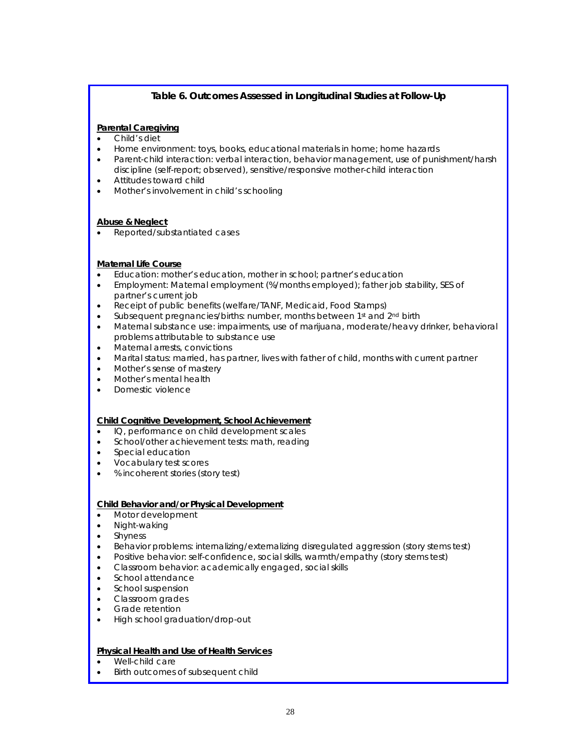## **Table 6. Outcomes Assessed in Longitudinal Studies at Follow-Up**

#### **Parental Caregiving**

- Child's diet
- Home environment: toys, books, educational materials in home; home hazards
- Parent-child interaction: verbal interaction, behavior management, use of punishment/harsh discipline (self-report; observed), sensitive/responsive mother-child interaction
- Attitudes toward child
- Mother's involvement in child's schooling

#### **Abuse & Neglect**

• Reported/substantiated cases

#### **Maternal Life Course**

- Education: mother's education, mother in school; partner's education
- Employment: Maternal employment (%/months employed); father job stability, SES of partner's current job
- Receipt of public benefits (welfare/TANF, Medicaid, Food Stamps)
- Subsequent pregnancies/births: number, months between 1<sup>st</sup> and 2<sup>nd</sup> birth
- Maternal substance use: impairments, use of marijuana, moderate/heavy drinker, behavioral problems attributable to substance use
- Maternal arrests, convictions
- Marital status: married, has partner, lives with father of child, months with current partner
- Mother's sense of mastery
- Mother's mental health
- Domestic violence

#### **Child Cognitive Development, School Achievement**

- IQ, performance on child development scales
- School/other achievement tests: math, reading
- Special education
- Vocabulary test scores
- % incoherent stories (story test)

#### **Child Behavior and/or Physical Development**

- Motor development
- Night-waking
- Shyness
- Behavior problems: internalizing/externalizing disregulated aggression (story stems test)
- Positive behavior: self-confidence, social skills, warmth/empathy (story stems test)
- Classroom behavior: academically engaged, social skills
- School attendance
- School suspension
- Classroom grades
- Grade retention
- High school graduation/drop-out

#### **Physical Health and Use of Health Services**

- Well-child care
- Birth outcomes of subsequent child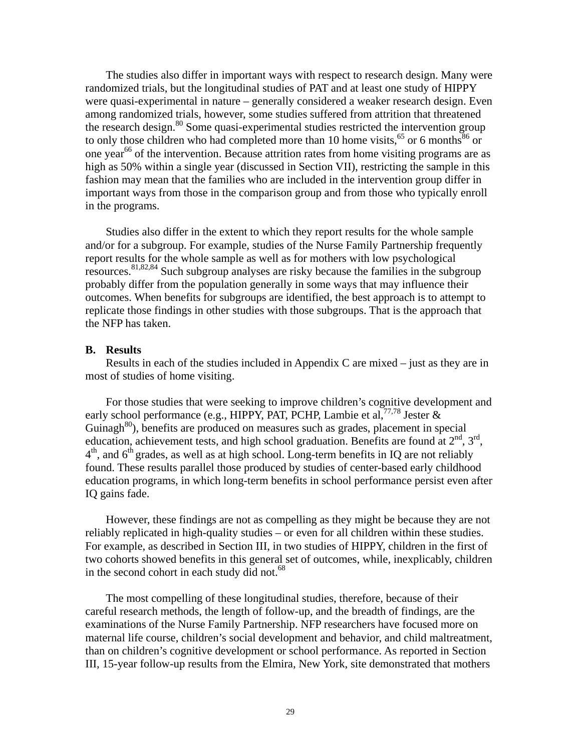The studies also differ in important ways with respect to research design. Many were randomized trials, but the longitudinal studies of PAT and at least one study of HIPPY were quasi-experimental in nature – generally considered a weaker research design. Even among randomized trials, however, some studies suffered from attrition that threatened the research design.<sup>80</sup> Some quasi-experimental studies restricted the intervention group to only those children who had completed more than 10 home visits,  $65$  or 6 months  $86$  or one year<sup>66</sup> of the intervention. Because attrition rates from home visiting programs are as high as 50% within a single year (discussed in Section VII), restricting the sample in this fashion may mean that the families who are included in the intervention group differ in important ways from those in the comparison group and from those who typically enroll in the programs.

Studies also differ in the extent to which they report results for the whole sample and/or for a subgroup. For example, studies of the Nurse Family Partnership frequently report results for the whole sample as well as for mothers with low psychological resources.81,82,84 Such subgroup analyses are risky because the families in the subgroup probably differ from the population generally in some ways that may influence their outcomes. When benefits for subgroups are identified, the best approach is to attempt to replicate those findings in other studies with those subgroups. That is the approach that the NFP has taken.

## **B. Results**

Results in each of the studies included in Appendix C are mixed – just as they are in most of studies of home visiting.

For those studies that were seeking to improve children's cognitive development and early school performance (e.g., HIPPY, PAT, PCHP, Lambie et al,  $^{77,78}$  Jester  $\&$ Guinagh<sup>80</sup>), benefits are produced on measures such as grades, placement in special education, achievement tests, and high school graduation. Benefits are found at  $2^{nd}$ ,  $3^{rd}$ ,  $4<sup>th</sup>$ , and  $6<sup>th</sup>$  grades, as well as at high school. Long-term benefits in IQ are not reliably found. These results parallel those produced by studies of center-based early childhood education programs, in which long-term benefits in school performance persist even after IQ gains fade.

However, these findings are not as compelling as they might be because they are not reliably replicated in high-quality studies – or even for all children within these studies. For example, as described in Section III, in two studies of HIPPY, children in the first of two cohorts showed benefits in this general set of outcomes, while, inexplicably, children in the second cohort in each study did not.<sup>68</sup>

The most compelling of these longitudinal studies, therefore, because of their careful research methods, the length of follow-up, and the breadth of findings, are the examinations of the Nurse Family Partnership. NFP researchers have focused more on maternal life course, children's social development and behavior, and child maltreatment, than on children's cognitive development or school performance. As reported in Section III, 15-year follow-up results from the Elmira, New York, site demonstrated that mothers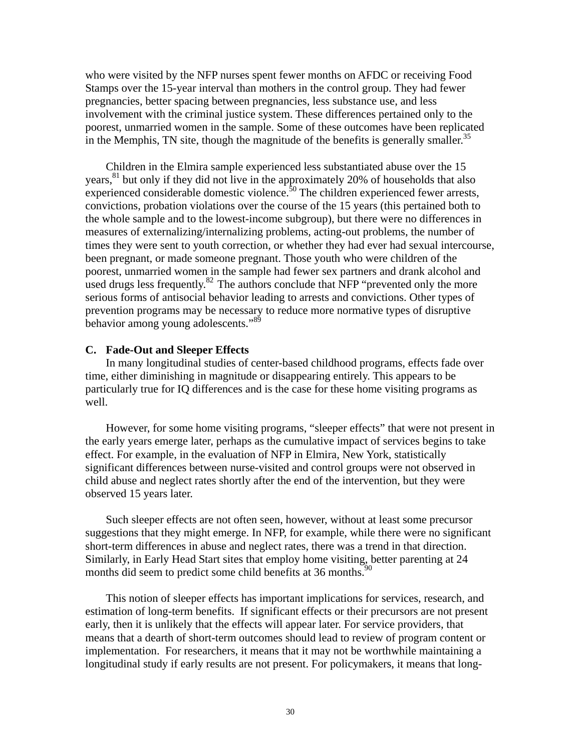who were visited by the NFP nurses spent fewer months on AFDC or receiving Food Stamps over the 15-year interval than mothers in the control group. They had fewer pregnancies, better spacing between pregnancies, less substance use, and less involvement with the criminal justice system. These differences pertained only to the poorest, unmarried women in the sample. Some of these outcomes have been replicated in the Memphis, TN site, though the magnitude of the benefits is generally smaller.<sup>35</sup>

Children in the Elmira sample experienced less substantiated abuse over the 15 years, $81$  but only if they did not live in the approximately 20% of households that also experienced considerable domestic violence.<sup>50</sup> The children experienced fewer arrests, convictions, probation violations over the course of the 15 years (this pertained both to the whole sample and to the lowest-income subgroup), but there were no differences in measures of externalizing/internalizing problems, acting-out problems, the number of times they were sent to youth correction, or whether they had ever had sexual intercourse, been pregnant, or made someone pregnant. Those youth who were children of the poorest, unmarried women in the sample had fewer sex partners and drank alcohol and used drugs less frequently. $82$  The authors conclude that NFP "prevented only the more serious forms of antisocial behavior leading to arrests and convictions. Other types of prevention programs may be necessary to reduce more normative types of disruptive behavior among young adolescents."<sup>89</sup>

#### **C. Fade-Out and Sleeper Effects**

In many longitudinal studies of center-based childhood programs, effects fade over time, either diminishing in magnitude or disappearing entirely. This appears to be particularly true for IQ differences and is the case for these home visiting programs as well.

However, for some home visiting programs, "sleeper effects" that were not present in the early years emerge later, perhaps as the cumulative impact of services begins to take effect. For example, in the evaluation of NFP in Elmira, New York, statistically significant differences between nurse-visited and control groups were not observed in child abuse and neglect rates shortly after the end of the intervention, but they were observed 15 years later.

Such sleeper effects are not often seen, however, without at least some precursor suggestions that they might emerge. In NFP, for example, while there were no significant short-term differences in abuse and neglect rates, there was a trend in that direction. Similarly, in Early Head Start sites that employ home visiting, better parenting at 24 months did seem to predict some child benefits at 36 months.<sup>90</sup>

This notion of sleeper effects has important implications for services, research, and estimation of long-term benefits. If significant effects or their precursors are not present early, then it is unlikely that the effects will appear later. For service providers, that means that a dearth of short-term outcomes should lead to review of program content or implementation. For researchers, it means that it may not be worthwhile maintaining a longitudinal study if early results are not present. For policymakers, it means that long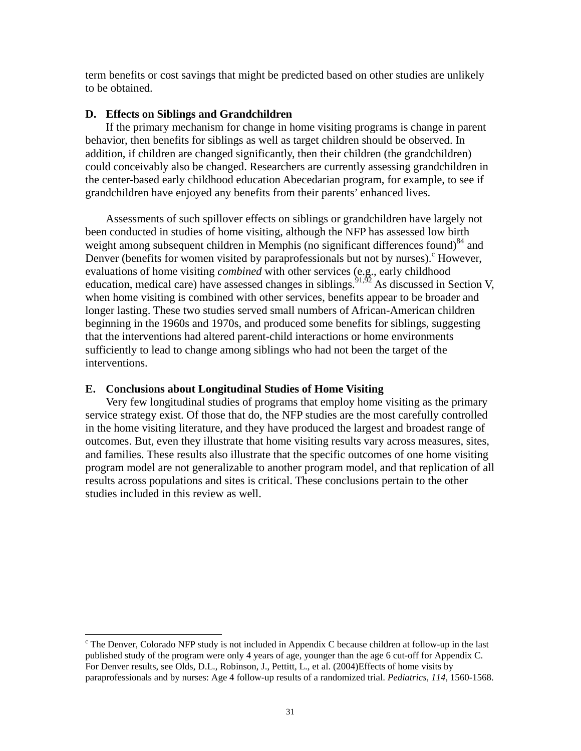term benefits or cost savings that might be predicted based on other studies are unlikely to be obtained.

#### **D. Effects on Siblings and Grandchildren**

 If the primary mechanism for change in home visiting programs is change in parent behavior, then benefits for siblings as well as target children should be observed. In addition, if children are changed significantly, then their children (the grandchildren) could conceivably also be changed. Researchers are currently assessing grandchildren in the center-based early childhood education Abecedarian program, for example, to see if grandchildren have enjoyed any benefits from their parents' enhanced lives.

Assessments of such spillover effects on siblings or grandchildren have largely not been conducted in studies of home visiting, although the NFP has assessed low birth weight among subsequent children in Memphis (no significant differences found)<sup>84</sup> and Denver (benefits for women visited by paraprofessionals but not by nurses). However, evaluations of home visiting *combined* with other services (e.g., early childhood education, medical care) have assessed changes in siblings.<sup>91,92</sup> As discussed in Section V, when home visiting is combined with other services, benefits appear to be broader and longer lasting. These two studies served small numbers of African-American children beginning in the 1960s and 1970s, and produced some benefits for siblings, suggesting that the interventions had altered parent-child interactions or home environments sufficiently to lead to change among siblings who had not been the target of the interventions.

#### **E. Conclusions about Longitudinal Studies of Home Visiting**

 $\overline{a}$ 

 Very few longitudinal studies of programs that employ home visiting as the primary service strategy exist. Of those that do, the NFP studies are the most carefully controlled in the home visiting literature, and they have produced the largest and broadest range of outcomes. But, even they illustrate that home visiting results vary across measures, sites, and families. These results also illustrate that the specific outcomes of one home visiting program model are not generalizable to another program model, and that replication of all results across populations and sites is critical. These conclusions pertain to the other studies included in this review as well.

 $\epsilon$  The Denver, Colorado NFP study is not included in Appendix C because children at follow-up in the last published study of the program were only 4 years of age, younger than the age 6 cut-off for Appendix C. For Denver results, see Olds, D.L., Robinson, J., Pettitt, L., et al. (2004)Effects of home visits by paraprofessionals and by nurses: Age 4 follow-up results of a randomized trial. *Pediatrics, 114*, 1560-1568.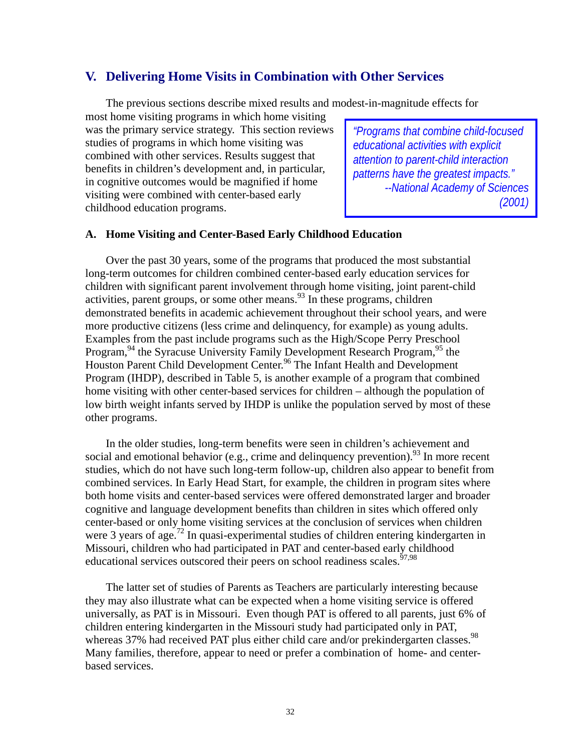## **V. Delivering Home Visits in Combination with Other Services**

The previous sections describe mixed results and modest-in-magnitude effects for

most home visiting programs in which home visiting was the primary service strategy. This section reviews studies of programs in which home visiting was combined with other services. Results suggest that benefits in children's development and, in particular, in cognitive outcomes would be magnified if home visiting were combined with center-based early childhood education programs.

*"Programs that combine child-focused educational activities with explicit attention to parent-child interaction patterns have the greatest impacts." --National Academy of Sciences (2001)*

## **A. Home Visiting and Center-Based Early Childhood Education**

Over the past 30 years, some of the programs that produced the most substantial long-term outcomes for children combined center-based early education services for children with significant parent involvement through home visiting, joint parent-child activities, parent groups, or some other means.  $^{93}$  In these programs, children demonstrated benefits in academic achievement throughout their school years, and were more productive citizens (less crime and delinquency, for example) as young adults. Examples from the past include programs such as the High/Scope Perry Preschool Program,<sup>94</sup> the Syracuse University Family Development Research Program,<sup>95</sup> the Houston Parent Child Development Center.<sup>96</sup> The Infant Health and Development Program (IHDP), described in Table 5, is another example of a program that combined home visiting with other center-based services for children – although the population of low birth weight infants served by IHDP is unlike the population served by most of these other programs.

In the older studies, long-term benefits were seen in children's achievement and social and emotional behavior (e.g., crime and delinquency prevention).<sup>93</sup> In more recent studies, which do not have such long-term follow-up, children also appear to benefit from combined services. In Early Head Start, for example, the children in program sites where both home visits and center-based services were offered demonstrated larger and broader cognitive and language development benefits than children in sites which offered only center-based or only home visiting services at the conclusion of services when children were 3 years of age.<sup>72</sup> In quasi-experimental studies of children entering kindergarten in Missouri, children who had participated in PAT and center-based early childhood educational services outscored their peers on school readiness scales.<sup> $57,98$ </sup>

 The latter set of studies of Parents as Teachers are particularly interesting because they may also illustrate what can be expected when a home visiting service is offered universally, as PAT is in Missouri. Even though PAT is offered to all parents, just 6% of children entering kindergarten in the Missouri study had participated only in PAT, whereas 37% had received PAT plus either child care and/or prekindergarten classes.<sup>98</sup> Many families, therefore, appear to need or prefer a combination of home- and centerbased services.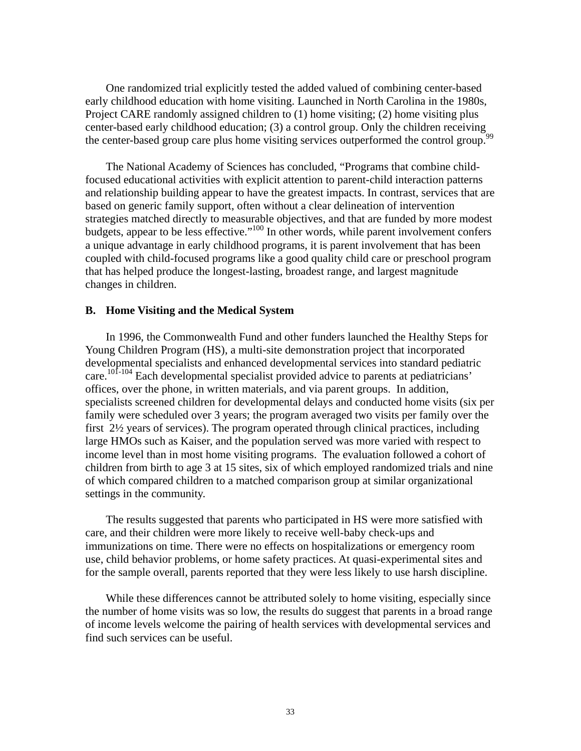One randomized trial explicitly tested the added valued of combining center-based early childhood education with home visiting. Launched in North Carolina in the 1980s, Project CARE randomly assigned children to (1) home visiting; (2) home visiting plus center-based early childhood education; (3) a control group. Only the children receiving the center-based group care plus home visiting services outperformed the control group.<sup>9</sup>

The National Academy of Sciences has concluded, "Programs that combine childfocused educational activities with explicit attention to parent-child interaction patterns and relationship building appear to have the greatest impacts. In contrast, services that are based on generic family support, often without a clear delineation of intervention strategies matched directly to measurable objectives, and that are funded by more modest budgets, appear to be less effective."<sup>100</sup> In other words, while parent involvement confers a unique advantage in early childhood programs, it is parent involvement that has been coupled with child-focused programs like a good quality child care or preschool program that has helped produce the longest-lasting, broadest range, and largest magnitude changes in children.

### **B. Home Visiting and the Medical System**

In 1996, the Commonwealth Fund and other funders launched the Healthy Steps for Young Children Program (HS), a multi-site demonstration project that incorporated developmental specialists and enhanced developmental services into standard pediatric care.<sup>101-104</sup> Each developmental specialist provided advice to parents at pediatricians' offices, over the phone, in written materials, and via parent groups. In addition, specialists screened children for developmental delays and conducted home visits (six per family were scheduled over 3 years; the program averaged two visits per family over the first 2½ years of services). The program operated through clinical practices, including large HMOs such as Kaiser, and the population served was more varied with respect to income level than in most home visiting programs. The evaluation followed a cohort of children from birth to age 3 at 15 sites, six of which employed randomized trials and nine of which compared children to a matched comparison group at similar organizational settings in the community.

The results suggested that parents who participated in HS were more satisfied with care, and their children were more likely to receive well-baby check-ups and immunizations on time. There were no effects on hospitalizations or emergency room use, child behavior problems, or home safety practices. At quasi-experimental sites and for the sample overall, parents reported that they were less likely to use harsh discipline.

While these differences cannot be attributed solely to home visiting, especially since the number of home visits was so low, the results do suggest that parents in a broad range of income levels welcome the pairing of health services with developmental services and find such services can be useful.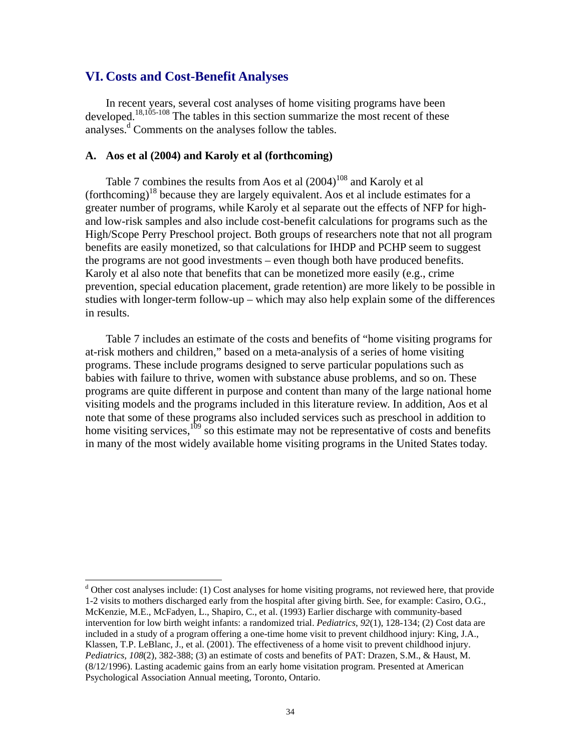### **VI. Costs and Cost-Benefit Analyses**

l

In recent years, several cost analyses of home visiting programs have been developed.<sup>18,105-108</sup> The tables in this section summarize the most recent of these analyses.<sup>d</sup> Comments on the analyses follow the tables.

### **A. Aos et al (2004) and Karoly et al (forthcoming)**

Table 7 combines the results from Aos et al  $(2004)^{108}$  and Karoly et al (forthcoming)<sup>18</sup> because they are largely equivalent. Aos et al include estimates for a greater number of programs, while Karoly et al separate out the effects of NFP for highand low-risk samples and also include cost-benefit calculations for programs such as the High/Scope Perry Preschool project. Both groups of researchers note that not all program benefits are easily monetized, so that calculations for IHDP and PCHP seem to suggest the programs are not good investments – even though both have produced benefits. Karoly et al also note that benefits that can be monetized more easily (e.g., crime prevention, special education placement, grade retention) are more likely to be possible in studies with longer-term follow-up – which may also help explain some of the differences in results.

 Table 7 includes an estimate of the costs and benefits of "home visiting programs for at-risk mothers and children," based on a meta-analysis of a series of home visiting programs. These include programs designed to serve particular populations such as babies with failure to thrive, women with substance abuse problems, and so on. These programs are quite different in purpose and content than many of the large national home visiting models and the programs included in this literature review. In addition, Aos et al note that some of these programs also included services such as preschool in addition to home visiting services,  $109 \times 10^{10}$  so this estimate may not be representative of costs and benefits in many of the most widely available home visiting programs in the United States today.

<sup>&</sup>lt;sup>d</sup> Other cost analyses include: (1) Cost analyses for home visiting programs, not reviewed here, that provide 1-2 visits to mothers discharged early from the hospital after giving birth. See, for example: Casiro, O.G., McKenzie, M.E., McFadyen, L., Shapiro, C., et al. (1993) Earlier discharge with community-based intervention for low birth weight infants: a randomized trial. *Pediatrics*, *92*(1), 128-134; (2) Cost data are included in a study of a program offering a one-time home visit to prevent childhood injury: King, J.A., Klassen, T.P. LeBlanc, J., et al. (2001). The effectiveness of a home visit to prevent childhood injury. *Pediatrics, 108*(2), 382-388; (3) an estimate of costs and benefits of PAT: Drazen, S.M., & Haust, M. (8/12/1996). Lasting academic gains from an early home visitation program. Presented at American Psychological Association Annual meeting, Toronto, Ontario.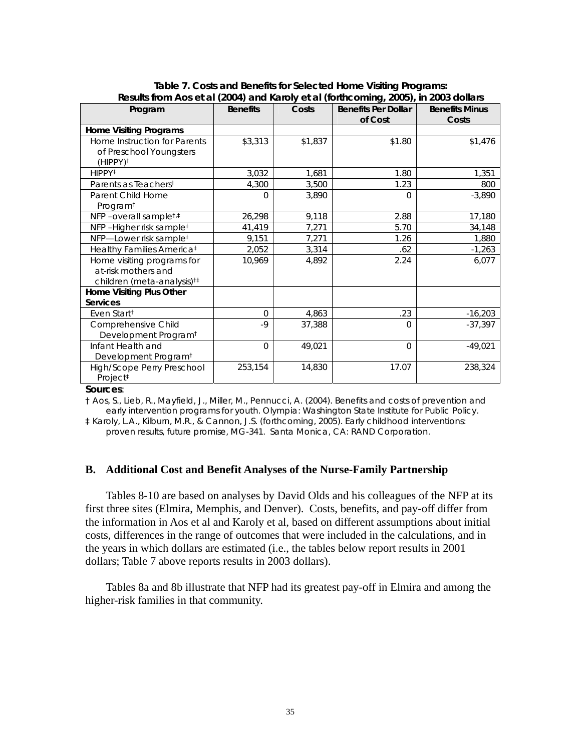| Program                                                                                     | <b>Benefits</b> | Costs   | <b>Benefits Per Dollar</b><br>of Cost | <b>Benefits Minus</b><br>Costs |
|---------------------------------------------------------------------------------------------|-----------------|---------|---------------------------------------|--------------------------------|
| <b>Home Visiting Programs</b>                                                               |                 |         |                                       |                                |
| Home Instruction for Parents<br>of Preschool Youngsters<br>(HIPPY) <sup>†</sup>             | \$3,313         | \$1,837 | \$1.80                                | \$1,476                        |
| $HIPPY^{\ddagger}$                                                                          | 3,032           | 1,681   | 1.80                                  | 1,351                          |
| Parents as Teachers <sup>t</sup>                                                            | 4,300           | 3,500   | 1.23                                  | 800                            |
| Parent Child Home<br>Program <sup>+</sup>                                                   | O               | 3,890   | O                                     | $-3,890$                       |
| NFP-overall sample <sup>t,t</sup>                                                           | 26,298          | 9,118   | 2.88                                  | 17,180                         |
| NFP-Higher risk sample <sup>‡</sup>                                                         | 41,419          | 7,271   | 5.70                                  | 34,148                         |
| NFP-Lower risk sample <sup>‡</sup>                                                          | 9,151           | 7,271   | 1.26                                  | 1,880                          |
| Healthy Families America <sup>‡</sup>                                                       | 2,052           | 3,314   | .62                                   | $-1,263$                       |
| Home visiting programs for<br>at-risk mothers and<br>children (meta-analysis) <sup>†‡</sup> | 10,969          | 4,892   | 2.24                                  | 6,077                          |
| Home Visiting Plus Other                                                                    |                 |         |                                       |                                |
| <b>Services</b>                                                                             |                 |         |                                       |                                |
| Even Start <sup>†</sup>                                                                     | $\Omega$        | 4,863   | .23                                   | $-16,203$                      |
| Comprehensive Child<br>Development Program <sup>t</sup>                                     | $-9$            | 37,388  | $\Omega$                              | $-37,397$                      |
| Infant Health and<br>Development Program <sup>t</sup>                                       | $\Omega$        | 49,021  | $\Omega$                              | $-49,021$                      |
| High/Scope Perry Preschool<br>Project <sup>#</sup>                                          | 253,154         | 14,830  | 17.07                                 | 238,324                        |

**Table 7. Costs and Benefits for Selected Home Visiting Programs: Results from Aos et al (2004) and Karoly et al (forthcoming, 2005), in 2003 dollars** 

#### **Sources**:

† Aos, S., Lieb, R., Mayfield, J., Miller, M., Pennucci, A. (2004). *Benefits and costs of prevention and early intervention programs for youth*. Olympia: Washington State Institute for Public Policy.

‡ Karoly, L.A., Kilburn, M.R., & Cannon, J.S. (forthcoming, 2005). *Early childhood interventions: proven results, future promise*, MG-341. Santa Monica, CA: RAND Corporation.

### **B. Additional Cost and Benefit Analyses of the Nurse-Family Partnership**

Tables 8-10 are based on analyses by David Olds and his colleagues of the NFP at its first three sites (Elmira, Memphis, and Denver). Costs, benefits, and pay-off differ from the information in Aos et al and Karoly et al, based on different assumptions about initial costs, differences in the range of outcomes that were included in the calculations, and in the years in which dollars are estimated (i.e., the tables below report results in 2001 dollars; Table 7 above reports results in 2003 dollars).

Tables 8a and 8b illustrate that NFP had its greatest pay-off in Elmira and among the higher-risk families in that community.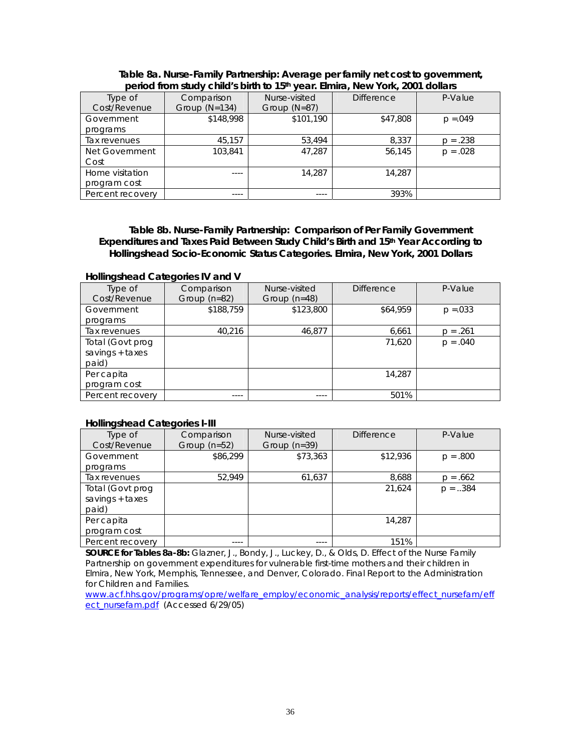| penoa ironii suu y Chiiu s pirin to Toll year. Eirinia, New Tork, 2001 uollars |                 |                |                   |             |  |  |  |
|--------------------------------------------------------------------------------|-----------------|----------------|-------------------|-------------|--|--|--|
| Type of                                                                        | Comparison      | Nurse-visited  | <b>Difference</b> | P-Value     |  |  |  |
| Cost/Revenue                                                                   | Group $(N=134)$ | Group $(N=87)$ |                   |             |  |  |  |
| Government                                                                     | \$148,998       | \$101,190      | \$47,808          | $p = 0.049$ |  |  |  |
| programs                                                                       |                 |                |                   |             |  |  |  |
| Tax revenues                                                                   | 45,157          | 53,494         | 8,337             | $p = .238$  |  |  |  |
| Net Government                                                                 | 103,841         | 47,287         | 56,145            | $p = .028$  |  |  |  |
| Cost                                                                           |                 |                |                   |             |  |  |  |
| Home visitation                                                                | $- - - -$       | 14,287         | 14.287            |             |  |  |  |
| program cost                                                                   |                 |                |                   |             |  |  |  |
| Percent recovery                                                               | ----            | $---$          | 393%              |             |  |  |  |

#### **Table 8a. Nurse-Family Partnership: Average per family net cost to government, period from study child's birth to 15th year. Elmira, New York, 2001 dollars**

**Table 8b. Nurse-Family Partnership: Comparison of Per Family Government Expenditures and Taxes Paid Between Study Child's Birth and 15th Year According to Hollingshead Socio-Economic Status Categories. Elmira, New York, 2001 Dollars** 

#### **Hollingshead Categories IV and V**

| Type of<br>Cost/Revenue | Comparison<br>Group (n=82) | Nurse-visited<br>Group $(n=48)$ | <b>Difference</b> | P-Value     |
|-------------------------|----------------------------|---------------------------------|-------------------|-------------|
|                         |                            |                                 |                   |             |
| Government              | \$188,759                  | \$123,800                       | \$64,959          | $p = 0.033$ |
| programs                |                            |                                 |                   |             |
| Tax revenues            | 40.216                     | 46,877                          | 6,661             | $p = .261$  |
| Total (Govt prog        |                            |                                 | 71,620            | $p = .040$  |
| savings $+$ taxes       |                            |                                 |                   |             |
| paid)                   |                            |                                 |                   |             |
| Per capita              |                            |                                 | 14,287            |             |
| program cost            |                            |                                 |                   |             |
| Percent recovery        | ----                       | ----                            | 501%              |             |

#### **Hollingshead Categories I-III**

| .                 |                |                |                   |            |  |  |
|-------------------|----------------|----------------|-------------------|------------|--|--|
| Type of           | Comparison     | Nurse-visited  | <b>Difference</b> | P-Value    |  |  |
| Cost/Revenue      | Group $(n=52)$ | Group $(n=39)$ |                   |            |  |  |
| Government        | \$86,299       | \$73,363       | \$12,936          | $p = .800$ |  |  |
| programs          |                |                |                   |            |  |  |
| Tax revenues      | 52.949         | 61,637         | 8,688             | $p = .662$ |  |  |
| Total (Govt prog  |                |                | 21,624            | $p = .384$ |  |  |
| savings $+$ taxes |                |                |                   |            |  |  |
| paid)             |                |                |                   |            |  |  |
| Per capita        |                |                | 14.287            |            |  |  |
| program cost      |                |                |                   |            |  |  |
| Percent recovery  | ----           | ----           | 151%              |            |  |  |

**SOURCE for Tables 8a-8b:** Glazner, J., Bondy, J., Luckey, D., & Olds, D. Effect of the Nurse Family Partnership on government expenditures for vulnerable first-time mothers and their children in Elmira, New York, Memphis, Tennessee, and Denver, Colorado. Final Report to the Administration for Children and Families.

www.acf.hhs.gov/programs/opre/welfare\_employ/economic\_analysis/reports/effect\_nursefam/eff ect\_nursefam.pdf (Accessed 6/29/05)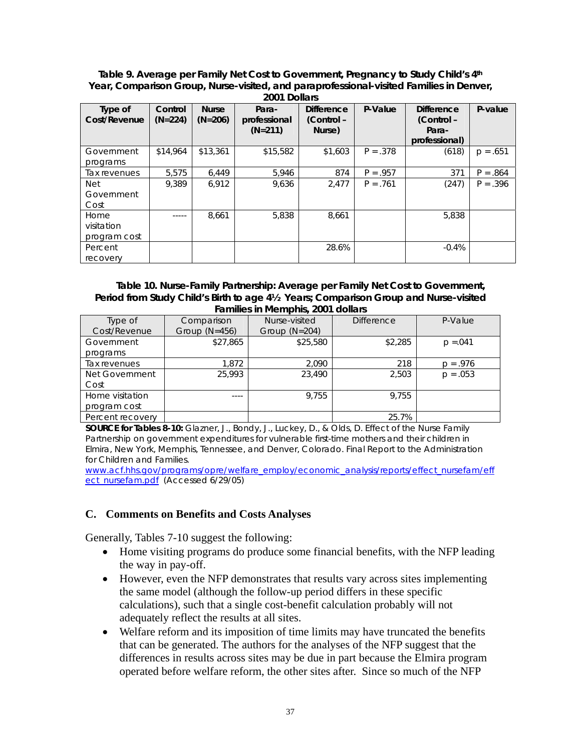**Table 9. Average per Family Net Cost to Government, Pregnancy to Study Child's 4th Year, Comparison Group, Nurse-visited, and paraprofessional-visited Families in Denver,** 

| Type of<br>Cost/Revenue            | Control<br>$(N=224)$ | <b>Nurse</b><br>$(N=206)$ | Para-<br>professional<br>$(N=211)$ | <b>Difference</b><br>(Control -<br>Nurse) | P-Value    | <b>Difference</b><br>(Control -<br>Para-<br>professional) | P-value    |
|------------------------------------|----------------------|---------------------------|------------------------------------|-------------------------------------------|------------|-----------------------------------------------------------|------------|
| Government<br>programs             | \$14,964             | \$13,361                  | \$15,582                           | \$1,603                                   | $P = .378$ | (618)                                                     | $p = .651$ |
| Tax revenues                       | 5.575                | 6,449                     | 5,946                              | 874                                       | $P = .957$ | 371                                                       | $P = .864$ |
| <b>Net</b><br>Government<br>Cost   | 9.389                | 6,912                     | 9.636                              | 2.477                                     | $P = .761$ | (247)                                                     | $P = .396$ |
| Home<br>visitation<br>program cost | $- - - - -$          | 8,661                     | 5,838                              | 8,661                                     |            | 5,838                                                     |            |
| Percent<br>recovery                |                      |                           |                                    | 28.6%                                     |            | $-0.4%$                                                   |            |

#### **Table 10. Nurse-Family Partnership: Average per Family Net Cost to Government, Period from Study Child's Birth to age 4½ Years; Comparison Group and Nurse-visited Families in Memphis, 2001 dollars**

| ----------       |                 |                 |                   |             |  |  |
|------------------|-----------------|-----------------|-------------------|-------------|--|--|
| Type of          | Comparison      | Nurse-visited   | <b>Difference</b> | P-Value     |  |  |
| Cost/Revenue     | Group $(N=456)$ | Group $(N=204)$ |                   |             |  |  |
| Government       | \$27,865        | \$25,580        | \$2,285           | $p = 0.041$ |  |  |
| programs         |                 |                 |                   |             |  |  |
| Tax revenues     | 1.872           | 2,090           | 218               | $p = .976$  |  |  |
| Net Government   | 25,993          | 23,490          | 2.503             | $p = .053$  |  |  |
| Cost             |                 |                 |                   |             |  |  |
| Home visitation  | ----            | 9,755           | 9.755             |             |  |  |
| program cost     |                 |                 |                   |             |  |  |
| Percent recovery |                 |                 | 25.7%             |             |  |  |

**SOURCE for Tables 8-10:** Glazner, J., Bondy, J., Luckey, D., & Olds, D. Effect of the Nurse Family Partnership on government expenditures for vulnerable first-time mothers and their children in Elmira, New York, Memphis, Tennessee, and Denver, Colorado. Final Report to the Administration for Children and Families.

www.acf.hhs.gov/programs/opre/welfare\_employ/economic\_analysis/reports/effect\_nursefam/eff ect\_nursefam.pdf (Accessed 6/29/05)

## **C. Comments on Benefits and Costs Analyses**

Generally, Tables 7-10 suggest the following:

- Home visiting programs do produce some financial benefits, with the NFP leading the way in pay-off.
- However, even the NFP demonstrates that results vary across sites implementing the same model (although the follow-up period differs in these specific calculations), such that a single cost-benefit calculation probably will not adequately reflect the results at all sites.
- Welfare reform and its imposition of time limits may have truncated the benefits that can be generated. The authors for the analyses of the NFP suggest that the differences in results across sites may be due in part because the Elmira program operated before welfare reform, the other sites after. Since so much of the NFP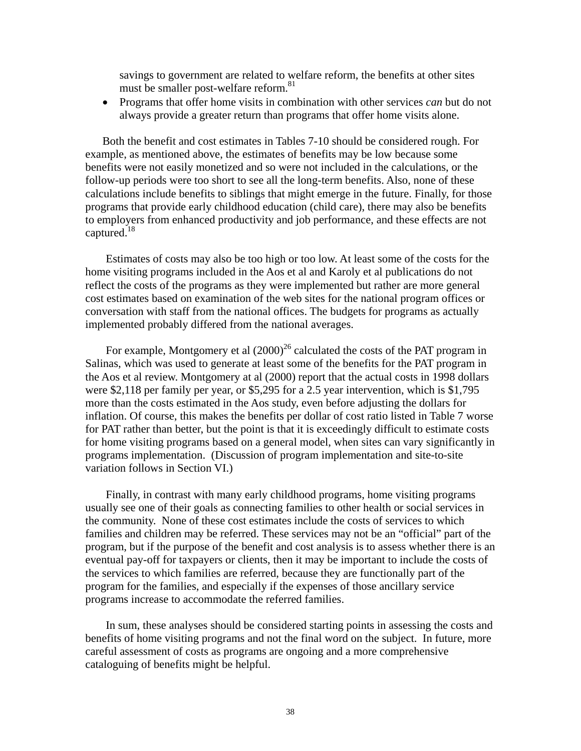savings to government are related to welfare reform, the benefits at other sites must be smaller post-welfare reform.<sup>81</sup>

• Programs that offer home visits in combination with other services *can* but do not always provide a greater return than programs that offer home visits alone.

Both the benefit and cost estimates in Tables 7-10 should be considered rough. For example, as mentioned above, the estimates of benefits may be low because some benefits were not easily monetized and so were not included in the calculations, or the follow-up periods were too short to see all the long-term benefits. Also, none of these calculations include benefits to siblings that might emerge in the future. Finally, for those programs that provide early childhood education (child care), there may also be benefits to employers from enhanced productivity and job performance, and these effects are not captured. $18$ 

 Estimates of costs may also be too high or too low. At least some of the costs for the home visiting programs included in the Aos et al and Karoly et al publications do not reflect the costs of the programs as they were implemented but rather are more general cost estimates based on examination of the web sites for the national program offices or conversation with staff from the national offices. The budgets for programs as actually implemented probably differed from the national averages.

For example, Montgomery et al  $(2000)^{26}$  calculated the costs of the PAT program in Salinas, which was used to generate at least some of the benefits for the PAT program in the Aos et al review. Montgomery at al (2000) report that the actual costs in 1998 dollars were \$2,118 per family per year, or \$5,295 for a 2.5 year intervention, which is \$1,795 more than the costs estimated in the Aos study, even before adjusting the dollars for inflation. Of course, this makes the benefits per dollar of cost ratio listed in Table 7 worse for PAT rather than better, but the point is that it is exceedingly difficult to estimate costs for home visiting programs based on a general model, when sites can vary significantly in programs implementation. (Discussion of program implementation and site-to-site variation follows in Section VI.)

 Finally, in contrast with many early childhood programs, home visiting programs usually see one of their goals as connecting families to other health or social services in the community. None of these cost estimates include the costs of services to which families and children may be referred. These services may not be an "official" part of the program, but if the purpose of the benefit and cost analysis is to assess whether there is an eventual pay-off for taxpayers or clients, then it may be important to include the costs of the services to which families are referred, because they are functionally part of the program for the families, and especially if the expenses of those ancillary service programs increase to accommodate the referred families.

In sum, these analyses should be considered starting points in assessing the costs and benefits of home visiting programs and not the final word on the subject. In future, more careful assessment of costs as programs are ongoing and a more comprehensive cataloguing of benefits might be helpful.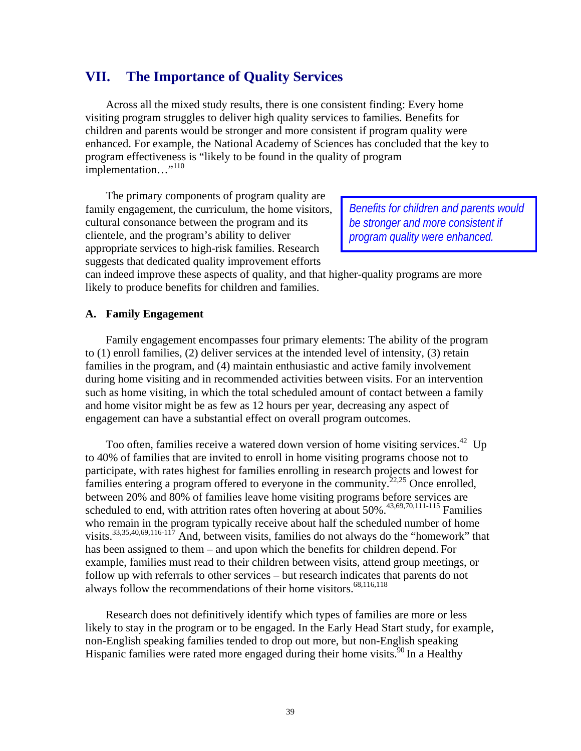## **VII. The Importance of Quality Services**

Across all the mixed study results, there is one consistent finding: Every home visiting program struggles to deliver high quality services to families. Benefits for children and parents would be stronger and more consistent if program quality were enhanced. For example, the National Academy of Sciences has concluded that the key to program effectiveness is "likely to be found in the quality of program implementation..."<sup>110</sup>

The primary components of program quality are family engagement, the curriculum, the home visitors, cultural consonance between the program and its clientele, and the program's ability to deliver appropriate services to high-risk families. Research suggests that dedicated quality improvement efforts

*Benefits for children and parents would be stronger and more consistent if program quality were enhanced.*

can indeed improve these aspects of quality, and that higher-quality programs are more likely to produce benefits for children and families.

### **A. Family Engagement**

Family engagement encompasses four primary elements: The ability of the program to (1) enroll families, (2) deliver services at the intended level of intensity, (3) retain families in the program, and (4) maintain enthusiastic and active family involvement during home visiting and in recommended activities between visits. For an intervention such as home visiting, in which the total scheduled amount of contact between a family and home visitor might be as few as 12 hours per year, decreasing any aspect of engagement can have a substantial effect on overall program outcomes.

Too often, families receive a watered down version of home visiting services.<sup>42</sup> Up to 40% of families that are invited to enroll in home visiting programs choose not to participate, with rates highest for families enrolling in research projects and lowest for families entering a program offered to everyone in the community.<sup>22,25</sup> Once enrolled, between 20% and 80% of families leave home visiting programs before services are scheduled to end, with attrition rates often hovering at about  $50\%$ .<sup>43,69,70,111-115</sup> Families who remain in the program typically receive about half the scheduled number of home visits. $33,35,40,69,116-117$  And, between visits, families do not always do the "homework" that has been assigned to them – and upon which the benefits for children depend. For example, families must read to their children between visits, attend group meetings, or follow up with referrals to other services – but research indicates that parents do not always follow the recommendations of their home visitors.<sup>68,116,118</sup>

 Research does not definitively identify which types of families are more or less likely to stay in the program or to be engaged. In the Early Head Start study, for example, non-English speaking families tended to drop out more, but non-English speaking Hispanic families were rated more engaged during their home visits.<sup>90</sup> In a Healthy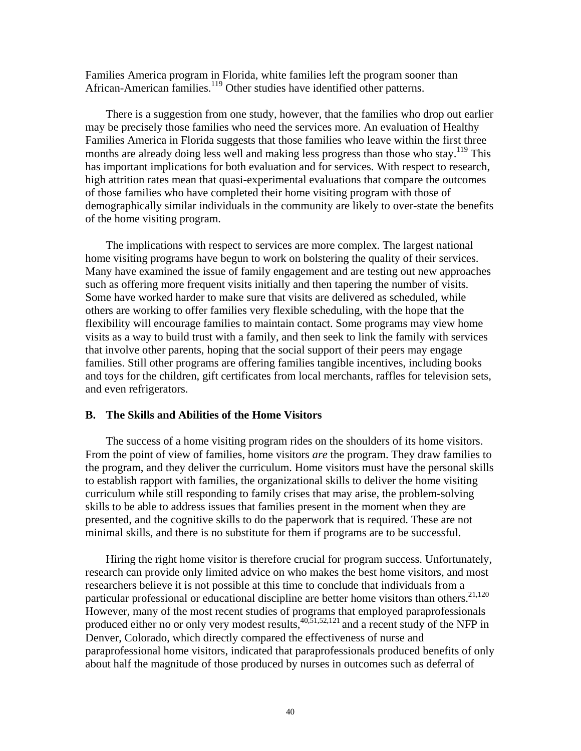Families America program in Florida, white families left the program sooner than African-American families.<sup>119</sup> Other studies have identified other patterns.

 There is a suggestion from one study, however, that the families who drop out earlier may be precisely those families who need the services more. An evaluation of Healthy Families America in Florida suggests that those families who leave within the first three months are already doing less well and making less progress than those who stay.<sup>119</sup> This has important implications for both evaluation and for services. With respect to research, high attrition rates mean that quasi-experimental evaluations that compare the outcomes of those families who have completed their home visiting program with those of demographically similar individuals in the community are likely to over-state the benefits of the home visiting program.

 The implications with respect to services are more complex. The largest national home visiting programs have begun to work on bolstering the quality of their services. Many have examined the issue of family engagement and are testing out new approaches such as offering more frequent visits initially and then tapering the number of visits. Some have worked harder to make sure that visits are delivered as scheduled, while others are working to offer families very flexible scheduling, with the hope that the flexibility will encourage families to maintain contact. Some programs may view home visits as a way to build trust with a family, and then seek to link the family with services that involve other parents, hoping that the social support of their peers may engage families. Still other programs are offering families tangible incentives, including books and toys for the children, gift certificates from local merchants, raffles for television sets, and even refrigerators.

### **B. The Skills and Abilities of the Home Visitors**

The success of a home visiting program rides on the shoulders of its home visitors. From the point of view of families, home visitors *are* the program. They draw families to the program, and they deliver the curriculum. Home visitors must have the personal skills to establish rapport with families, the organizational skills to deliver the home visiting curriculum while still responding to family crises that may arise, the problem-solving skills to be able to address issues that families present in the moment when they are presented, and the cognitive skills to do the paperwork that is required. These are not minimal skills, and there is no substitute for them if programs are to be successful.

Hiring the right home visitor is therefore crucial for program success. Unfortunately, research can provide only limited advice on who makes the best home visitors, and most researchers believe it is not possible at this time to conclude that individuals from a particular professional or educational discipline are better home visitors than others.<sup>21,120</sup> However, many of the most recent studies of programs that employed paraprofessionals produced either no or only very modest results,  $40,51,52,121$  and a recent study of the NFP in Denver, Colorado, which directly compared the effectiveness of nurse and paraprofessional home visitors, indicated that paraprofessionals produced benefits of only about half the magnitude of those produced by nurses in outcomes such as deferral of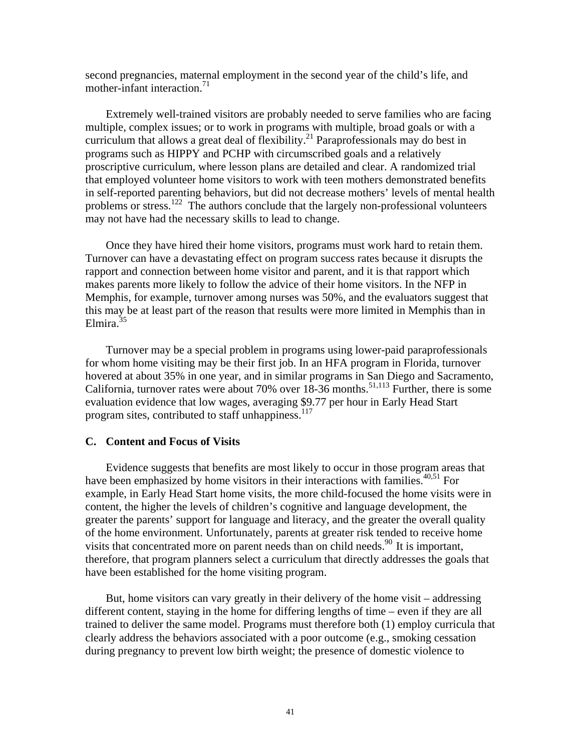second pregnancies, maternal employment in the second year of the child's life, and mother-infant interaction. $71$ 

Extremely well-trained visitors are probably needed to serve families who are facing multiple, complex issues; or to work in programs with multiple, broad goals or with a curriculum that allows a great deal of flexibility.<sup>21</sup> Paraprofessionals may do best in programs such as HIPPY and PCHP with circumscribed goals and a relatively proscriptive curriculum, where lesson plans are detailed and clear. A randomized trial that employed volunteer home visitors to work with teen mothers demonstrated benefits in self-reported parenting behaviors, but did not decrease mothers' levels of mental health problems or stress.<sup>122</sup> The authors conclude that the largely non-professional volunteers may not have had the necessary skills to lead to change.

Once they have hired their home visitors, programs must work hard to retain them. Turnover can have a devastating effect on program success rates because it disrupts the rapport and connection between home visitor and parent, and it is that rapport which makes parents more likely to follow the advice of their home visitors. In the NFP in Memphis, for example, turnover among nurses was 50%, and the evaluators suggest that this may be at least part of the reason that results were more limited in Memphis than in Elmira $35$ 

Turnover may be a special problem in programs using lower-paid paraprofessionals for whom home visiting may be their first job. In an HFA program in Florida, turnover hovered at about 35% in one year, and in similar programs in San Diego and Sacramento, California, turnover rates were about 70% over  $18-36$  months.<sup>51,113</sup> Further, there is some evaluation evidence that low wages, averaging \$9.77 per hour in Early Head Start program sites, contributed to staff unhappiness.<sup>117</sup>

### **C. Content and Focus of Visits**

Evidence suggests that benefits are most likely to occur in those program areas that have been emphasized by home visitors in their interactions with families.<sup> $40,51$ </sup> For example, in Early Head Start home visits, the more child-focused the home visits were in content, the higher the levels of children's cognitive and language development, the greater the parents' support for language and literacy, and the greater the overall quality of the home environment. Unfortunately, parents at greater risk tended to receive home visits that concentrated more on parent needs than on child needs.<sup>90</sup> It is important, therefore, that program planners select a curriculum that directly addresses the goals that have been established for the home visiting program.

But, home visitors can vary greatly in their delivery of the home visit – addressing different content, staying in the home for differing lengths of time – even if they are all trained to deliver the same model. Programs must therefore both (1) employ curricula that clearly address the behaviors associated with a poor outcome (e.g., smoking cessation during pregnancy to prevent low birth weight; the presence of domestic violence to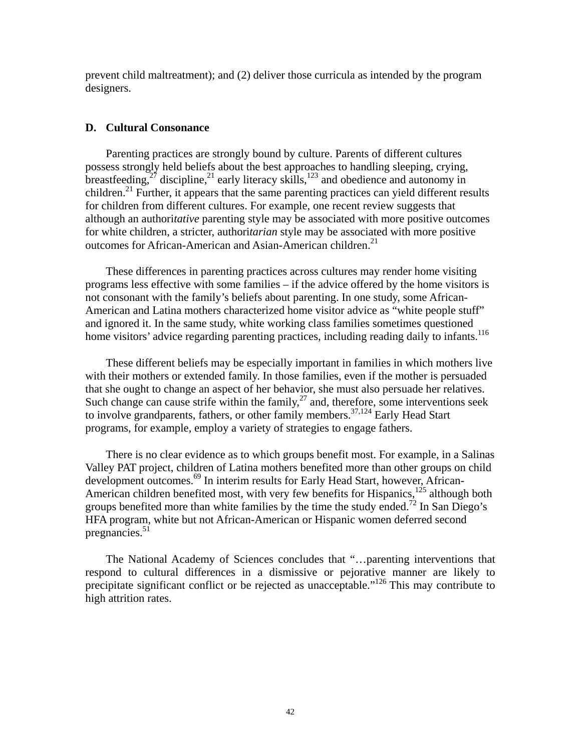prevent child maltreatment); and (2) deliver those curricula as intended by the program designers.

### **D. Cultural Consonance**

Parenting practices are strongly bound by culture. Parents of different cultures possess strongly held beliefs about the best approaches to handling sleeping, crying, breastfeeding,<sup>27</sup> discipline,<sup>21</sup> early literacy skills,<sup>123</sup> and obedience and autonomy in children.<sup>21</sup> Further, it appears that the same parenting practices can yield different results for children from different cultures. For example, one recent review suggests that although an authori*tative* parenting style may be associated with more positive outcomes for white children, a stricter, authori*tarian* style may be associated with more positive outcomes for African-American and Asian-American children.<sup>21</sup>

These differences in parenting practices across cultures may render home visiting programs less effective with some families – if the advice offered by the home visitors is not consonant with the family's beliefs about parenting. In one study, some African-American and Latina mothers characterized home visitor advice as "white people stuff" and ignored it. In the same study, white working class families sometimes questioned home visitors' advice regarding parenting practices, including reading daily to infants.<sup>116</sup>

These different beliefs may be especially important in families in which mothers live with their mothers or extended family. In those families, even if the mother is persuaded that she ought to change an aspect of her behavior, she must also persuade her relatives. Such change can cause strife within the family, $^{27}$  and, therefore, some interventions seek to involve grandparents, fathers, or other family members.<sup>37,124</sup> Early Head Start programs, for example, employ a variety of strategies to engage fathers.

There is no clear evidence as to which groups benefit most. For example, in a Salinas Valley PAT project, children of Latina mothers benefited more than other groups on child development outcomes.<sup>69</sup> In interim results for Early Head Start, however, African-American children benefited most, with very few benefits for Hispanics,  $^{125}$  although both groups benefited more than white families by the time the study ended.<sup>72</sup> In San Diego's HFA program, white but not African-American or Hispanic women deferred second pregnancies.<sup>51</sup>

The National Academy of Sciences concludes that "…parenting interventions that respond to cultural differences in a dismissive or pejorative manner are likely to precipitate significant conflict or be rejected as unacceptable."126 This may contribute to high attrition rates.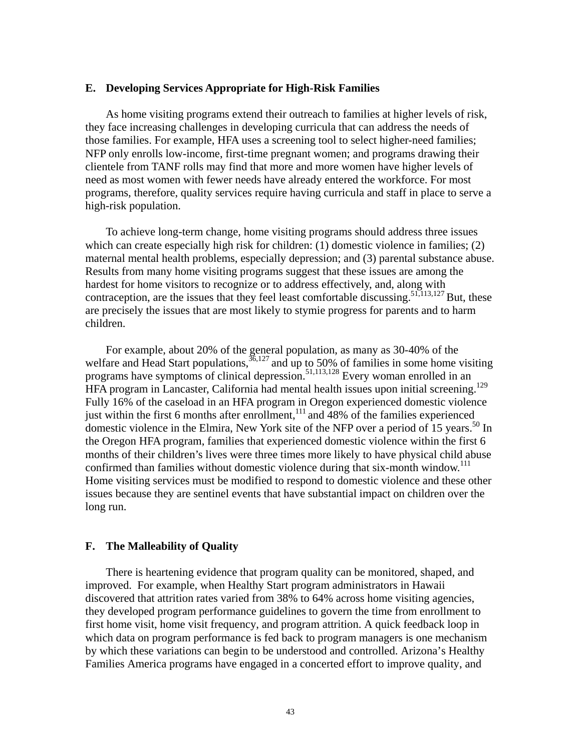#### **E. Developing Services Appropriate for High-Risk Families**

As home visiting programs extend their outreach to families at higher levels of risk, they face increasing challenges in developing curricula that can address the needs of those families. For example, HFA uses a screening tool to select higher-need families; NFP only enrolls low-income, first-time pregnant women; and programs drawing their clientele from TANF rolls may find that more and more women have higher levels of need as most women with fewer needs have already entered the workforce. For most programs, therefore, quality services require having curricula and staff in place to serve a high-risk population.

To achieve long-term change, home visiting programs should address three issues which can create especially high risk for children: (1) domestic violence in families; (2) maternal mental health problems, especially depression; and (3) parental substance abuse. Results from many home visiting programs suggest that these issues are among the hardest for home visitors to recognize or to address effectively, and, along with contraception, are the issues that they feel least comfortable discussing.<sup>51,113,127</sup> But, these are precisely the issues that are most likely to stymie progress for parents and to harm children.

For example, about 20% of the general population, as many as 30-40% of the welfare and Head Start populations,  $36,127$  and up to 50% of families in some home visiting programs have symptoms of clinical depression.<sup>51,113,128</sup> Every woman enrolled in an HFA program in Lancaster, California had mental health issues upon initial screening.<sup>129</sup> Fully 16% of the caseload in an HFA program in Oregon experienced domestic violence just within the first 6 months after enrollment, $111$  and 48% of the families experienced domestic violence in the Elmira, New York site of the NFP over a period of 15 years.<sup>50</sup> In the Oregon HFA program, families that experienced domestic violence within the first 6 months of their children's lives were three times more likely to have physical child abuse confirmed than families without domestic violence during that six-month window.<sup>111</sup> Home visiting services must be modified to respond to domestic violence and these other issues because they are sentinel events that have substantial impact on children over the long run.

### **F. The Malleability of Quality**

There is heartening evidence that program quality can be monitored, shaped, and improved. For example, when Healthy Start program administrators in Hawaii discovered that attrition rates varied from 38% to 64% across home visiting agencies, they developed program performance guidelines to govern the time from enrollment to first home visit, home visit frequency, and program attrition. A quick feedback loop in which data on program performance is fed back to program managers is one mechanism by which these variations can begin to be understood and controlled. Arizona's Healthy Families America programs have engaged in a concerted effort to improve quality, and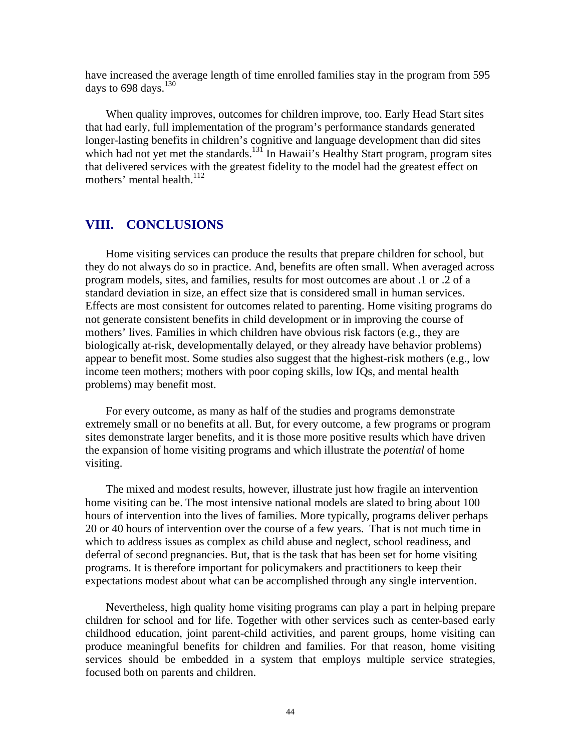have increased the average length of time enrolled families stay in the program from 595 days to 698 days.<sup>130</sup>

When quality improves, outcomes for children improve, too. Early Head Start sites that had early, full implementation of the program's performance standards generated longer-lasting benefits in children's cognitive and language development than did sites which had not yet met the standards.<sup>131</sup> In Hawaii's Healthy Start program, program sites that delivered services with the greatest fidelity to the model had the greatest effect on mothers' mental health. $^{112}$ 

### **VIII. CONCLUSIONS**

Home visiting services can produce the results that prepare children for school, but they do not always do so in practice. And, benefits are often small. When averaged across program models, sites, and families, results for most outcomes are about .1 or .2 of a standard deviation in size, an effect size that is considered small in human services. Effects are most consistent for outcomes related to parenting. Home visiting programs do not generate consistent benefits in child development or in improving the course of mothers' lives. Families in which children have obvious risk factors (e.g., they are biologically at-risk, developmentally delayed, or they already have behavior problems) appear to benefit most. Some studies also suggest that the highest-risk mothers (e.g., low income teen mothers; mothers with poor coping skills, low IQs, and mental health problems) may benefit most.

For every outcome, as many as half of the studies and programs demonstrate extremely small or no benefits at all. But, for every outcome, a few programs or program sites demonstrate larger benefits, and it is those more positive results which have driven the expansion of home visiting programs and which illustrate the *potential* of home visiting.

The mixed and modest results, however, illustrate just how fragile an intervention home visiting can be. The most intensive national models are slated to bring about 100 hours of intervention into the lives of families. More typically, programs deliver perhaps 20 or 40 hours of intervention over the course of a few years. That is not much time in which to address issues as complex as child abuse and neglect, school readiness, and deferral of second pregnancies. But, that is the task that has been set for home visiting programs. It is therefore important for policymakers and practitioners to keep their expectations modest about what can be accomplished through any single intervention.

Nevertheless, high quality home visiting programs can play a part in helping prepare children for school and for life. Together with other services such as center-based early childhood education, joint parent-child activities, and parent groups, home visiting can produce meaningful benefits for children and families. For that reason, home visiting services should be embedded in a system that employs multiple service strategies, focused both on parents and children.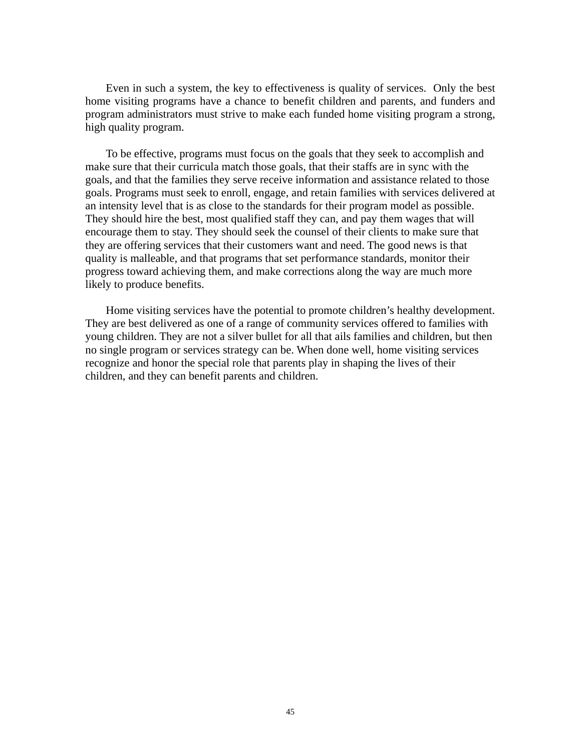Even in such a system, the key to effectiveness is quality of services. Only the best home visiting programs have a chance to benefit children and parents, and funders and program administrators must strive to make each funded home visiting program a strong, high quality program.

To be effective, programs must focus on the goals that they seek to accomplish and make sure that their curricula match those goals, that their staffs are in sync with the goals, and that the families they serve receive information and assistance related to those goals. Programs must seek to enroll, engage, and retain families with services delivered at an intensity level that is as close to the standards for their program model as possible. They should hire the best, most qualified staff they can, and pay them wages that will encourage them to stay. They should seek the counsel of their clients to make sure that they are offering services that their customers want and need. The good news is that quality is malleable, and that programs that set performance standards, monitor their progress toward achieving them, and make corrections along the way are much more likely to produce benefits.

Home visiting services have the potential to promote children's healthy development. They are best delivered as one of a range of community services offered to families with young children. They are not a silver bullet for all that ails families and children, but then no single program or services strategy can be. When done well, home visiting services recognize and honor the special role that parents play in shaping the lives of their children, and they can benefit parents and children.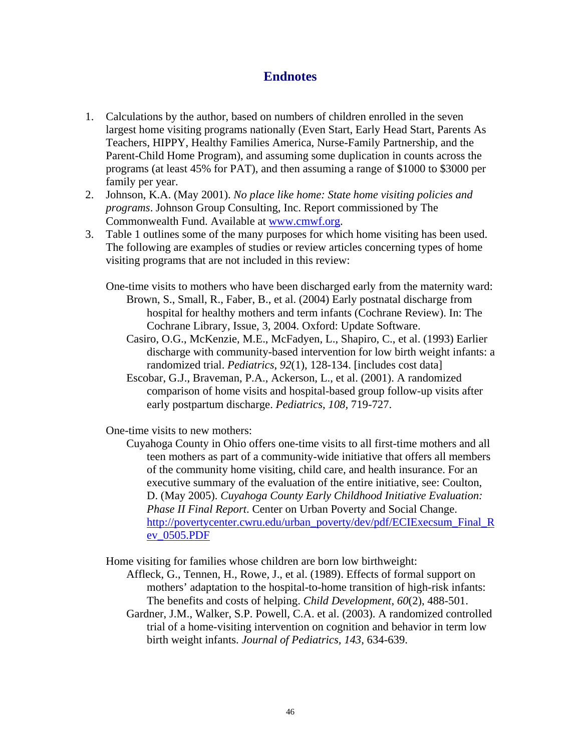## **Endnotes**

- 1. Calculations by the author, based on numbers of children enrolled in the seven largest home visiting programs nationally (Even Start, Early Head Start, Parents As Teachers, HIPPY, Healthy Families America, Nurse-Family Partnership, and the Parent-Child Home Program), and assuming some duplication in counts across the programs (at least 45% for PAT), and then assuming a range of \$1000 to \$3000 per family per year.
- 2. Johnson, K.A. (May 2001). *No place like home: State home visiting policies and programs*. Johnson Group Consulting, Inc. Report commissioned by The Commonwealth Fund. Available at www.cmwf.org.
- 3. Table 1 outlines some of the many purposes for which home visiting has been used. The following are examples of studies or review articles concerning types of home visiting programs that are not included in this review:
	- One-time visits to mothers who have been discharged early from the maternity ward: Brown, S., Small, R., Faber, B., et al. (2004) Early postnatal discharge from hospital for healthy mothers and term infants (Cochrane Review). In: The Cochrane Library, Issue, 3, 2004. Oxford: Update Software.
		- Casiro, O.G., McKenzie, M.E., McFadyen, L., Shapiro, C., et al. (1993) Earlier discharge with community-based intervention for low birth weight infants: a randomized trial. *Pediatrics*, *92*(1), 128-134. [includes cost data]
		- Escobar, G.J., Braveman, P.A., Ackerson, L., et al. (2001). A randomized comparison of home visits and hospital-based group follow-up visits after early postpartum discharge. *Pediatrics*, *108,* 719-727.

One-time visits to new mothers:

Cuyahoga County in Ohio offers one-time visits to all first-time mothers and all teen mothers as part of a community-wide initiative that offers all members of the community home visiting, child care, and health insurance. For an executive summary of the evaluation of the entire initiative, see: Coulton, D. (May 2005). *Cuyahoga County Early Childhood Initiative Evaluation: Phase II Final Report*. Center on Urban Poverty and Social Change. http://povertycenter.cwru.edu/urban\_poverty/dev/pdf/ECIExecsum\_Final\_R ev\_0505.PDF

Home visiting for families whose children are born low birthweight:

- Affleck, G., Tennen, H., Rowe, J., et al. (1989). Effects of formal support on mothers' adaptation to the hospital-to-home transition of high-risk infants: The benefits and costs of helping. *Child Development*, *60*(2), 488-501.
	- Gardner, J.M., Walker, S.P. Powell, C.A. et al. (2003). A randomized controlled trial of a home-visiting intervention on cognition and behavior in term low birth weight infants. *Journal of Pediatrics, 143*, 634-639.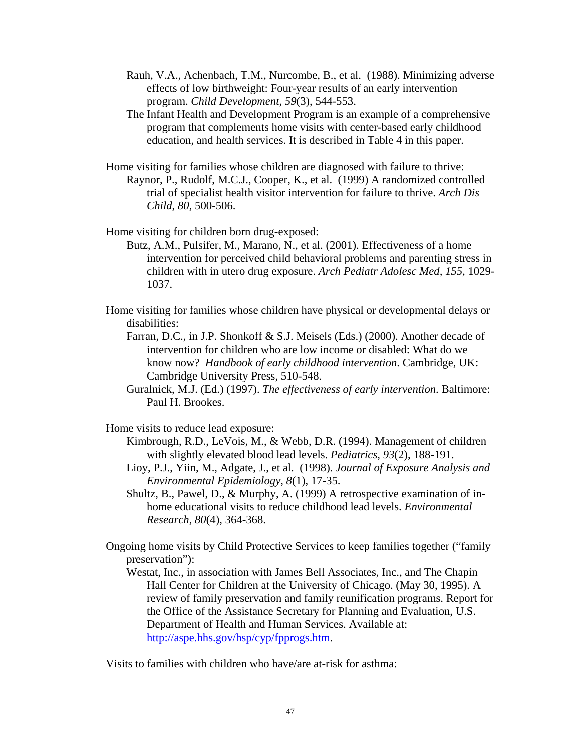- Rauh, V.A., Achenbach, T.M., Nurcombe, B., et al. (1988). Minimizing adverse effects of low birthweight: Four-year results of an early intervention program. *Child Development*, *59*(3), 544-553.
- The Infant Health and Development Program is an example of a comprehensive program that complements home visits with center-based early childhood education, and health services. It is described in Table 4 in this paper.
- Home visiting for families whose children are diagnosed with failure to thrive: Raynor, P., Rudolf, M.C.J., Cooper, K., et al. (1999) A randomized controlled trial of specialist health visitor intervention for failure to thrive. *Arch Dis Child*, *80*, 500-506.

Home visiting for children born drug-exposed:

- Butz, A.M., Pulsifer, M., Marano, N., et al. (2001). Effectiveness of a home intervention for perceived child behavioral problems and parenting stress in children with in utero drug exposure. *Arch Pediatr Adolesc Med, 155*, 1029- 1037.
- Home visiting for families whose children have physical or developmental delays or disabilities:
	- Farran, D.C., in J.P. Shonkoff & S.J. Meisels (Eds.) (2000). Another decade of intervention for children who are low income or disabled: What do we know now? *Handbook of early childhood intervention*. Cambridge, UK: Cambridge University Press, 510-548.
	- Guralnick, M.J. (Ed.) (1997). *The effectiveness of early intervention*. Baltimore: Paul H. Brookes.

Home visits to reduce lead exposure:

- Kimbrough, R.D., LeVois, M., & Webb, D.R. (1994). Management of children with slightly elevated blood lead levels. *Pediatrics, 93*(2), 188-191.
- Lioy, P.J., Yiin, M., Adgate, J., et al. (1998). *Journal of Exposure Analysis and Environmental Epidemiology*, *8*(1), 17-35.
- Shultz, B., Pawel, D., & Murphy, A. (1999) A retrospective examination of inhome educational visits to reduce childhood lead levels. *Environmental Research*, *80*(4), 364-368.
- Ongoing home visits by Child Protective Services to keep families together ("family preservation"):
	- Westat, Inc., in association with James Bell Associates, Inc., and The Chapin Hall Center for Children at the University of Chicago. (May 30, 1995). A review of family preservation and family reunification programs. Report for the Office of the Assistance Secretary for Planning and Evaluation, U.S. Department of Health and Human Services. Available at: http://aspe.hhs.gov/hsp/cyp/fpprogs.htm.

Visits to families with children who have/are at-risk for asthma: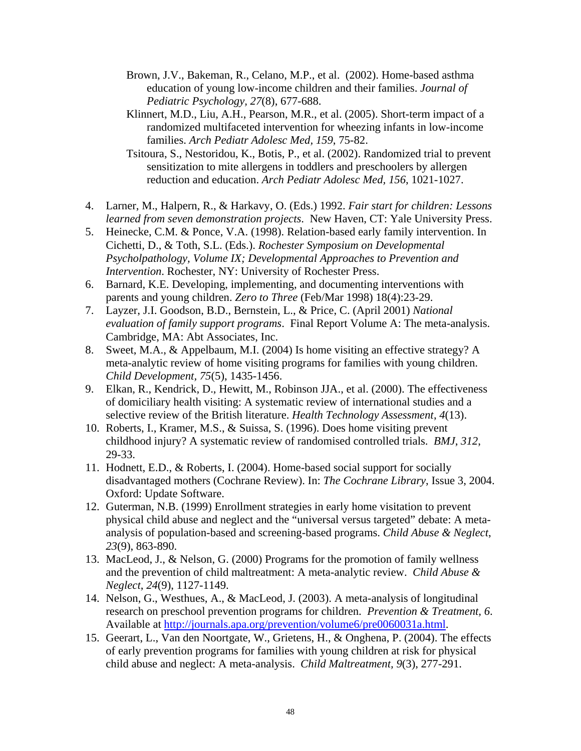- Brown, J.V., Bakeman, R., Celano, M.P., et al. (2002). Home-based asthma education of young low-income children and their families. *Journal of Pediatric Psychology, 27*(8), 677-688.
- Klinnert, M.D., Liu, A.H., Pearson, M.R., et al. (2005). Short-term impact of a randomized multifaceted intervention for wheezing infants in low-income families. *Arch Pediatr Adolesc Med, 159*, 75-82.
- Tsitoura, S., Nestoridou, K., Botis, P., et al. (2002). Randomized trial to prevent sensitization to mite allergens in toddlers and preschoolers by allergen reduction and education. *Arch Pediatr Adolesc Med, 156*, 1021-1027.
- 4. Larner, M., Halpern, R., & Harkavy, O. (Eds.) 1992. *Fair start for children: Lessons learned from seven demonstration projects*. New Haven, CT: Yale University Press.
- 5. Heinecke, C.M. & Ponce, V.A. (1998). Relation-based early family intervention. In Cichetti, D., & Toth, S.L. (Eds.). *Rochester Symposium on Developmental Psycholpathology, Volume IX; Developmental Approaches to Prevention and Intervention*. Rochester, NY: University of Rochester Press.
- 6. Barnard, K.E. Developing, implementing, and documenting interventions with parents and young children. *Zero to Three* (Feb/Mar 1998) 18(4):23-29.
- 7. Layzer, J.I. Goodson, B.D., Bernstein, L., & Price, C. (April 2001) *National evaluation of family support programs*. Final Report Volume A: The meta-analysis. Cambridge, MA: Abt Associates, Inc.
- 8. Sweet, M.A., & Appelbaum, M.I. (2004) Is home visiting an effective strategy? A meta-analytic review of home visiting programs for families with young children. *Child Development, 75*(5), 1435-1456.
- 9. Elkan, R., Kendrick, D., Hewitt, M., Robinson JJA., et al. (2000). The effectiveness of domiciliary health visiting: A systematic review of international studies and a selective review of the British literature. *Health Technology Assessment*, *4*(13).
- 10. Roberts, I., Kramer, M.S., & Suissa, S. (1996). Does home visiting prevent childhood injury? A systematic review of randomised controlled trials. *BMJ*, *312*, 29-33.
- 11. Hodnett, E.D., & Roberts, I. (2004). Home-based social support for socially disadvantaged mothers (Cochrane Review). In: *The Cochrane Library*, Issue 3, 2004. Oxford: Update Software.
- 12. Guterman, N.B. (1999) Enrollment strategies in early home visitation to prevent physical child abuse and neglect and the "universal versus targeted" debate: A metaanalysis of population-based and screening-based programs. *Child Abuse & Neglect*, *23*(9), 863-890.
- 13. MacLeod, J., & Nelson, G. (2000) Programs for the promotion of family wellness and the prevention of child maltreatment: A meta-analytic review. *Child Abuse & Neglect*, *24*(9), 1127-1149.
- 14. Nelson, G., Westhues, A., & MacLeod, J. (2003). A meta-analysis of longitudinal research on preschool prevention programs for children. *Prevention & Treatment, 6*. Available at http://journals.apa.org/prevention/volume6/pre0060031a.html.
- 15. Geerart, L., Van den Noortgate, W., Grietens, H., & Onghena, P. (2004). The effects of early prevention programs for families with young children at risk for physical child abuse and neglect: A meta-analysis. *Child Maltreatment, 9*(3), 277-291.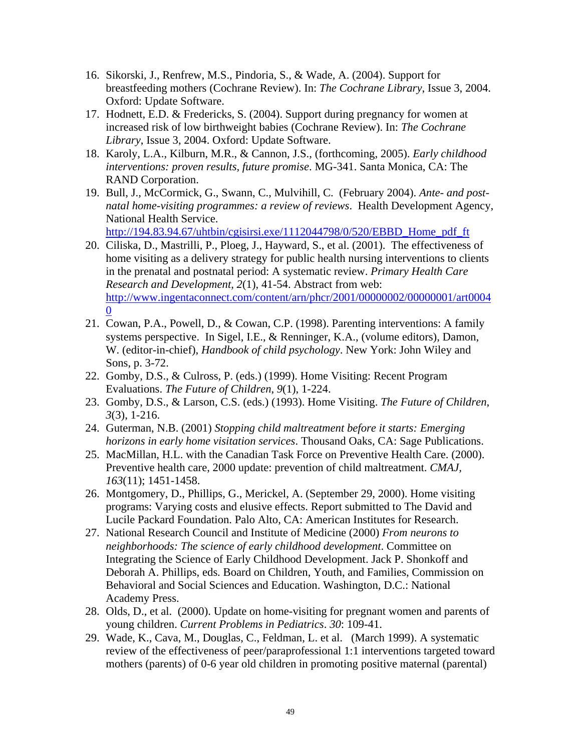- 16. Sikorski, J., Renfrew, M.S., Pindoria, S., & Wade, A. (2004). Support for breastfeeding mothers (Cochrane Review). In: *The Cochrane Library*, Issue 3, 2004. Oxford: Update Software.
- 17. Hodnett, E.D. & Fredericks, S. (2004). Support during pregnancy for women at increased risk of low birthweight babies (Cochrane Review). In: *The Cochrane Library*, Issue 3, 2004. Oxford: Update Software.
- 18. Karoly, L.A., Kilburn, M.R., & Cannon, J.S., (forthcoming, 2005). *Early childhood interventions: proven results, future promise*. MG-341. Santa Monica, CA: The RAND Corporation.
- 19. Bull, J., McCormick, G., Swann, C., Mulvihill, C. (February 2004). *Ante- and postnatal home-visiting programmes: a review of reviews*. Health Development Agency, National Health Service.

http://194.83.94.67/uhtbin/cgisirsi.exe/1112044798/0/520/EBBD\_Home\_pdf\_ft

- 20. Ciliska, D., Mastrilli, P., Ploeg, J., Hayward, S., et al. (2001). The effectiveness of home visiting as a delivery strategy for public health nursing interventions to clients in the prenatal and postnatal period: A systematic review. *Primary Health Care Research and Development, 2*(1), 41-54. Abstract from web: http://www.ingentaconnect.com/content/arn/phcr/2001/00000002/00000001/art0004  $\Omega$
- 21. Cowan, P.A., Powell, D., & Cowan, C.P. (1998). Parenting interventions: A family systems perspective. In Sigel, I.E., & Renninger, K.A., (volume editors), Damon, W. (editor-in-chief), *Handbook of child psychology*. New York: John Wiley and Sons, p. 3-72.
- 22. Gomby, D.S., & Culross, P. (eds.) (1999). Home Visiting: Recent Program Evaluations. *The Future of Children*, *9*(1), 1-224.
- 23. Gomby, D.S., & Larson, C.S. (eds.) (1993). Home Visiting. *The Future of Children*, *3*(3), 1-216.
- 24. Guterman, N.B. (2001) *Stopping child maltreatment before it starts: Emerging horizons in early home visitation services*. Thousand Oaks, CA: Sage Publications.
- 25. MacMillan, H.L. with the Canadian Task Force on Preventive Health Care. (2000). Preventive health care, 2000 update: prevention of child maltreatment. *CMAJ, 163*(11); 1451-1458.
- 26. Montgomery, D., Phillips, G., Merickel, A. (September 29, 2000). Home visiting programs: Varying costs and elusive effects. Report submitted to The David and Lucile Packard Foundation. Palo Alto, CA: American Institutes for Research.
- 27. National Research Council and Institute of Medicine (2000) *From neurons to neighborhoods: The science of early childhood development*. Committee on Integrating the Science of Early Childhood Development. Jack P. Shonkoff and Deborah A. Phillips, eds. Board on Children, Youth, and Families, Commission on Behavioral and Social Sciences and Education. Washington, D.C.: National Academy Press.
- 28. Olds, D., et al. (2000). Update on home-visiting for pregnant women and parents of young children. *Current Problems in Pediatrics*. *30*: 109-41.
- 29. Wade, K., Cava, M., Douglas, C., Feldman, L. et al. (March 1999). A systematic review of the effectiveness of peer/paraprofessional 1:1 interventions targeted toward mothers (parents) of 0-6 year old children in promoting positive maternal (parental)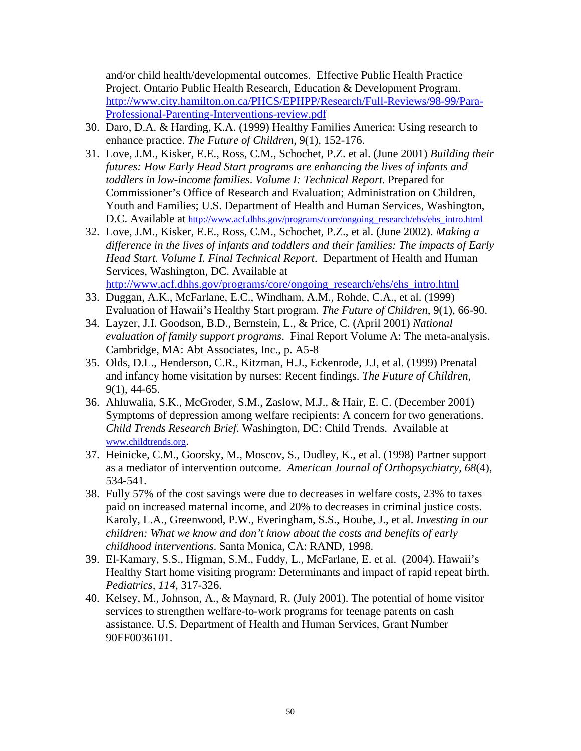and/or child health/developmental outcomes. Effective Public Health Practice Project. Ontario Public Health Research, Education & Development Program. http://www.city.hamilton.on.ca/PHCS/EPHPP/Research/Full-Reviews/98-99/Para-Professional-Parenting-Interventions-review.pdf

- 30. Daro, D.A. & Harding, K.A. (1999) Healthy Families America: Using research to enhance practice. *The Future of Children*, 9(1), 152-176.
- 31. Love, J.M., Kisker, E.E., Ross, C.M., Schochet, P.Z. et al. (June 2001) *Building their futures: How Early Head Start programs are enhancing the lives of infants and toddlers in low-income families*. *Volume I: Technical Report*. Prepared for Commissioner's Office of Research and Evaluation; Administration on Children, Youth and Families; U.S. Department of Health and Human Services, Washington, D.C. Available at http://www.acf.dhhs.gov/programs/core/ongoing\_research/ehs/ehs\_intro.html
- 32. Love, J.M., Kisker, E.E., Ross, C.M., Schochet, P.Z., et al. (June 2002). *Making a difference in the lives of infants and toddlers and their families: The impacts of Early Head Start. Volume I. Final Technical Report*. Department of Health and Human Services, Washington, DC. Available at http://www.acf.dhhs.gov/programs/core/ongoing\_research/ehs/ehs\_intro.html
- 33. Duggan, A.K., McFarlane, E.C., Windham, A.M., Rohde, C.A., et al. (1999) Evaluation of Hawaii's Healthy Start program. *The Future of Children*, 9(1), 66-90.
- 34. Layzer, J.I. Goodson, B.D., Bernstein, L., & Price, C. (April 2001) *National evaluation of family support programs*. Final Report Volume A: The meta-analysis. Cambridge, MA: Abt Associates, Inc., p. A5-8
- 35. Olds, D.L., Henderson, C.R., Kitzman, H.J., Eckenrode, J.J, et al. (1999) Prenatal and infancy home visitation by nurses: Recent findings. *The Future of Children*, 9(1), 44-65.
- 36. Ahluwalia, S.K., McGroder, S.M., Zaslow, M.J., & Hair, E. C. (December 2001) Symptoms of depression among welfare recipients: A concern for two generations. *Child Trends Research Brief*. Washington, DC: Child Trends. Available at www.childtrends.org.
- 37. Heinicke, C.M., Goorsky, M., Moscov, S., Dudley, K., et al. (1998) Partner support as a mediator of intervention outcome. *American Journal of Orthopsychiatry*, *68*(4), 534-541.
- 38. Fully 57% of the cost savings were due to decreases in welfare costs, 23% to taxes paid on increased maternal income, and 20% to decreases in criminal justice costs. Karoly, L.A., Greenwood, P.W., Everingham, S.S., Hoube, J., et al. *Investing in our children: What we know and don't know about the costs and benefits of early childhood interventions*. Santa Monica, CA: RAND, 1998.
- 39. El-Kamary, S.S., Higman, S.M., Fuddy, L., McFarlane, E. et al. (2004). Hawaii's Healthy Start home visiting program: Determinants and impact of rapid repeat birth. *Pediatrics, 114*, 317-326.
- 40. Kelsey, M., Johnson, A., & Maynard, R. (July 2001). The potential of home visitor services to strengthen welfare-to-work programs for teenage parents on cash assistance. U.S. Department of Health and Human Services, Grant Number 90FF0036101.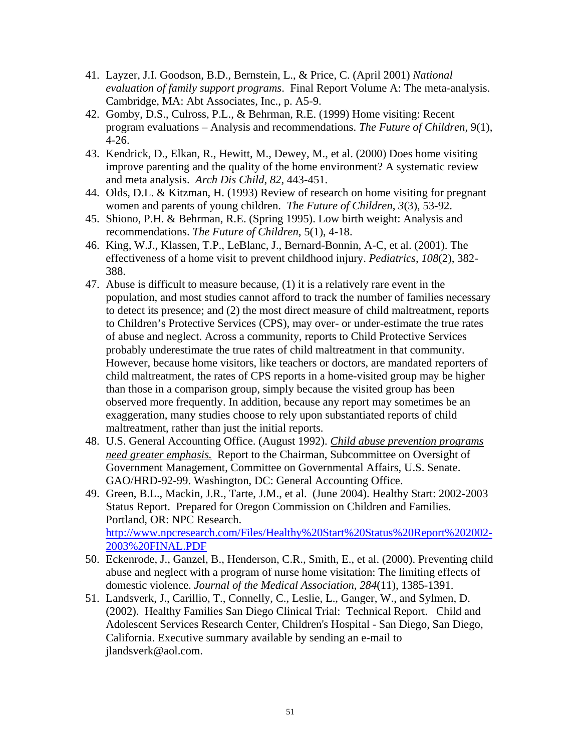- 41. Layzer, J.I. Goodson, B.D., Bernstein, L., & Price, C. (April 2001) *National evaluation of family support programs*. Final Report Volume A: The meta-analysis. Cambridge, MA: Abt Associates, Inc., p. A5-9.
- 42. Gomby, D.S., Culross, P.L., & Behrman, R.E. (1999) Home visiting: Recent program evaluations – Analysis and recommendations. *The Future of Children*, 9(1), 4-26.
- 43. Kendrick, D., Elkan, R., Hewitt, M., Dewey, M., et al. (2000) Does home visiting improve parenting and the quality of the home environment? A systematic review and meta analysis. *Arch Dis Child*, *82*, 443-451.
- 44. Olds, D.L. & Kitzman, H. (1993) Review of research on home visiting for pregnant women and parents of young children. *The Future of Children*, *3*(3), 53-92.
- 45. Shiono, P.H. & Behrman, R.E. (Spring 1995). Low birth weight: Analysis and recommendations. *The Future of Children*, 5(1), 4-18.
- 46. King, W.J., Klassen, T.P., LeBlanc, J., Bernard-Bonnin, A-C, et al. (2001). The effectiveness of a home visit to prevent childhood injury. *Pediatrics*, *108*(2), 382- 388.
- 47. Abuse is difficult to measure because, (1) it is a relatively rare event in the population, and most studies cannot afford to track the number of families necessary to detect its presence; and (2) the most direct measure of child maltreatment, reports to Children's Protective Services (CPS), may over- or under-estimate the true rates of abuse and neglect. Across a community, reports to Child Protective Services probably underestimate the true rates of child maltreatment in that community. However, because home visitors, like teachers or doctors, are mandated reporters of child maltreatment, the rates of CPS reports in a home-visited group may be higher than those in a comparison group, simply because the visited group has been observed more frequently. In addition, because any report may sometimes be an exaggeration, many studies choose to rely upon substantiated reports of child maltreatment, rather than just the initial reports.
- 48. U.S. General Accounting Office. (August 1992). *Child abuse prevention programs need greater emphasis.* Report to the Chairman, Subcommittee on Oversight of Government Management, Committee on Governmental Affairs, U.S. Senate. GAO/HRD-92-99. Washington, DC: General Accounting Office.
- 49. Green, B.L., Mackin, J.R., Tarte, J.M., et al. (June 2004). Healthy Start: 2002-2003 Status Report. Prepared for Oregon Commission on Children and Families. Portland, OR: NPC Research. http://www.npcresearch.com/Files/Healthy%20Start%20Status%20Report%202002- 2003%20FINAL.PDF
- 50. Eckenrode, J., Ganzel, B., Henderson, C.R., Smith, E., et al. (2000). Preventing child abuse and neglect with a program of nurse home visitation: The limiting effects of domestic violence. *Journal of the Medical Association*, *284*(11), 1385-1391.
- 51. Landsverk, J., Carillio, T., Connelly, C., Leslie, L., Ganger, W., and Sylmen, D. (2002). Healthy Families San Diego Clinical Trial: Technical Report. Child and Adolescent Services Research Center, Children's Hospital - San Diego, San Diego, California. Executive summary available by sending an e-mail to jlandsverk@aol.com.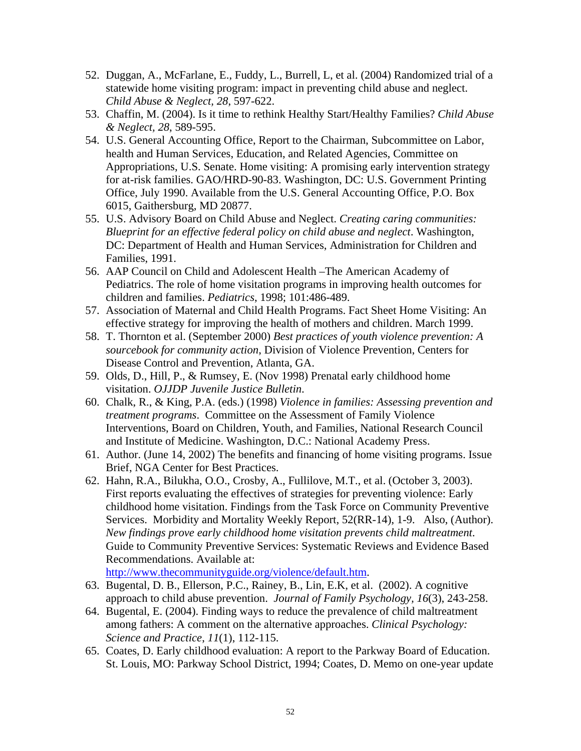- 52. Duggan, A., McFarlane, E., Fuddy, L., Burrell, L, et al. (2004) Randomized trial of a statewide home visiting program: impact in preventing child abuse and neglect. *Child Abuse & Neglect, 28*, 597-622.
- 53. Chaffin, M. (2004). Is it time to rethink Healthy Start/Healthy Families? *Child Abuse & Neglect, 28*, 589-595.
- 54. U.S. General Accounting Office, Report to the Chairman, Subcommittee on Labor, health and Human Services, Education, and Related Agencies, Committee on Appropriations, U.S. Senate. Home visiting: A promising early intervention strategy for at-risk families. GAO/HRD-90-83. Washington, DC: U.S. Government Printing Office, July 1990. Available from the U.S. General Accounting Office, P.O. Box 6015, Gaithersburg, MD 20877.
- 55. U.S. Advisory Board on Child Abuse and Neglect. *Creating caring communities: Blueprint for an effective federal policy on child abuse and neglect*. Washington, DC: Department of Health and Human Services, Administration for Children and Families, 1991.
- 56. AAP Council on Child and Adolescent Health –The American Academy of Pediatrics. The role of home visitation programs in improving health outcomes for children and families. *Pediatrics*, 1998; 101:486-489.
- 57. Association of Maternal and Child Health Programs. Fact Sheet Home Visiting: An effective strategy for improving the health of mothers and children. March 1999.
- 58. T. Thornton et al. (September 2000) *Best practices of youth violence prevention: A sourcebook for community action*, Division of Violence Prevention, Centers for Disease Control and Prevention, Atlanta, GA.
- 59. Olds, D., Hill, P., & Rumsey, E. (Nov 1998) Prenatal early childhood home visitation. *OJJDP Juvenile Justice Bulletin*.
- 60. Chalk, R., & King, P.A. (eds.) (1998) *Violence in families: Assessing prevention and treatment programs*. Committee on the Assessment of Family Violence Interventions, Board on Children, Youth, and Families, National Research Council and Institute of Medicine. Washington, D.C.: National Academy Press.
- 61. Author. (June 14, 2002) The benefits and financing of home visiting programs. Issue Brief, NGA Center for Best Practices.
- 62. Hahn, R.A., Bilukha, O.O., Crosby, A., Fullilove, M.T., et al. (October 3, 2003). First reports evaluating the effectives of strategies for preventing violence: Early childhood home visitation. Findings from the Task Force on Community Preventive Services. Morbidity and Mortality Weekly Report, 52(RR-14), 1-9. Also, (Author). *New findings prove early childhood home visitation prevents child maltreatment*. Guide to Community Preventive Services: Systematic Reviews and Evidence Based Recommendations. Available at:

http://www.thecommunityguide.org/violence/default.htm.

- 63. Bugental, D. B., Ellerson, P.C., Rainey, B., Lin, E.K, et al. (2002). A cognitive approach to child abuse prevention. *Journal of Family Psychology, 16*(3), 243-258.
- 64. Bugental, E. (2004). Finding ways to reduce the prevalence of child maltreatment among fathers: A comment on the alternative approaches. *Clinical Psychology: Science and Practice*, *11*(1), 112-115.
- 65. Coates, D. Early childhood evaluation: A report to the Parkway Board of Education. St. Louis, MO: Parkway School District, 1994; Coates, D. Memo on one-year update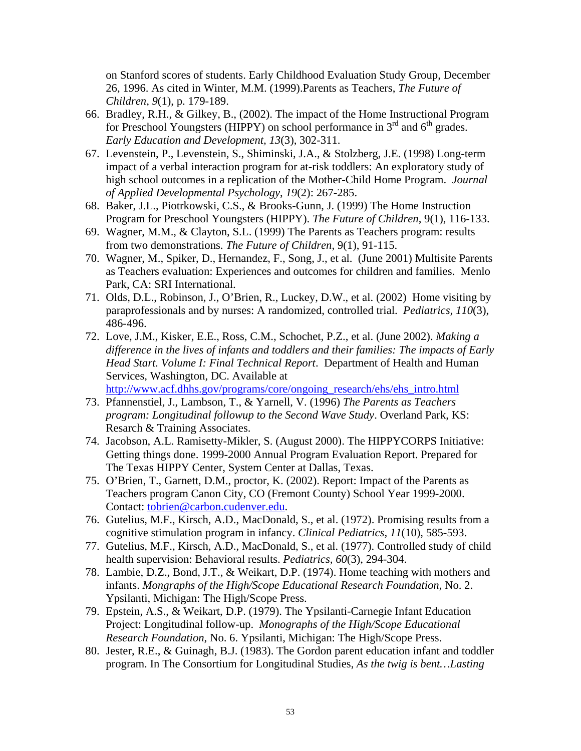on Stanford scores of students. Early Childhood Evaluation Study Group, December 26, 1996. As cited in Winter, M.M. (1999).Parents as Teachers, *The Future of Children*, *9*(1), p. 179-189.

- 66. Bradley, R.H., & Gilkey, B., (2002). The impact of the Home Instructional Program for Preschool Youngsters (HIPPY) on school performance in  $3<sup>rd</sup>$  and  $6<sup>th</sup>$  grades. *Early Education and Development, 13*(3), 302-311.
- 67. Levenstein, P., Levenstein, S., Shiminski, J.A., & Stolzberg, J.E. (1998) Long-term impact of a verbal interaction program for at-risk toddlers: An exploratory study of high school outcomes in a replication of the Mother-Child Home Program. *Journal of Applied Developmental Psychology*, *19*(2): 267-285.
- 68. Baker, J.L., Piotrkowski, C.S., & Brooks-Gunn, J. (1999) The Home Instruction Program for Preschool Youngsters (HIPPY). *The Future of Children*, 9(1), 116-133.
- 69. Wagner, M.M., & Clayton, S.L. (1999) The Parents as Teachers program: results from two demonstrations. *The Future of Children*, 9(1), 91-115.
- 70. Wagner, M., Spiker, D., Hernandez, F., Song, J., et al. (June 2001) Multisite Parents as Teachers evaluation: Experiences and outcomes for children and families. Menlo Park, CA: SRI International.
- 71. Olds, D.L., Robinson, J., O'Brien, R., Luckey, D.W., et al. (2002) Home visiting by paraprofessionals and by nurses: A randomized, controlled trial. *Pediatrics, 110*(3), 486-496.
- 72. Love, J.M., Kisker, E.E., Ross, C.M., Schochet, P.Z., et al. (June 2002). *Making a difference in the lives of infants and toddlers and their families: The impacts of Early Head Start. Volume I: Final Technical Report*. Department of Health and Human Services, Washington, DC. Available at http://www.acf.dhhs.gov/programs/core/ongoing\_research/ehs/ehs\_intro.html
- 73. Pfannenstiel, J., Lambson, T., & Yarnell, V. (1996) *The Parents as Teachers program: Longitudinal followup to the Second Wave Study*. Overland Park, KS: Resarch & Training Associates.
- 74. Jacobson, A.L. Ramisetty-Mikler, S. (August 2000). The HIPPYCORPS Initiative: Getting things done. 1999-2000 Annual Program Evaluation Report. Prepared for The Texas HIPPY Center, System Center at Dallas, Texas.
- 75. O'Brien, T., Garnett, D.M., proctor, K. (2002). Report: Impact of the Parents as Teachers program Canon City, CO (Fremont County) School Year 1999-2000. Contact: tobrien@carbon.cudenver.edu.
- 76. Gutelius, M.F., Kirsch, A.D., MacDonald, S., et al. (1972). Promising results from a cognitive stimulation program in infancy. *Clinical Pediatrics, 11*(10), 585-593.
- 77. Gutelius, M.F., Kirsch, A.D., MacDonald, S., et al. (1977). Controlled study of child health supervision: Behavioral results. *Pediatrics, 60*(3), 294-304.
- 78. Lambie, D.Z., Bond, J.T., & Weikart, D.P. (1974). Home teaching with mothers and infants. *Mongraphs of the High/Scope Educational Research Foundation*, No. 2. Ypsilanti, Michigan: The High/Scope Press.
- 79. Epstein, A.S., & Weikart, D.P. (1979). The Ypsilanti-Carnegie Infant Education Project: Longitudinal follow-up. *Monographs of the High/Scope Educational Research Foundation*, No. 6. Ypsilanti, Michigan: The High/Scope Press.
- 80. Jester, R.E., & Guinagh, B.J. (1983). The Gordon parent education infant and toddler program. In The Consortium for Longitudinal Studies, *As the twig is bent…Lasting*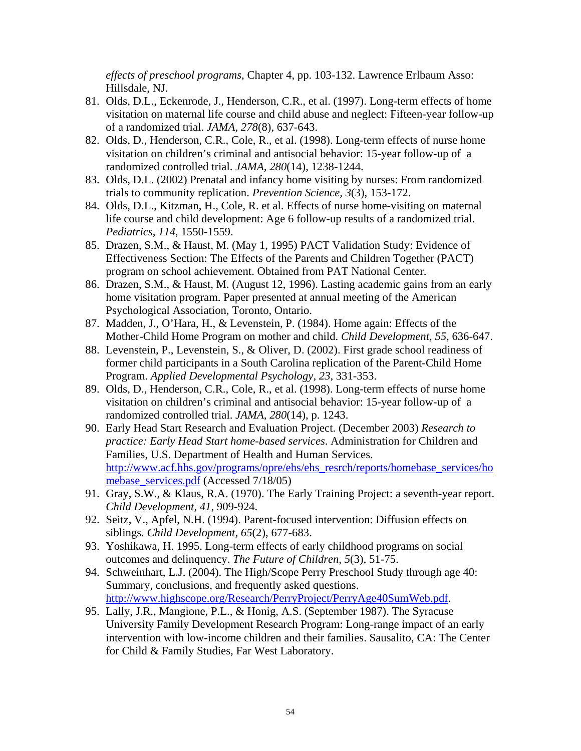*effects of preschool programs*, Chapter 4, pp. 103-132. Lawrence Erlbaum Asso: Hillsdale, NJ.

- 81. Olds, D.L., Eckenrode, J., Henderson, C.R., et al. (1997). Long-term effects of home visitation on maternal life course and child abuse and neglect: Fifteen-year follow-up of a randomized trial. *JAMA, 278*(8), 637-643.
- 82. Olds, D., Henderson, C.R., Cole, R., et al. (1998). Long-term effects of nurse home visitation on children's criminal and antisocial behavior: 15-year follow-up of a randomized controlled trial. *JAMA, 280*(14), 1238-1244.
- 83. Olds, D.L. (2002) Prenatal and infancy home visiting by nurses: From randomized trials to community replication. *Prevention Science, 3*(3), 153-172.
- 84. Olds, D.L., Kitzman, H., Cole, R. et al. Effects of nurse home-visiting on maternal life course and child development: Age 6 follow-up results of a randomized trial. *Pediatrics, 114*, 1550-1559.
- 85. Drazen, S.M., & Haust, M. (May 1, 1995) PACT Validation Study: Evidence of Effectiveness Section: The Effects of the Parents and Children Together (PACT) program on school achievement. Obtained from PAT National Center.
- 86. Drazen, S.M., & Haust, M. (August 12, 1996). Lasting academic gains from an early home visitation program. Paper presented at annual meeting of the American Psychological Association, Toronto, Ontario.
- 87. Madden, J., O'Hara, H., & Levenstein, P. (1984). Home again: Effects of the Mother-Child Home Program on mother and child. *Child Development, 55*, 636-647.
- 88. Levenstein, P., Levenstein, S., & Oliver, D. (2002). First grade school readiness of former child participants in a South Carolina replication of the Parent-Child Home Program. *Applied Developmental Psychology, 23*, 331-353.
- 89. Olds, D., Henderson, C.R., Cole, R., et al. (1998). Long-term effects of nurse home visitation on children's criminal and antisocial behavior: 15-year follow-up of a randomized controlled trial. *JAMA, 280*(14), p. 1243.
- 90. Early Head Start Research and Evaluation Project. (December 2003) *Research to practice: Early Head Start home-based services*. Administration for Children and Families, U.S. Department of Health and Human Services. http://www.acf.hhs.gov/programs/opre/ehs/ehs\_resrch/reports/homebase\_services/ho mebase\_services.pdf (Accessed 7/18/05)
- 91. Gray, S.W., & Klaus, R.A. (1970). The Early Training Project: a seventh-year report. *Child Development, 41*, 909-924.
- 92. Seitz, V., Apfel, N.H. (1994). Parent-focused intervention: Diffusion effects on siblings. *Child Development, 65*(2), 677-683.
- 93. Yoshikawa, H. 1995. Long-term effects of early childhood programs on social outcomes and delinquency. *The Future of Children*, *5*(3), 51-75.
- 94. Schweinhart, L.J. (2004). The High/Scope Perry Preschool Study through age 40: Summary, conclusions, and frequently asked questions. http://www.highscope.org/Research/PerryProject/PerryAge40SumWeb.pdf.
- 95. Lally, J.R., Mangione, P.L., & Honig, A.S. (September 1987). The Syracuse University Family Development Research Program: Long-range impact of an early intervention with low-income children and their families. Sausalito, CA: The Center for Child & Family Studies, Far West Laboratory.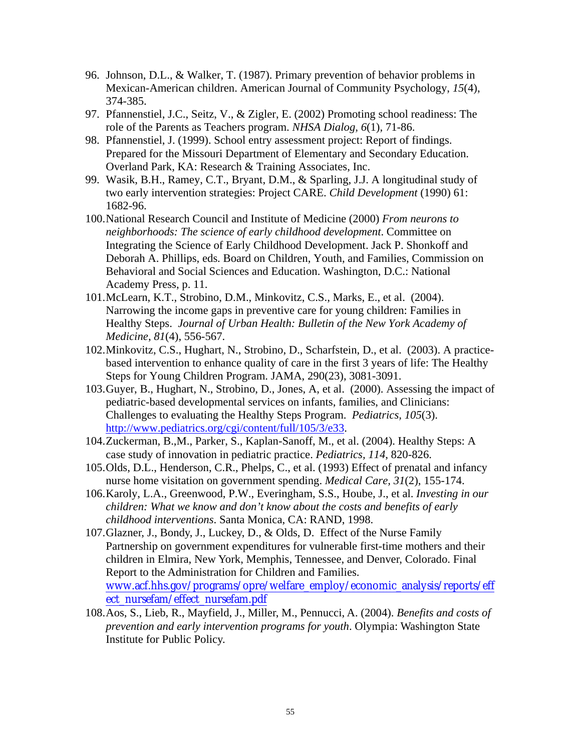- 96. Johnson, D.L., & Walker, T. (1987). Primary prevention of behavior problems in Mexican-American children. American Journal of Community Psychology, *15*(4), 374-385.
- 97. Pfannenstiel, J.C., Seitz, V., & Zigler, E. (2002) Promoting school readiness: The role of the Parents as Teachers program. *NHSA Dialog, 6*(1), 71-86.
- 98. Pfannenstiel, J. (1999). School entry assessment project: Report of findings. Prepared for the Missouri Department of Elementary and Secondary Education. Overland Park, KA: Research & Training Associates, Inc.
- 99. Wasik, B.H., Ramey, C.T., Bryant, D.M., & Sparling, J.J. A longitudinal study of two early intervention strategies: Project CARE. *Child Development* (1990) 61: 1682-96.
- 100. National Research Council and Institute of Medicine (2000) *From neurons to neighborhoods: The science of early childhood development*. Committee on Integrating the Science of Early Childhood Development. Jack P. Shonkoff and Deborah A. Phillips, eds. Board on Children, Youth, and Families, Commission on Behavioral and Social Sciences and Education. Washington, D.C.: National Academy Press, p. 11.
- 101. McLearn, K.T., Strobino, D.M., Minkovitz, C.S., Marks, E., et al. (2004). Narrowing the income gaps in preventive care for young children: Families in Healthy Steps. *Journal of Urban Health: Bulletin of the New York Academy of Medicine*, *81*(4), 556-567.
- 102. Minkovitz, C.S., Hughart, N., Strobino, D., Scharfstein, D., et al. (2003). A practicebased intervention to enhance quality of care in the first 3 years of life: The Healthy Steps for Young Children Program. JAMA, 290(23), 3081-3091.
- 103. Guyer, B., Hughart, N., Strobino, D., Jones, A, et al. (2000). Assessing the impact of pediatric-based developmental services on infants, families, and Clinicians: Challenges to evaluating the Healthy Steps Program. *Pediatrics, 105*(3). http://www.pediatrics.org/cgi/content/full/105/3/e33.
- 104. Zuckerman, B.,M., Parker, S., Kaplan-Sanoff, M., et al. (2004). Healthy Steps: A case study of innovation in pediatric practice. *Pediatrics, 114*, 820-826.
- 105. Olds, D.L., Henderson, C.R., Phelps, C., et al. (1993) Effect of prenatal and infancy nurse home visitation on government spending. *Medical Care, 31*(2), 155-174.
- 106. Karoly, L.A., Greenwood, P.W., Everingham, S.S., Hoube, J., et al. *Investing in our children: What we know and don't know about the costs and benefits of early childhood interventions*. Santa Monica, CA: RAND, 1998.
- 107. Glazner, J., Bondy, J., Luckey, D., & Olds, D. Effect of the Nurse Family Partnership on government expenditures for vulnerable first-time mothers and their children in Elmira, New York, Memphis, Tennessee, and Denver, Colorado. Final Report to the Administration for Children and Families. www.acf.hhs.gov/programs/opre/welfare\_employ/economic\_analysis/reports/eff ect\_nursefam/effect\_nursefam.pdf
- 108. Aos, S., Lieb, R., Mayfield, J., Miller, M., Pennucci, A. (2004). *Benefits and costs of prevention and early intervention programs for youth*. Olympia: Washington State Institute for Public Policy.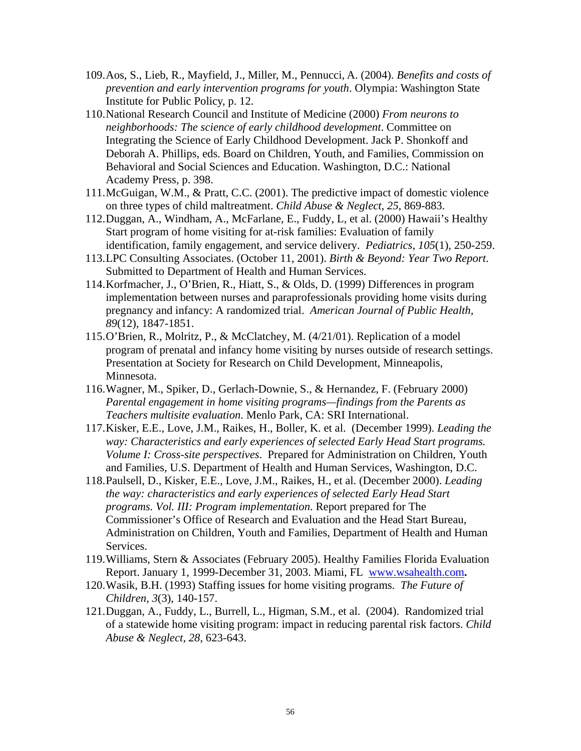- 109. Aos, S., Lieb, R., Mayfield, J., Miller, M., Pennucci, A. (2004). *Benefits and costs of prevention and early intervention programs for youth*. Olympia: Washington State Institute for Public Policy, p. 12.
- 110. National Research Council and Institute of Medicine (2000) *From neurons to neighborhoods: The science of early childhood development*. Committee on Integrating the Science of Early Childhood Development. Jack P. Shonkoff and Deborah A. Phillips, eds. Board on Children, Youth, and Families, Commission on Behavioral and Social Sciences and Education. Washington, D.C.: National Academy Press, p. 398.
- 111. McGuigan, W.M., & Pratt, C.C. (2001). The predictive impact of domestic violence on three types of child maltreatment. *Child Abuse & Neglect*, *25*, 869-883.
- 112. Duggan, A., Windham, A., McFarlane, E., Fuddy, L, et al. (2000) Hawaii's Healthy Start program of home visiting for at-risk families: Evaluation of family identification, family engagement, and service delivery. *Pediatrics*, *105*(1), 250-259.
- 113. LPC Consulting Associates. (October 11, 2001). *Birth & Beyond: Year Two Report*. Submitted to Department of Health and Human Services.
- 114. Korfmacher, J., O'Brien, R., Hiatt, S., & Olds, D. (1999) Differences in program implementation between nurses and paraprofessionals providing home visits during pregnancy and infancy: A randomized trial. *American Journal of Public Health, 89*(12), 1847-1851.
- 115. O'Brien, R., Molritz, P., & McClatchey, M. (4/21/01). Replication of a model program of prenatal and infancy home visiting by nurses outside of research settings. Presentation at Society for Research on Child Development, Minneapolis, Minnesota.
- 116. Wagner, M., Spiker, D., Gerlach-Downie, S., & Hernandez, F. (February 2000) *Parental engagement in home visiting programs—findings from the Parents as Teachers multisite evaluation*. Menlo Park, CA: SRI International.
- 117. Kisker, E.E., Love, J.M., Raikes, H., Boller, K. et al. (December 1999). *Leading the way: Characteristics and early experiences of selected Early Head Start programs. Volume I: Cross-site perspectives*. Prepared for Administration on Children, Youth and Families, U.S. Department of Health and Human Services, Washington, D.C.
- 118. Paulsell, D., Kisker, E.E., Love, J.M., Raikes, H., et al. (December 2000). *Leading the way: characteristics and early experiences of selected Early Head Start programs. Vol. III: Program implementation*. Report prepared for The Commissioner's Office of Research and Evaluation and the Head Start Bureau, Administration on Children, Youth and Families, Department of Health and Human Services.
- 119.Williams, Stern & Associates (February 2005). Healthy Families Florida Evaluation Report. January 1, 1999-December 31, 2003. Miami, FL www.wsahealth.com**.**
- 120. Wasik, B.H. (1993) Staffing issues for home visiting programs. *The Future of Children*, *3*(3), 140-157.
- 121. Duggan, A., Fuddy, L., Burrell, L., Higman, S.M., et al. (2004). Randomized trial of a statewide home visiting program: impact in reducing parental risk factors. *Child Abuse & Neglect, 28*, 623-643.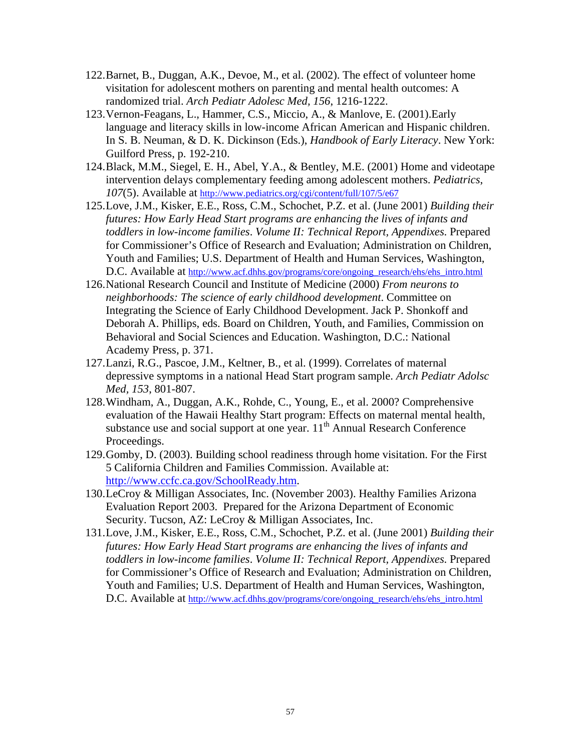- 122. Barnet, B., Duggan, A.K., Devoe, M., et al. (2002). The effect of volunteer home visitation for adolescent mothers on parenting and mental health outcomes: A randomized trial. *Arch Pediatr Adolesc Med, 156*, 1216-1222.
- 123. Vernon-Feagans, L., Hammer, C.S., Miccio, A., & Manlove, E. (2001).Early language and literacy skills in low-income African American and Hispanic children. In S. B. Neuman, & D. K. Dickinson (Eds.), *Handbook of Early Literacy*. New York: Guilford Press, p. 192-210.
- 124. Black, M.M., Siegel, E. H., Abel, Y.A., & Bentley, M.E. (2001) Home and videotape intervention delays complementary feeding among adolescent mothers. *Pediatrics*, *107*(5). Available at http://www.pediatrics.org/cgi/content/full/107/5/e67
- 125. Love, J.M., Kisker, E.E., Ross, C.M., Schochet, P.Z. et al. (June 2001) *Building their futures: How Early Head Start programs are enhancing the lives of infants and toddlers in low-income families*. *Volume II: Technical Report, Appendixes*. Prepared for Commissioner's Office of Research and Evaluation; Administration on Children, Youth and Families; U.S. Department of Health and Human Services, Washington, D.C. Available at http://www.acf.dhhs.gov/programs/core/ongoing\_research/ehs/ehs\_intro.html
- 126. National Research Council and Institute of Medicine (2000) *From neurons to neighborhoods: The science of early childhood development*. Committee on Integrating the Science of Early Childhood Development. Jack P. Shonkoff and Deborah A. Phillips, eds. Board on Children, Youth, and Families, Commission on Behavioral and Social Sciences and Education. Washington, D.C.: National Academy Press, p. 371.
- 127. Lanzi, R.G., Pascoe, J.M., Keltner, B., et al. (1999). Correlates of maternal depressive symptoms in a national Head Start program sample. *Arch Pediatr Adolsc Med, 153*, 801-807.
- 128. Windham, A., Duggan, A.K., Rohde, C., Young, E., et al. 2000? Comprehensive evaluation of the Hawaii Healthy Start program: Effects on maternal mental health, substance use and social support at one year.  $11<sup>th</sup>$  Annual Research Conference Proceedings.
- 129. Gomby, D. (2003). Building school readiness through home visitation. For the First 5 California Children and Families Commission. Available at: http://www.ccfc.ca.gov/SchoolReady.htm.
- 130. LeCroy & Milligan Associates, Inc. (November 2003). Healthy Families Arizona Evaluation Report 2003. Prepared for the Arizona Department of Economic Security. Tucson, AZ: LeCroy & Milligan Associates, Inc.
- 131. Love, J.M., Kisker, E.E., Ross, C.M., Schochet, P.Z. et al. (June 2001) *Building their futures: How Early Head Start programs are enhancing the lives of infants and toddlers in low-income families*. *Volume II: Technical Report, Appendixes*. Prepared for Commissioner's Office of Research and Evaluation; Administration on Children, Youth and Families; U.S. Department of Health and Human Services, Washington, D.C. Available at http://www.acf.dhhs.gov/programs/core/ongoing\_research/ehs/ehs\_intro.html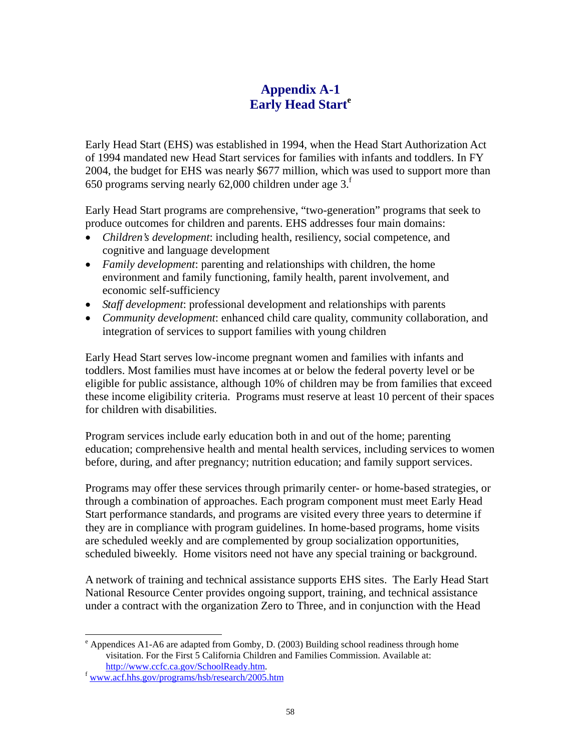# **Appendix A-1 Early Head Start<sup>e</sup>**

Early Head Start (EHS) was established in 1994, when the Head Start Authorization Act of 1994 mandated new Head Start services for families with infants and toddlers. In FY 2004, the budget for EHS was nearly \$677 million, which was used to support more than 650 programs serving nearly 62,000 children under age  $3^{\text{f}}$ 

Early Head Start programs are comprehensive, "two-generation" programs that seek to produce outcomes for children and parents. EHS addresses four main domains:

- *Children's development*: including health, resiliency, social competence, and cognitive and language development
- *Family development*: parenting and relationships with children, the home environment and family functioning, family health, parent involvement, and economic self-sufficiency
- *Staff development*: professional development and relationships with parents
- *Community development*: enhanced child care quality, community collaboration, and integration of services to support families with young children

Early Head Start serves low-income pregnant women and families with infants and toddlers. Most families must have incomes at or below the federal poverty level or be eligible for public assistance, although 10% of children may be from families that exceed these income eligibility criteria. Programs must reserve at least 10 percent of their spaces for children with disabilities.

Program services include early education both in and out of the home; parenting education; comprehensive health and mental health services, including services to women before, during, and after pregnancy; nutrition education; and family support services.

Programs may offer these services through primarily center- or home-based strategies, or through a combination of approaches. Each program component must meet Early Head Start performance standards, and programs are visited every three years to determine if they are in compliance with program guidelines. In home-based programs, home visits are scheduled weekly and are complemented by group socialization opportunities, scheduled biweekly. Home visitors need not have any special training or background.

A network of training and technical assistance supports EHS sites. The Early Head Start National Resource Center provides ongoing support, training, and technical assistance under a contract with the organization Zero to Three, and in conjunction with the Head

 $\overline{a}$ 

<sup>&</sup>lt;sup>e</sup> Appendices A1-A6 are adapted from Gomby, D. (2003) Building school readiness through home visitation. For the First 5 California Children and Families Commission. Available at:

http://www.ccfc.ca.gov/SchoolReady.htm. f www.acf.hhs.gov/programs/hsb/research/2005.htm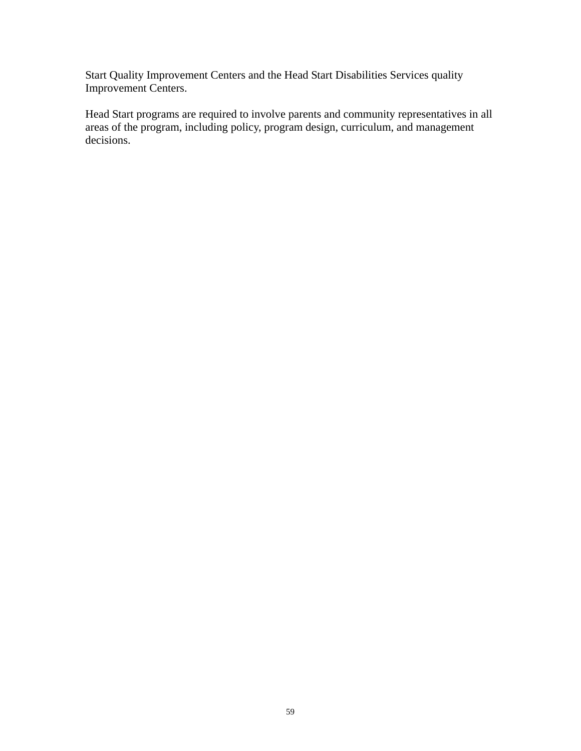Start Quality Improvement Centers and the Head Start Disabilities Services quality Improvement Centers.

Head Start programs are required to involve parents and community representatives in all areas of the program, including policy, program design, curriculum, and management decisions.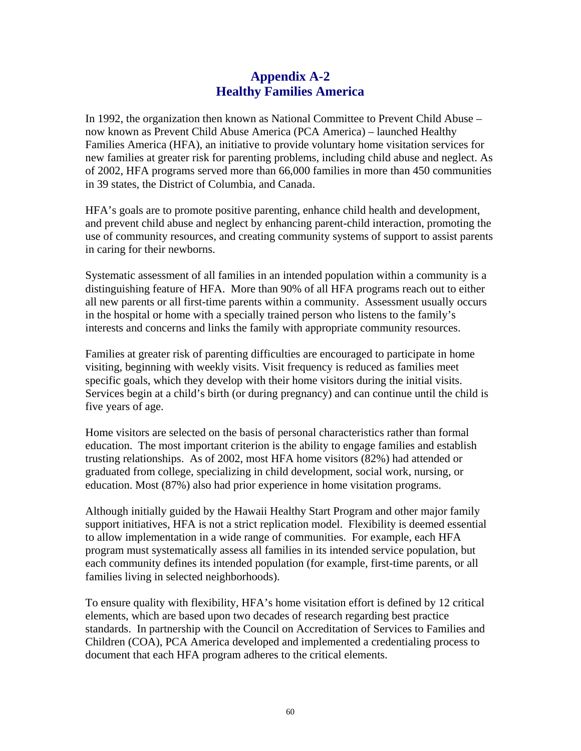## **Appendix A-2 Healthy Families America**

In 1992, the organization then known as National Committee to Prevent Child Abuse – now known as Prevent Child Abuse America (PCA America) – launched Healthy Families America (HFA), an initiative to provide voluntary home visitation services for new families at greater risk for parenting problems, including child abuse and neglect. As of 2002, HFA programs served more than 66,000 families in more than 450 communities in 39 states, the District of Columbia, and Canada.

HFA's goals are to promote positive parenting, enhance child health and development, and prevent child abuse and neglect by enhancing parent-child interaction, promoting the use of community resources, and creating community systems of support to assist parents in caring for their newborns.

Systematic assessment of all families in an intended population within a community is a distinguishing feature of HFA. More than 90% of all HFA programs reach out to either all new parents or all first-time parents within a community. Assessment usually occurs in the hospital or home with a specially trained person who listens to the family's interests and concerns and links the family with appropriate community resources.

Families at greater risk of parenting difficulties are encouraged to participate in home visiting, beginning with weekly visits. Visit frequency is reduced as families meet specific goals, which they develop with their home visitors during the initial visits. Services begin at a child's birth (or during pregnancy) and can continue until the child is five years of age.

Home visitors are selected on the basis of personal characteristics rather than formal education. The most important criterion is the ability to engage families and establish trusting relationships. As of 2002, most HFA home visitors (82%) had attended or graduated from college, specializing in child development, social work, nursing, or education. Most (87%) also had prior experience in home visitation programs.

Although initially guided by the Hawaii Healthy Start Program and other major family support initiatives, HFA is not a strict replication model. Flexibility is deemed essential to allow implementation in a wide range of communities. For example, each HFA program must systematically assess all families in its intended service population, but each community defines its intended population (for example, first-time parents, or all families living in selected neighborhoods).

To ensure quality with flexibility, HFA's home visitation effort is defined by 12 critical elements, which are based upon two decades of research regarding best practice standards. In partnership with the Council on Accreditation of Services to Families and Children (COA), PCA America developed and implemented a credentialing process to document that each HFA program adheres to the critical elements.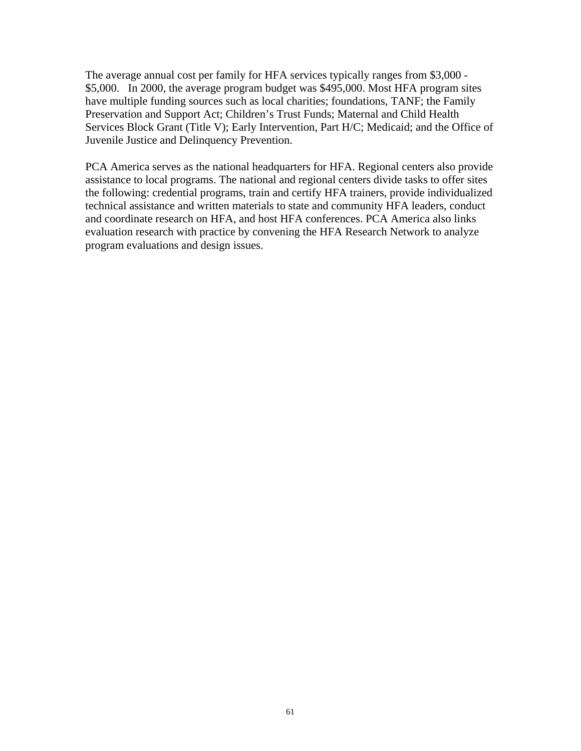The average annual cost per family for HFA services typically ranges from \$3,000 - \$5,000. In 2000, the average program budget was \$495,000. Most HFA program sites have multiple funding sources such as local charities; foundations, TANF; the Family Preservation and Support Act; Children's Trust Funds; Maternal and Child Health Services Block Grant (Title V); Early Intervention, Part H/C; Medicaid; and the Office of Juvenile Justice and Delinquency Prevention.

PCA America serves as the national headquarters for HFA. Regional centers also provide assistance to local programs. The national and regional centers divide tasks to offer sites the following: credential programs, train and certify HFA trainers, provide individualized technical assistance and written materials to state and community HFA leaders, conduct and coordinate research on HFA, and host HFA conferences. PCA America also links evaluation research with practice by convening the HFA Research Network to analyze program evaluations and design issues.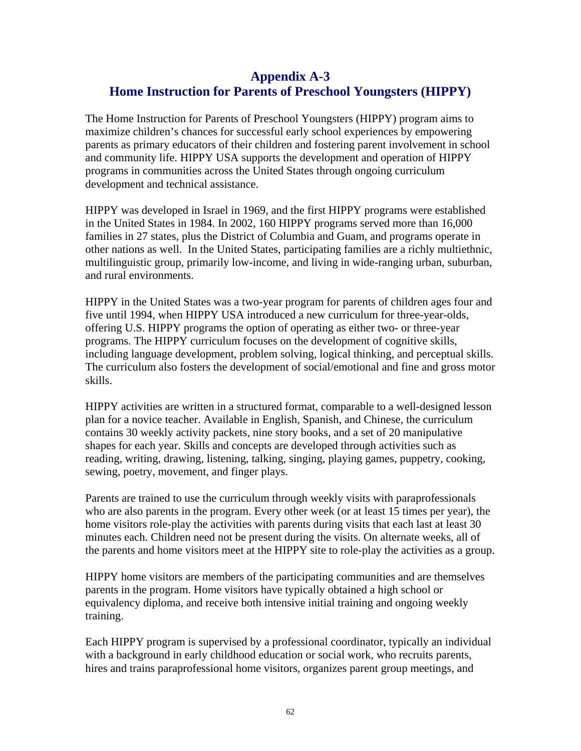# **Appendix A-3 Home Instruction for Parents of Preschool Youngsters (HIPPY)**

The Home Instruction for Parents of Preschool Youngsters (HIPPY) program aims to maximize children's chances for successful early school experiences by empowering parents as primary educators of their children and fostering parent involvement in school and community life. HIPPY USA supports the development and operation of HIPPY programs in communities across the United States through ongoing curriculum development and technical assistance.

HIPPY was developed in Israel in 1969, and the first HIPPY programs were established in the United States in 1984. In 2002, 160 HIPPY programs served more than 16,000 families in 27 states, plus the District of Columbia and Guam, and programs operate in other nations as well. In the United States, participating families are a richly multiethnic, multilinguistic group, primarily low-income, and living in wide-ranging urban, suburban, and rural environments.

HIPPY in the United States was a two-year program for parents of children ages four and five until 1994, when HIPPY USA introduced a new curriculum for three-year-olds, offering U.S. HIPPY programs the option of operating as either two- or three-year programs. The HIPPY curriculum focuses on the development of cognitive skills, including language development, problem solving, logical thinking, and perceptual skills. The curriculum also fosters the development of social/emotional and fine and gross motor skills.

HIPPY activities are written in a structured format, comparable to a well-designed lesson plan for a novice teacher. Available in English, Spanish, and Chinese, the curriculum contains 30 weekly activity packets, nine story books, and a set of 20 manipulative shapes for each year. Skills and concepts are developed through activities such as reading, writing, drawing, listening, talking, singing, playing games, puppetry, cooking, sewing, poetry, movement, and finger plays.

Parents are trained to use the curriculum through weekly visits with paraprofessionals who are also parents in the program. Every other week (or at least 15 times per year), the home visitors role-play the activities with parents during visits that each last at least 30 minutes each. Children need not be present during the visits. On alternate weeks, all of the parents and home visitors meet at the HIPPY site to role-play the activities as a group.

HIPPY home visitors are members of the participating communities and are themselves parents in the program. Home visitors have typically obtained a high school or equivalency diploma, and receive both intensive initial training and ongoing weekly training.

Each HIPPY program is supervised by a professional coordinator, typically an individual with a background in early childhood education or social work, who recruits parents, hires and trains paraprofessional home visitors, organizes parent group meetings, and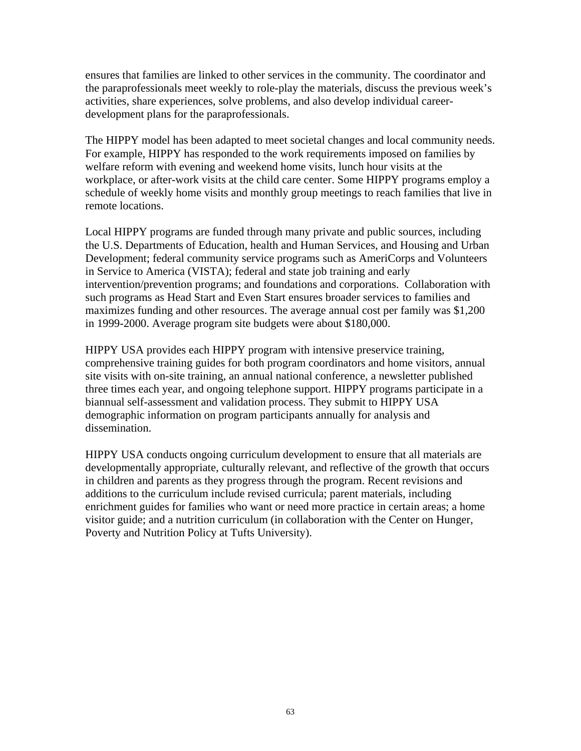ensures that families are linked to other services in the community. The coordinator and the paraprofessionals meet weekly to role-play the materials, discuss the previous week's activities, share experiences, solve problems, and also develop individual careerdevelopment plans for the paraprofessionals.

The HIPPY model has been adapted to meet societal changes and local community needs. For example, HIPPY has responded to the work requirements imposed on families by welfare reform with evening and weekend home visits, lunch hour visits at the workplace, or after-work visits at the child care center. Some HIPPY programs employ a schedule of weekly home visits and monthly group meetings to reach families that live in remote locations.

Local HIPPY programs are funded through many private and public sources, including the U.S. Departments of Education, health and Human Services, and Housing and Urban Development; federal community service programs such as AmeriCorps and Volunteers in Service to America (VISTA); federal and state job training and early intervention/prevention programs; and foundations and corporations. Collaboration with such programs as Head Start and Even Start ensures broader services to families and maximizes funding and other resources. The average annual cost per family was \$1,200 in 1999-2000. Average program site budgets were about \$180,000.

HIPPY USA provides each HIPPY program with intensive preservice training, comprehensive training guides for both program coordinators and home visitors, annual site visits with on-site training, an annual national conference, a newsletter published three times each year, and ongoing telephone support. HIPPY programs participate in a biannual self-assessment and validation process. They submit to HIPPY USA demographic information on program participants annually for analysis and dissemination.

HIPPY USA conducts ongoing curriculum development to ensure that all materials are developmentally appropriate, culturally relevant, and reflective of the growth that occurs in children and parents as they progress through the program. Recent revisions and additions to the curriculum include revised curricula; parent materials, including enrichment guides for families who want or need more practice in certain areas; a home visitor guide; and a nutrition curriculum (in collaboration with the Center on Hunger, Poverty and Nutrition Policy at Tufts University).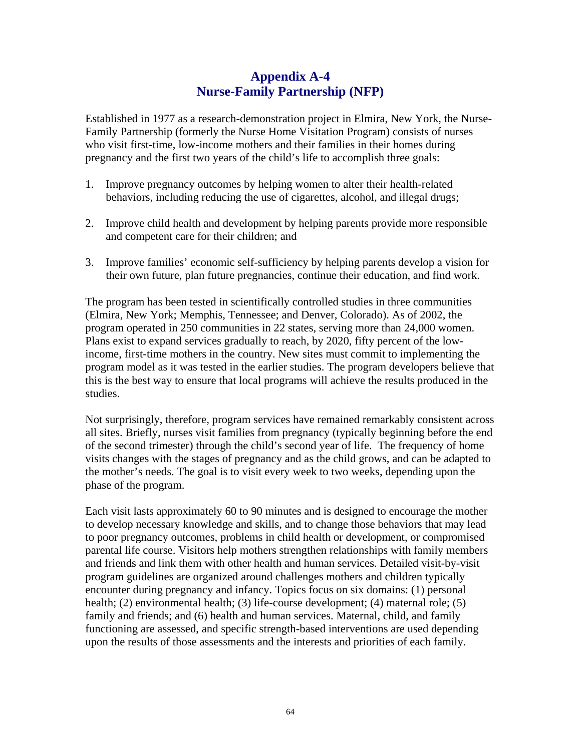# **Appendix A-4 Nurse-Family Partnership (NFP)**

Established in 1977 as a research-demonstration project in Elmira, New York, the Nurse-Family Partnership (formerly the Nurse Home Visitation Program) consists of nurses who visit first-time, low-income mothers and their families in their homes during pregnancy and the first two years of the child's life to accomplish three goals:

- 1. Improve pregnancy outcomes by helping women to alter their health-related behaviors, including reducing the use of cigarettes, alcohol, and illegal drugs;
- 2. Improve child health and development by helping parents provide more responsible and competent care for their children; and
- 3. Improve families' economic self-sufficiency by helping parents develop a vision for their own future, plan future pregnancies, continue their education, and find work.

The program has been tested in scientifically controlled studies in three communities (Elmira, New York; Memphis, Tennessee; and Denver, Colorado). As of 2002, the program operated in 250 communities in 22 states, serving more than 24,000 women. Plans exist to expand services gradually to reach, by 2020, fifty percent of the lowincome, first-time mothers in the country. New sites must commit to implementing the program model as it was tested in the earlier studies. The program developers believe that this is the best way to ensure that local programs will achieve the results produced in the studies.

Not surprisingly, therefore, program services have remained remarkably consistent across all sites. Briefly, nurses visit families from pregnancy (typically beginning before the end of the second trimester) through the child's second year of life. The frequency of home visits changes with the stages of pregnancy and as the child grows, and can be adapted to the mother's needs. The goal is to visit every week to two weeks, depending upon the phase of the program.

Each visit lasts approximately 60 to 90 minutes and is designed to encourage the mother to develop necessary knowledge and skills, and to change those behaviors that may lead to poor pregnancy outcomes, problems in child health or development, or compromised parental life course. Visitors help mothers strengthen relationships with family members and friends and link them with other health and human services. Detailed visit-by-visit program guidelines are organized around challenges mothers and children typically encounter during pregnancy and infancy. Topics focus on six domains: (1) personal health; (2) environmental health; (3) life-course development; (4) maternal role; (5) family and friends; and (6) health and human services. Maternal, child, and family functioning are assessed, and specific strength-based interventions are used depending upon the results of those assessments and the interests and priorities of each family.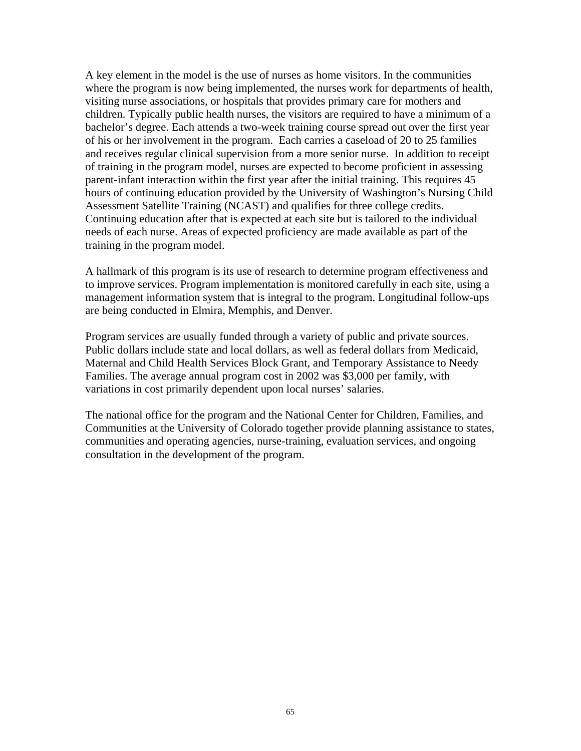A key element in the model is the use of nurses as home visitors. In the communities where the program is now being implemented, the nurses work for departments of health, visiting nurse associations, or hospitals that provides primary care for mothers and children. Typically public health nurses, the visitors are required to have a minimum of a bachelor's degree. Each attends a two-week training course spread out over the first year of his or her involvement in the program. Each carries a caseload of 20 to 25 families and receives regular clinical supervision from a more senior nurse. In addition to receipt of training in the program model, nurses are expected to become proficient in assessing parent-infant interaction within the first year after the initial training. This requires 45 hours of continuing education provided by the University of Washington's Nursing Child Assessment Satellite Training (NCAST) and qualifies for three college credits. Continuing education after that is expected at each site but is tailored to the individual needs of each nurse. Areas of expected proficiency are made available as part of the training in the program model.

A hallmark of this program is its use of research to determine program effectiveness and to improve services. Program implementation is monitored carefully in each site, using a management information system that is integral to the program. Longitudinal follow-ups are being conducted in Elmira, Memphis, and Denver.

Program services are usually funded through a variety of public and private sources. Public dollars include state and local dollars, as well as federal dollars from Medicaid, Maternal and Child Health Services Block Grant, and Temporary Assistance to Needy Families. The average annual program cost in 2002 was \$3,000 per family, with variations in cost primarily dependent upon local nurses' salaries.

The national office for the program and the National Center for Children, Families, and Communities at the University of Colorado together provide planning assistance to states, communities and operating agencies, nurse-training, evaluation services, and ongoing consultation in the development of the program.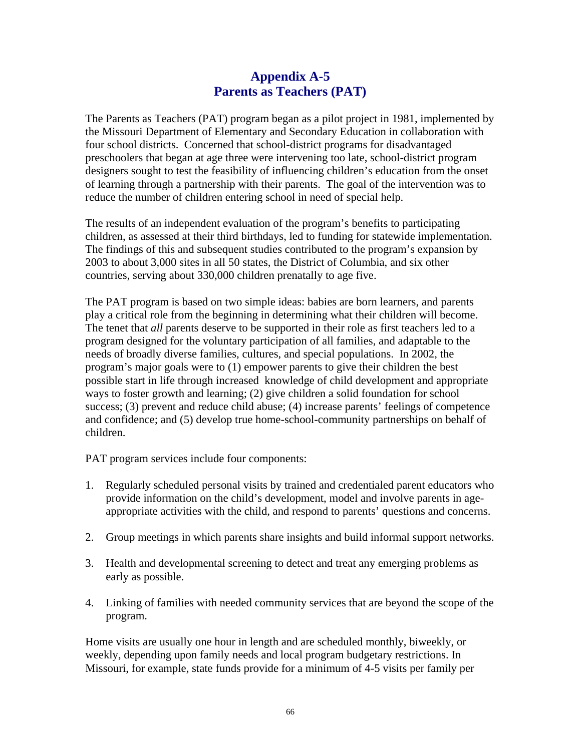# **Appendix A-5 Parents as Teachers (PAT)**

The Parents as Teachers (PAT) program began as a pilot project in 1981, implemented by the Missouri Department of Elementary and Secondary Education in collaboration with four school districts. Concerned that school-district programs for disadvantaged preschoolers that began at age three were intervening too late, school-district program designers sought to test the feasibility of influencing children's education from the onset of learning through a partnership with their parents. The goal of the intervention was to reduce the number of children entering school in need of special help.

The results of an independent evaluation of the program's benefits to participating children, as assessed at their third birthdays, led to funding for statewide implementation. The findings of this and subsequent studies contributed to the program's expansion by 2003 to about 3,000 sites in all 50 states, the District of Columbia, and six other countries, serving about 330,000 children prenatally to age five.

The PAT program is based on two simple ideas: babies are born learners, and parents play a critical role from the beginning in determining what their children will become. The tenet that *all* parents deserve to be supported in their role as first teachers led to a program designed for the voluntary participation of all families, and adaptable to the needs of broadly diverse families, cultures, and special populations. In 2002, the program's major goals were to (1) empower parents to give their children the best possible start in life through increased knowledge of child development and appropriate ways to foster growth and learning; (2) give children a solid foundation for school success; (3) prevent and reduce child abuse; (4) increase parents' feelings of competence and confidence; and (5) develop true home-school-community partnerships on behalf of children.

PAT program services include four components:

- 1. Regularly scheduled personal visits by trained and credentialed parent educators who provide information on the child's development, model and involve parents in ageappropriate activities with the child, and respond to parents' questions and concerns.
- 2. Group meetings in which parents share insights and build informal support networks.
- 3. Health and developmental screening to detect and treat any emerging problems as early as possible.
- 4. Linking of families with needed community services that are beyond the scope of the program.

Home visits are usually one hour in length and are scheduled monthly, biweekly, or weekly, depending upon family needs and local program budgetary restrictions. In Missouri, for example, state funds provide for a minimum of 4-5 visits per family per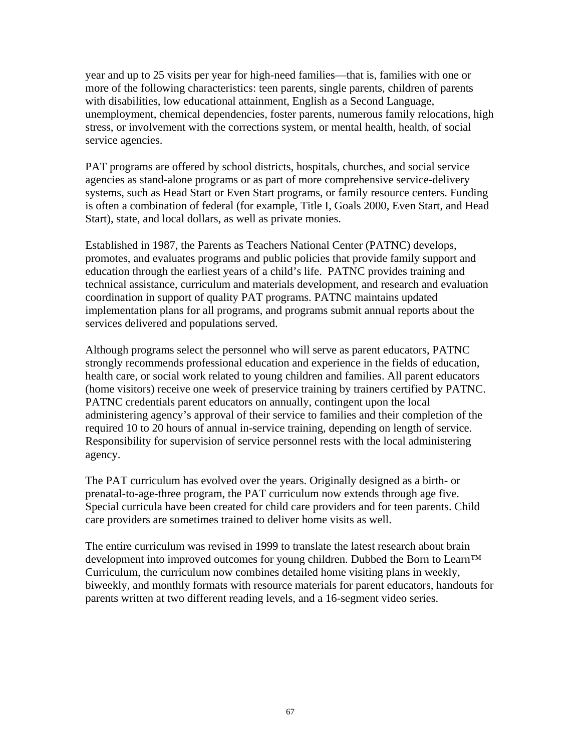year and up to 25 visits per year for high-need families—that is, families with one or more of the following characteristics: teen parents, single parents, children of parents with disabilities, low educational attainment, English as a Second Language, unemployment, chemical dependencies, foster parents, numerous family relocations, high stress, or involvement with the corrections system, or mental health, health, of social service agencies.

PAT programs are offered by school districts, hospitals, churches, and social service agencies as stand-alone programs or as part of more comprehensive service-delivery systems, such as Head Start or Even Start programs, or family resource centers. Funding is often a combination of federal (for example, Title I, Goals 2000, Even Start, and Head Start), state, and local dollars, as well as private monies.

Established in 1987, the Parents as Teachers National Center (PATNC) develops, promotes, and evaluates programs and public policies that provide family support and education through the earliest years of a child's life. PATNC provides training and technical assistance, curriculum and materials development, and research and evaluation coordination in support of quality PAT programs. PATNC maintains updated implementation plans for all programs, and programs submit annual reports about the services delivered and populations served.

Although programs select the personnel who will serve as parent educators, PATNC strongly recommends professional education and experience in the fields of education, health care, or social work related to young children and families. All parent educators (home visitors) receive one week of preservice training by trainers certified by PATNC. PATNC credentials parent educators on annually, contingent upon the local administering agency's approval of their service to families and their completion of the required 10 to 20 hours of annual in-service training, depending on length of service. Responsibility for supervision of service personnel rests with the local administering agency.

The PAT curriculum has evolved over the years. Originally designed as a birth- or prenatal-to-age-three program, the PAT curriculum now extends through age five. Special curricula have been created for child care providers and for teen parents. Child care providers are sometimes trained to deliver home visits as well.

The entire curriculum was revised in 1999 to translate the latest research about brain development into improved outcomes for young children. Dubbed the Born to Learn™ Curriculum, the curriculum now combines detailed home visiting plans in weekly, biweekly, and monthly formats with resource materials for parent educators, handouts for parents written at two different reading levels, and a 16-segment video series.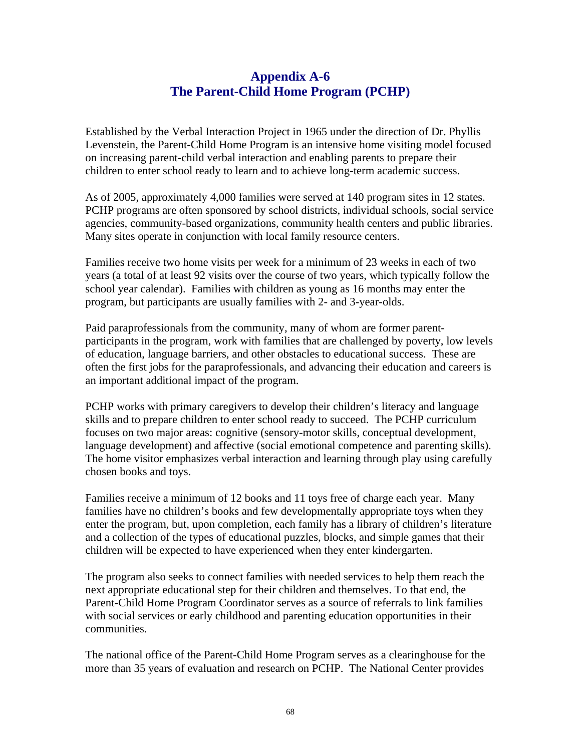# **Appendix A-6 The Parent-Child Home Program (PCHP)**

Established by the Verbal Interaction Project in 1965 under the direction of Dr. Phyllis Levenstein, the Parent-Child Home Program is an intensive home visiting model focused on increasing parent-child verbal interaction and enabling parents to prepare their children to enter school ready to learn and to achieve long-term academic success.

As of 2005, approximately 4,000 families were served at 140 program sites in 12 states. PCHP programs are often sponsored by school districts, individual schools, social service agencies, community-based organizations, community health centers and public libraries. Many sites operate in conjunction with local family resource centers.

Families receive two home visits per week for a minimum of 23 weeks in each of two years (a total of at least 92 visits over the course of two years, which typically follow the school year calendar). Families with children as young as 16 months may enter the program, but participants are usually families with 2- and 3-year-olds.

Paid paraprofessionals from the community, many of whom are former parentparticipants in the program, work with families that are challenged by poverty, low levels of education, language barriers, and other obstacles to educational success. These are often the first jobs for the paraprofessionals, and advancing their education and careers is an important additional impact of the program.

PCHP works with primary caregivers to develop their children's literacy and language skills and to prepare children to enter school ready to succeed. The PCHP curriculum focuses on two major areas: cognitive (sensory-motor skills, conceptual development, language development) and affective (social emotional competence and parenting skills). The home visitor emphasizes verbal interaction and learning through play using carefully chosen books and toys.

Families receive a minimum of 12 books and 11 toys free of charge each year. Many families have no children's books and few developmentally appropriate toys when they enter the program, but, upon completion, each family has a library of children's literature and a collection of the types of educational puzzles, blocks, and simple games that their children will be expected to have experienced when they enter kindergarten.

The program also seeks to connect families with needed services to help them reach the next appropriate educational step for their children and themselves. To that end, the Parent-Child Home Program Coordinator serves as a source of referrals to link families with social services or early childhood and parenting education opportunities in their communities.

The national office of the Parent-Child Home Program serves as a clearinghouse for the more than 35 years of evaluation and research on PCHP. The National Center provides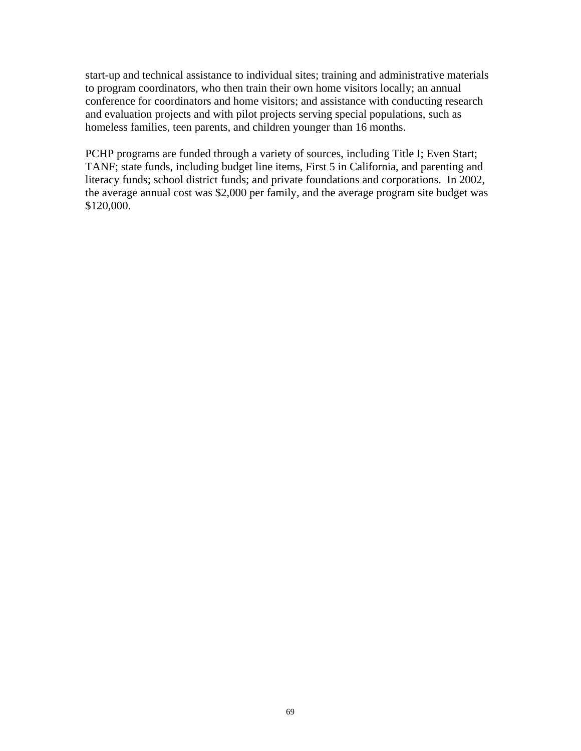start-up and technical assistance to individual sites; training and administrative materials to program coordinators, who then train their own home visitors locally; an annual conference for coordinators and home visitors; and assistance with conducting research and evaluation projects and with pilot projects serving special populations, such as homeless families, teen parents, and children younger than 16 months.

PCHP programs are funded through a variety of sources, including Title I; Even Start; TANF; state funds, including budget line items, First 5 in California, and parenting and literacy funds; school district funds; and private foundations and corporations. In 2002, the average annual cost was \$2,000 per family, and the average program site budget was \$120,000.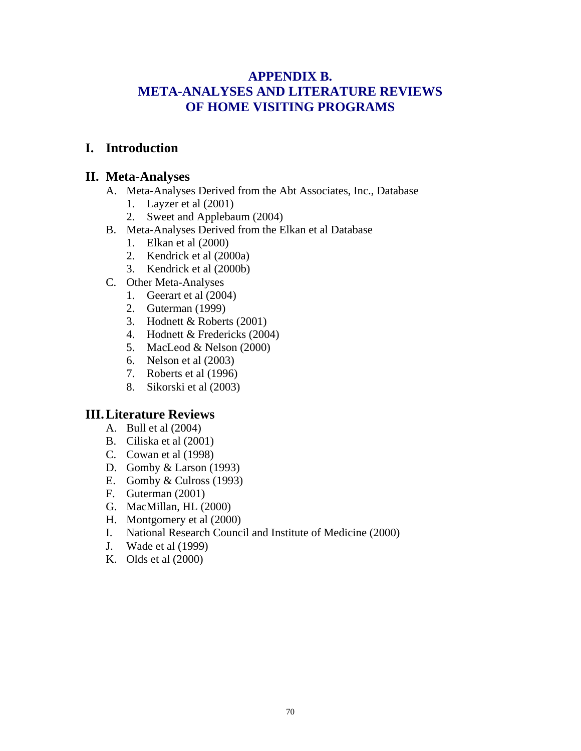# **APPENDIX B. META-ANALYSES AND LITERATURE REVIEWS OF HOME VISITING PROGRAMS**

# **I. Introduction**

## **II. Meta-Analyses**

- A. Meta-Analyses Derived from the Abt Associates, Inc., Database
	- 1. Layzer et al (2001)
	- 2. Sweet and Applebaum (2004)
- B. Meta-Analyses Derived from the Elkan et al Database
	- 1. Elkan et al (2000)
	- 2. Kendrick et al (2000a)
	- 3. Kendrick et al (2000b)
- C. Other Meta-Analyses
	- 1. Geerart et al (2004)
	- 2. Guterman (1999)
	- 3. Hodnett & Roberts (2001)
	- 4. Hodnett & Fredericks (2004)
	- 5. MacLeod & Nelson (2000)
	- 6. Nelson et al (2003)
	- 7. Roberts et al (1996)
	- 8. Sikorski et al (2003)

## **III. Literature Reviews**

- A. Bull et al (2004)
- B. Ciliska et al (2001)
- C. Cowan et al (1998)
- D. Gomby & Larson (1993)
- E. Gomby & Culross (1993)
- F. Guterman (2001)
- G. MacMillan, HL (2000)
- H. Montgomery et al (2000)
- I. National Research Council and Institute of Medicine (2000)
- J. Wade et al (1999)
- K. Olds et al (2000)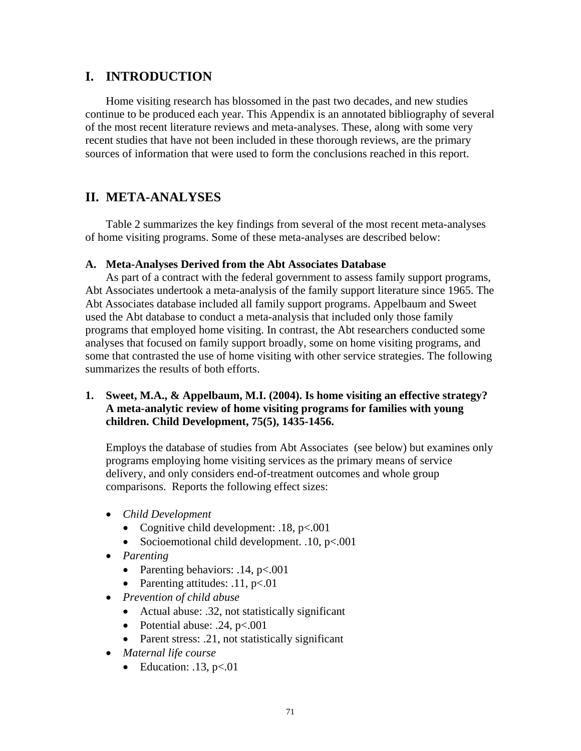# **I. INTRODUCTION**

Home visiting research has blossomed in the past two decades, and new studies continue to be produced each year. This Appendix is an annotated bibliography of several of the most recent literature reviews and meta-analyses. These, along with some very recent studies that have not been included in these thorough reviews, are the primary sources of information that were used to form the conclusions reached in this report.

# **II. META-ANALYSES**

Table 2 summarizes the key findings from several of the most recent meta-analyses of home visiting programs. Some of these meta-analyses are described below:

#### **A. Meta-Analyses Derived from the Abt Associates Database**

As part of a contract with the federal government to assess family support programs, Abt Associates undertook a meta-analysis of the family support literature since 1965. The Abt Associates database included all family support programs. Appelbaum and Sweet used the Abt database to conduct a meta-analysis that included only those family programs that employed home visiting. In contrast, the Abt researchers conducted some analyses that focused on family support broadly, some on home visiting programs, and some that contrasted the use of home visiting with other service strategies. The following summarizes the results of both efforts.

#### **1. Sweet, M.A., & Appelbaum, M.I. (2004). Is home visiting an effective strategy? A meta-analytic review of home visiting programs for families with young children. Child Development, 75(5), 1435-1456.**

Employs the database of studies from Abt Associates (see below) but examines only programs employing home visiting services as the primary means of service delivery, and only considers end-of-treatment outcomes and whole group comparisons. Reports the following effect sizes:

- *Child Development* 
	- Cognitive child development:  $.18, p<.001$
	- Socioemotional child development. .10, p<.001
- *Parenting* 
	- Parenting behaviors:  $.14, p<.001$
	- Parenting attitudes:  $.11, p<.01$
- *Prevention of child abuse* 
	- Actual abuse: .32, not statistically significant
	- Potential abuse: .24,  $p<.001$
	- Parent stress: .21, not statistically significant
- *Maternal life course* 
	- Education:  $.13, p<.01$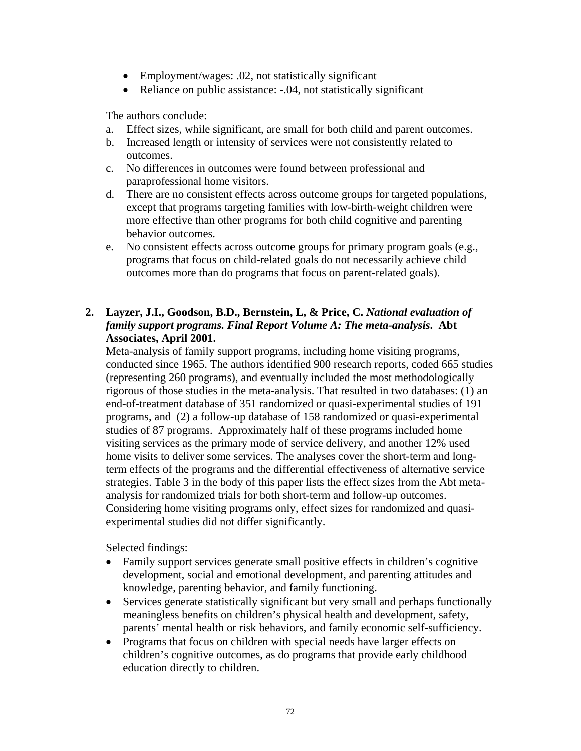- Employment/wages: .02, not statistically significant
- Reliance on public assistance: -.04, not statistically significant

The authors conclude:

- a. Effect sizes, while significant, are small for both child and parent outcomes.
- b. Increased length or intensity of services were not consistently related to outcomes.
- c. No differences in outcomes were found between professional and paraprofessional home visitors.
- d. There are no consistent effects across outcome groups for targeted populations, except that programs targeting families with low-birth-weight children were more effective than other programs for both child cognitive and parenting behavior outcomes.
- e. No consistent effects across outcome groups for primary program goals (e.g., programs that focus on child-related goals do not necessarily achieve child outcomes more than do programs that focus on parent-related goals).

### **2. Layzer, J.I., Goodson, B.D., Bernstein, L, & Price, C.** *National evaluation of family support programs. Final Report Volume A: The meta-analysis***. Abt Associates, April 2001.**

Meta-analysis of family support programs, including home visiting programs, conducted since 1965. The authors identified 900 research reports, coded 665 studies (representing 260 programs), and eventually included the most methodologically rigorous of those studies in the meta-analysis. That resulted in two databases: (1) an end-of-treatment database of 351 randomized or quasi-experimental studies of 191 programs, and (2) a follow-up database of 158 randomized or quasi-experimental studies of 87 programs. Approximately half of these programs included home visiting services as the primary mode of service delivery, and another 12% used home visits to deliver some services. The analyses cover the short-term and longterm effects of the programs and the differential effectiveness of alternative service strategies. Table 3 in the body of this paper lists the effect sizes from the Abt metaanalysis for randomized trials for both short-term and follow-up outcomes. Considering home visiting programs only, effect sizes for randomized and quasiexperimental studies did not differ significantly.

Selected findings:

- Family support services generate small positive effects in children's cognitive development, social and emotional development, and parenting attitudes and knowledge, parenting behavior, and family functioning.
- Services generate statistically significant but very small and perhaps functionally meaningless benefits on children's physical health and development, safety, parents' mental health or risk behaviors, and family economic self-sufficiency.
- Programs that focus on children with special needs have larger effects on children's cognitive outcomes, as do programs that provide early childhood education directly to children.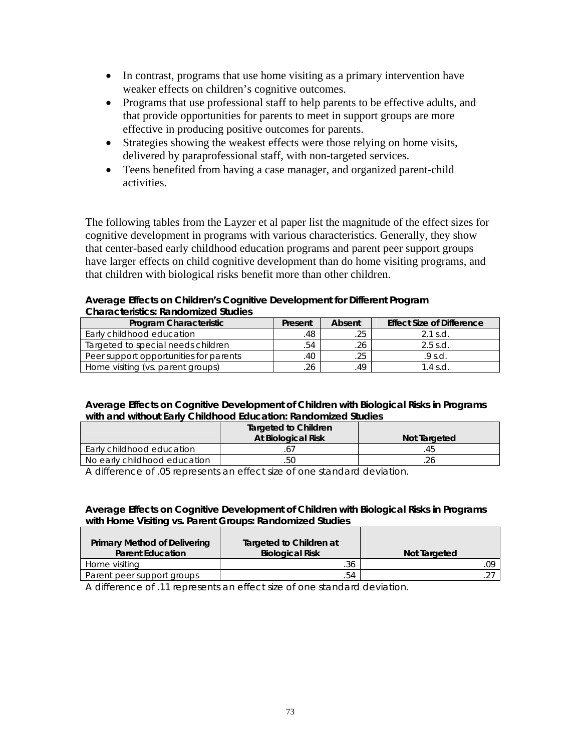- In contrast, programs that use home visiting as a primary intervention have weaker effects on children's cognitive outcomes.
- Programs that use professional staff to help parents to be effective adults, and that provide opportunities for parents to meet in support groups are more effective in producing positive outcomes for parents.
- Strategies showing the weakest effects were those relying on home visits, delivered by paraprofessional staff, with non-targeted services.
- Teens benefited from having a case manager, and organized parent-child activities.

The following tables from the Layzer et al paper list the magnitude of the effect sizes for cognitive development in programs with various characteristics. Generally, they show that center-based early childhood education programs and parent peer support groups have larger effects on child cognitive development than do home visiting programs, and that children with biological risks benefit more than other children.

#### **Average Effects on Children's Cognitive Development for Different Program Characteristics: Randomized Studies**

| Program Characteristic                 | Present | Absent | <b>Effect Size of Difference</b> |
|----------------------------------------|---------|--------|----------------------------------|
| Early childhood education              | .48     | .25    | $2.1$ s.d.                       |
| Targeted to special needs children     | .54     | 26     | $2.5$ s.d.                       |
| Peer support opportunities for parents | .40     | .25    | .9 s.d.                          |
| Home visiting (vs. parent groups)      | 26      | 49     | $1.4$ s.d                        |

#### **Average Effects on Cognitive Development of Children with Biological Risks in Programs with and without Early Childhood Education: Randomized Studies**

|                              | <b>Targeted to Children</b><br>At Biological Risk | Not Targeted |  |  |
|------------------------------|---------------------------------------------------|--------------|--|--|
| Early childhood education    |                                                   |              |  |  |
| No early childhood education | .5C                                               | .26          |  |  |

A difference of .05 represents an effect size of one standard deviation.

#### **Average Effects on Cognitive Development of Children with Biological Risks in Programs with Home Visiting vs. Parent Groups: Randomized Studies**

| Primary Method of Delivering<br><b>Parent Education</b> | Targeted to Children at<br><b>Biological Risk</b> | Not Targeted |
|---------------------------------------------------------|---------------------------------------------------|--------------|
| Home visiting                                           | .36                                               | .09          |
| Parent peer support groups                              | 54                                                |              |

A difference of .11 represents an effect size of one standard deviation.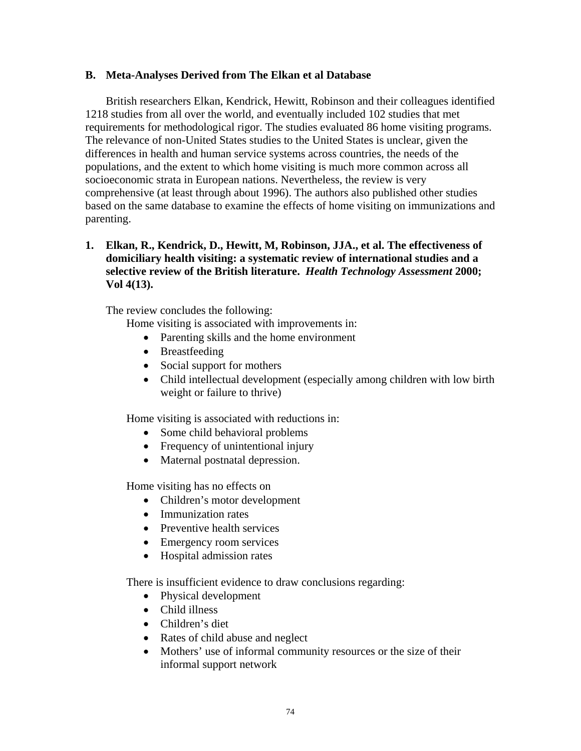#### **B. Meta-Analyses Derived from The Elkan et al Database**

British researchers Elkan, Kendrick, Hewitt, Robinson and their colleagues identified 1218 studies from all over the world, and eventually included 102 studies that met requirements for methodological rigor. The studies evaluated 86 home visiting programs. The relevance of non-United States studies to the United States is unclear, given the differences in health and human service systems across countries, the needs of the populations, and the extent to which home visiting is much more common across all socioeconomic strata in European nations. Nevertheless, the review is very comprehensive (at least through about 1996). The authors also published other studies based on the same database to examine the effects of home visiting on immunizations and parenting.

#### **1. Elkan, R., Kendrick, D., Hewitt, M, Robinson, JJA., et al. The effectiveness of domiciliary health visiting: a systematic review of international studies and a selective review of the British literature.** *Health Technology Assessment* **2000; Vol 4(13).**

The review concludes the following:

Home visiting is associated with improvements in:

- Parenting skills and the home environment
- Breastfeeding
- Social support for mothers
- Child intellectual development (especially among children with low birth weight or failure to thrive)

Home visiting is associated with reductions in:

- Some child behavioral problems
- Frequency of unintentional injury
- Maternal postnatal depression.

Home visiting has no effects on

- Children's motor development
- Immunization rates
- Preventive health services
- Emergency room services
- Hospital admission rates

There is insufficient evidence to draw conclusions regarding:

- Physical development
- Child illness
- Children's diet
- Rates of child abuse and neglect
- Mothers' use of informal community resources or the size of their informal support network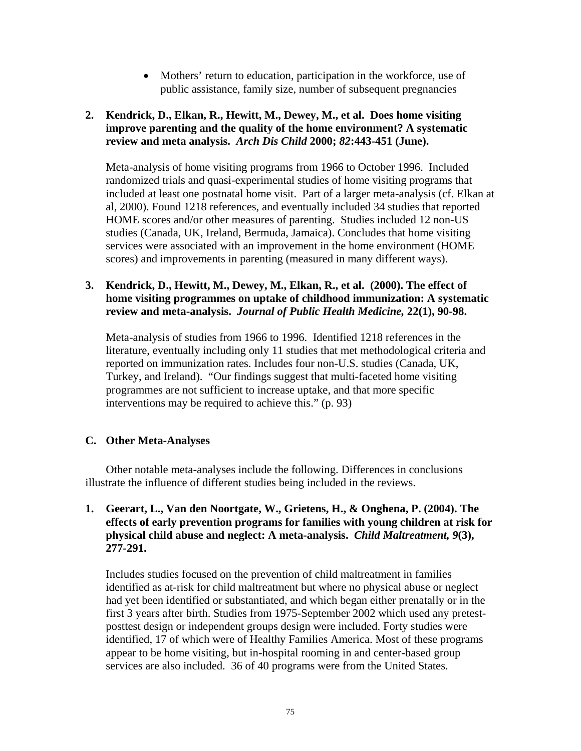• Mothers' return to education, participation in the workforce, use of public assistance, family size, number of subsequent pregnancies

#### **2. Kendrick, D., Elkan, R., Hewitt, M., Dewey, M., et al. Does home visiting improve parenting and the quality of the home environment? A systematic review and meta analysis.** *Arch Dis Child* **2000;** *82***:443-451 (June).**

Meta-analysis of home visiting programs from 1966 to October 1996. Included randomized trials and quasi-experimental studies of home visiting programs that included at least one postnatal home visit. Part of a larger meta-analysis (cf. Elkan at al, 2000). Found 1218 references, and eventually included 34 studies that reported HOME scores and/or other measures of parenting. Studies included 12 non-US studies (Canada, UK, Ireland, Bermuda, Jamaica). Concludes that home visiting services were associated with an improvement in the home environment (HOME scores) and improvements in parenting (measured in many different ways).

#### **3. Kendrick, D., Hewitt, M., Dewey, M., Elkan, R., et al. (2000). The effect of home visiting programmes on uptake of childhood immunization: A systematic review and meta-analysis.** *Journal of Public Health Medicine,* **22(1), 90-98.**

Meta-analysis of studies from 1966 to 1996. Identified 1218 references in the literature, eventually including only 11 studies that met methodological criteria and reported on immunization rates. Includes four non-U.S. studies (Canada, UK, Turkey, and Ireland). "Our findings suggest that multi-faceted home visiting programmes are not sufficient to increase uptake, and that more specific interventions may be required to achieve this." (p. 93)

### **C. Other Meta-Analyses**

Other notable meta-analyses include the following. Differences in conclusions illustrate the influence of different studies being included in the reviews.

#### **1. Geerart, L., Van den Noortgate, W., Grietens, H., & Onghena, P. (2004). The effects of early prevention programs for families with young children at risk for physical child abuse and neglect: A meta-analysis.** *Child Maltreatment, 9***(3), 277-291.**

Includes studies focused on the prevention of child maltreatment in families identified as at-risk for child maltreatment but where no physical abuse or neglect had yet been identified or substantiated, and which began either prenatally or in the first 3 years after birth. Studies from 1975-September 2002 which used any pretestposttest design or independent groups design were included. Forty studies were identified, 17 of which were of Healthy Families America. Most of these programs appear to be home visiting, but in-hospital rooming in and center-based group services are also included. 36 of 40 programs were from the United States.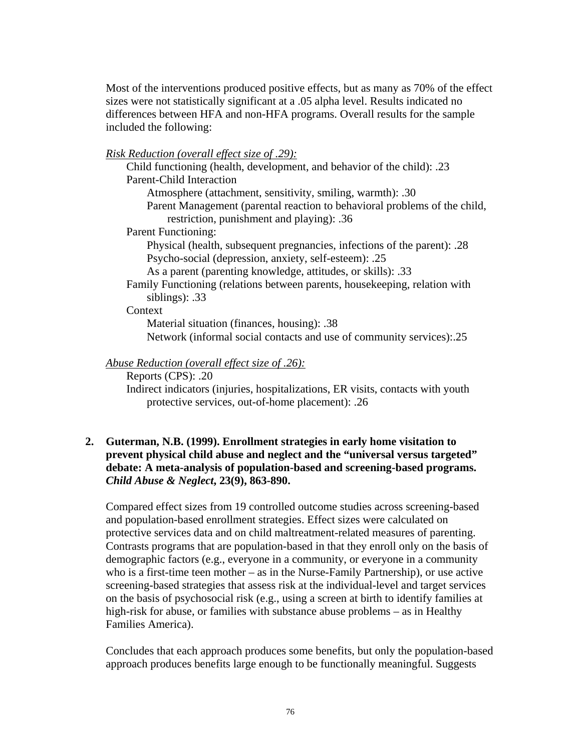Most of the interventions produced positive effects, but as many as 70% of the effect sizes were not statistically significant at a .05 alpha level. Results indicated no differences between HFA and non-HFA programs. Overall results for the sample included the following:

*Risk Reduction (overall effect size of .29):*

Child functioning (health, development, and behavior of the child): .23 Parent-Child Interaction Atmosphere (attachment, sensitivity, smiling, warmth): .30 Parent Management (parental reaction to behavioral problems of the child, restriction, punishment and playing): .36 Parent Functioning: Physical (health, subsequent pregnancies, infections of the parent): .28 Psycho-social (depression, anxiety, self-esteem): .25 As a parent (parenting knowledge, attitudes, or skills): .33 Family Functioning (relations between parents, housekeeping, relation with siblings): .33 **Context** Material situation (finances, housing): .38

Network (informal social contacts and use of community services):.25

### *Abuse Reduction (overall effect size of .26):*

Reports (CPS): .20

Indirect indicators (injuries, hospitalizations, ER visits, contacts with youth protective services, out-of-home placement): .26

### **2. Guterman, N.B. (1999). Enrollment strategies in early home visitation to prevent physical child abuse and neglect and the "universal versus targeted" debate: A meta-analysis of population-based and screening-based programs.**  *Child Abuse & Neglect***, 23(9), 863-890.**

Compared effect sizes from 19 controlled outcome studies across screening-based and population-based enrollment strategies. Effect sizes were calculated on protective services data and on child maltreatment-related measures of parenting. Contrasts programs that are population-based in that they enroll only on the basis of demographic factors (e.g., everyone in a community, or everyone in a community who is a first-time teen mother – as in the Nurse-Family Partnership), or use active screening-based strategies that assess risk at the individual-level and target services on the basis of psychosocial risk (e.g., using a screen at birth to identify families at high-risk for abuse, or families with substance abuse problems – as in Healthy Families America).

Concludes that each approach produces some benefits, but only the population-based approach produces benefits large enough to be functionally meaningful. Suggests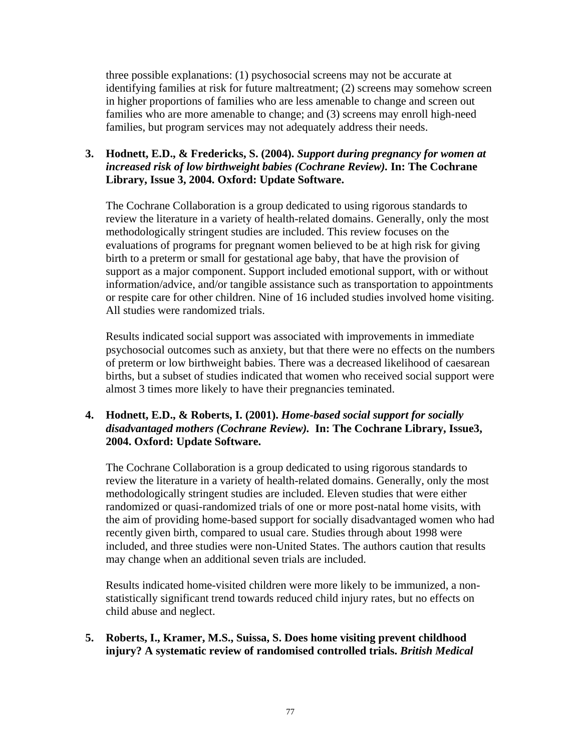three possible explanations: (1) psychosocial screens may not be accurate at identifying families at risk for future maltreatment; (2) screens may somehow screen in higher proportions of families who are less amenable to change and screen out families who are more amenable to change; and (3) screens may enroll high-need families, but program services may not adequately address their needs.

#### **3. Hodnett, E.D., & Fredericks, S. (2004).** *Support during pregnancy for women at increased risk of low birthweight babies (Cochrane Review).* **In: The Cochrane Library, Issue 3, 2004. Oxford: Update Software.**

The Cochrane Collaboration is a group dedicated to using rigorous standards to review the literature in a variety of health-related domains. Generally, only the most methodologically stringent studies are included. This review focuses on the evaluations of programs for pregnant women believed to be at high risk for giving birth to a preterm or small for gestational age baby, that have the provision of support as a major component. Support included emotional support, with or without information/advice, and/or tangible assistance such as transportation to appointments or respite care for other children. Nine of 16 included studies involved home visiting. All studies were randomized trials.

Results indicated social support was associated with improvements in immediate psychosocial outcomes such as anxiety, but that there were no effects on the numbers of preterm or low birthweight babies. There was a decreased likelihood of caesarean births, but a subset of studies indicated that women who received social support were almost 3 times more likely to have their pregnancies teminated.

### **4. Hodnett, E.D., & Roberts, I. (2001).** *Home-based social support for socially disadvantaged mothers (Cochrane Review).* **In: The Cochrane Library, Issue3, 2004. Oxford: Update Software.**

The Cochrane Collaboration is a group dedicated to using rigorous standards to review the literature in a variety of health-related domains. Generally, only the most methodologically stringent studies are included. Eleven studies that were either randomized or quasi-randomized trials of one or more post-natal home visits, with the aim of providing home-based support for socially disadvantaged women who had recently given birth, compared to usual care. Studies through about 1998 were included, and three studies were non-United States. The authors caution that results may change when an additional seven trials are included.

Results indicated home-visited children were more likely to be immunized, a nonstatistically significant trend towards reduced child injury rates, but no effects on child abuse and neglect.

#### **5. Roberts, I., Kramer, M.S., Suissa, S. Does home visiting prevent childhood injury? A systematic review of randomised controlled trials.** *British Medical*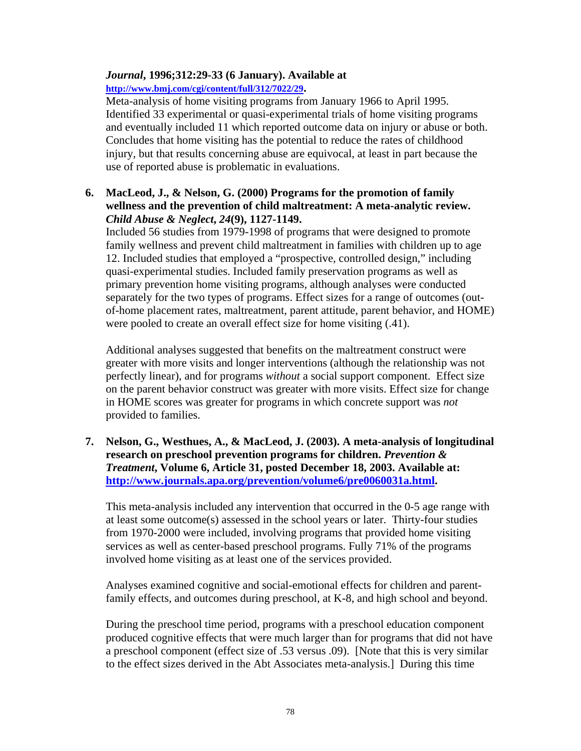## *Journal***, 1996;312:29-33 (6 January). Available at**

**http://www.bmj.com/cgi/content/full/312/7022/29.** 

Meta-analysis of home visiting programs from January 1966 to April 1995. Identified 33 experimental or quasi-experimental trials of home visiting programs and eventually included 11 which reported outcome data on injury or abuse or both. Concludes that home visiting has the potential to reduce the rates of childhood injury, but that results concerning abuse are equivocal, at least in part because the use of reported abuse is problematic in evaluations.

### **6. MacLeod, J., & Nelson, G. (2000) Programs for the promotion of family wellness and the prevention of child maltreatment: A meta-analytic review.**  *Child Abuse & Neglect***,** *24***(9), 1127-1149.**

Included 56 studies from 1979-1998 of programs that were designed to promote family wellness and prevent child maltreatment in families with children up to age 12. Included studies that employed a "prospective, controlled design," including quasi-experimental studies. Included family preservation programs as well as primary prevention home visiting programs, although analyses were conducted separately for the two types of programs. Effect sizes for a range of outcomes (outof-home placement rates, maltreatment, parent attitude, parent behavior, and HOME) were pooled to create an overall effect size for home visiting (.41).

Additional analyses suggested that benefits on the maltreatment construct were greater with more visits and longer interventions (although the relationship was not perfectly linear), and for programs *without* a social support component. Effect size on the parent behavior construct was greater with more visits. Effect size for change in HOME scores was greater for programs in which concrete support was *not* provided to families.

**7. Nelson, G., Westhues, A., & MacLeod, J. (2003). A meta-analysis of longitudinal research on preschool prevention programs for children.** *Prevention & Treatment***, Volume 6, Article 31, posted December 18, 2003. Available at: http://www.journals.apa.org/prevention/volume6/pre0060031a.html.** 

This meta-analysis included any intervention that occurred in the 0-5 age range with at least some outcome(s) assessed in the school years or later. Thirty-four studies from 1970-2000 were included, involving programs that provided home visiting services as well as center-based preschool programs. Fully 71% of the programs involved home visiting as at least one of the services provided.

Analyses examined cognitive and social-emotional effects for children and parentfamily effects, and outcomes during preschool, at K-8, and high school and beyond.

During the preschool time period, programs with a preschool education component produced cognitive effects that were much larger than for programs that did not have a preschool component (effect size of .53 versus .09). [Note that this is very similar to the effect sizes derived in the Abt Associates meta-analysis.] During this time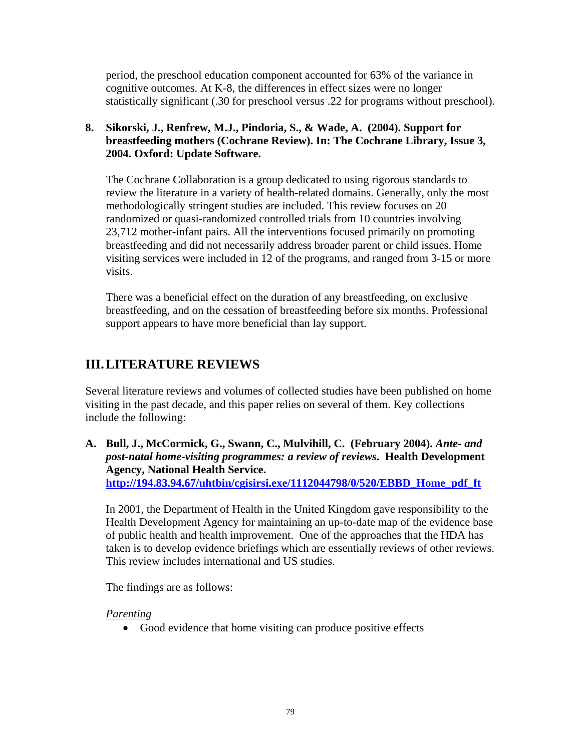period, the preschool education component accounted for 63% of the variance in cognitive outcomes. At K-8, the differences in effect sizes were no longer statistically significant (.30 for preschool versus .22 for programs without preschool).

## **8. Sikorski, J., Renfrew, M.J., Pindoria, S., & Wade, A. (2004). Support for breastfeeding mothers (Cochrane Review). In: The Cochrane Library, Issue 3, 2004. Oxford: Update Software.**

The Cochrane Collaboration is a group dedicated to using rigorous standards to review the literature in a variety of health-related domains. Generally, only the most methodologically stringent studies are included. This review focuses on 20 randomized or quasi-randomized controlled trials from 10 countries involving 23,712 mother-infant pairs. All the interventions focused primarily on promoting breastfeeding and did not necessarily address broader parent or child issues. Home visiting services were included in 12 of the programs, and ranged from 3-15 or more visits.

There was a beneficial effect on the duration of any breastfeeding, on exclusive breastfeeding, and on the cessation of breastfeeding before six months. Professional support appears to have more beneficial than lay support.

# **III. LITERATURE REVIEWS**

Several literature reviews and volumes of collected studies have been published on home visiting in the past decade, and this paper relies on several of them. Key collections include the following:

**A. Bull, J., McCormick, G., Swann, C., Mulvihill, C. (February 2004).** *Ante- and post-natal home-visiting programmes: a review of reviews***. Health Development Agency, National Health Service. http://194.83.94.67/uhtbin/cgisirsi.exe/1112044798/0/520/EBBD\_Home\_pdf\_ft** 

In 2001, the Department of Health in the United Kingdom gave responsibility to the Health Development Agency for maintaining an up-to-date map of the evidence base of public health and health improvement. One of the approaches that the HDA has taken is to develop evidence briefings which are essentially reviews of other reviews. This review includes international and US studies.

The findings are as follows:

### *Parenting*

• Good evidence that home visiting can produce positive effects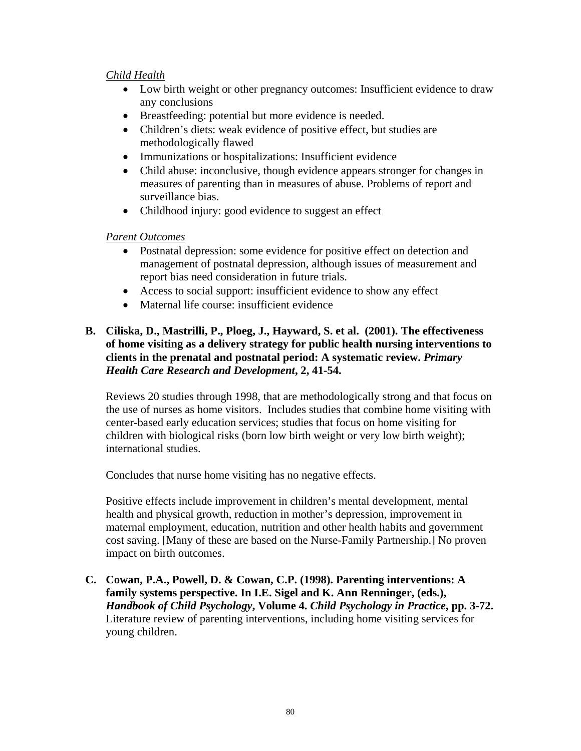#### *Child Health*

- Low birth weight or other pregnancy outcomes: Insufficient evidence to draw any conclusions
- Breastfeeding: potential but more evidence is needed.
- Children's diets: weak evidence of positive effect, but studies are methodologically flawed
- Immunizations or hospitalizations: Insufficient evidence
- Child abuse: inconclusive, though evidence appears stronger for changes in measures of parenting than in measures of abuse. Problems of report and surveillance bias.
- Childhood injury: good evidence to suggest an effect

#### *Parent Outcomes*

- Postnatal depression: some evidence for positive effect on detection and management of postnatal depression, although issues of measurement and report bias need consideration in future trials.
- Access to social support: insufficient evidence to show any effect
- Maternal life course: insufficient evidence

#### **B. Ciliska, D., Mastrilli, P., Ploeg, J., Hayward, S. et al. (2001). The effectiveness of home visiting as a delivery strategy for public health nursing interventions to clients in the prenatal and postnatal period: A systematic review.** *Primary Health Care Research and Development***, 2, 41-54.**

Reviews 20 studies through 1998, that are methodologically strong and that focus on the use of nurses as home visitors. Includes studies that combine home visiting with center-based early education services; studies that focus on home visiting for children with biological risks (born low birth weight or very low birth weight); international studies.

Concludes that nurse home visiting has no negative effects.

Positive effects include improvement in children's mental development, mental health and physical growth, reduction in mother's depression, improvement in maternal employment, education, nutrition and other health habits and government cost saving. [Many of these are based on the Nurse-Family Partnership.] No proven impact on birth outcomes.

**C. Cowan, P.A., Powell, D. & Cowan, C.P. (1998). Parenting interventions: A family systems perspective. In I.E. Sigel and K. Ann Renninger, (eds.),**  *Handbook of Child Psychology***, Volume 4.** *Child Psychology in Practice***, pp. 3-72.**  Literature review of parenting interventions, including home visiting services for young children.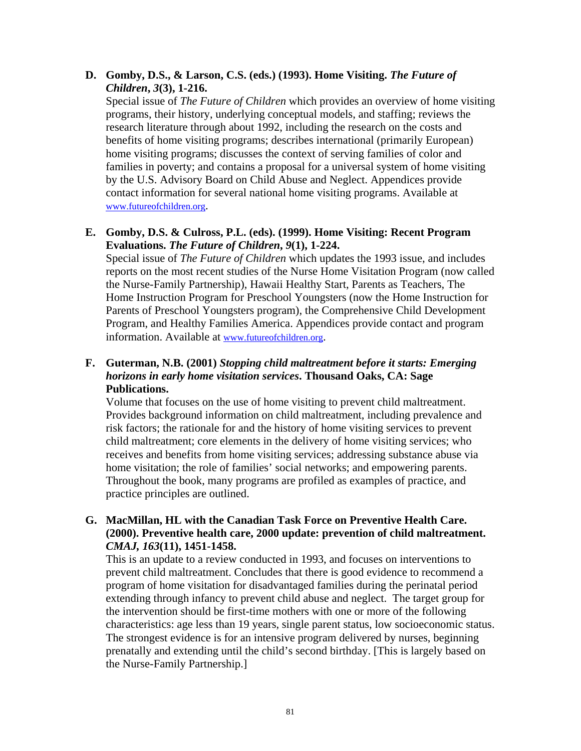#### **D. Gomby, D.S., & Larson, C.S. (eds.) (1993). Home Visiting.** *The Future of Children***,** *3***(3), 1-216.**

Special issue of *The Future of Children* which provides an overview of home visiting programs, their history, underlying conceptual models, and staffing; reviews the research literature through about 1992, including the research on the costs and benefits of home visiting programs; describes international (primarily European) home visiting programs; discusses the context of serving families of color and families in poverty; and contains a proposal for a universal system of home visiting by the U.S. Advisory Board on Child Abuse and Neglect. Appendices provide contact information for several national home visiting programs. Available at www.futureofchildren.org.

#### **E. Gomby, D.S. & Culross, P.L. (eds). (1999). Home Visiting: Recent Program Evaluations.** *The Future of Children***,** *9***(1), 1-224.**

Special issue of *The Future of Children* which updates the 1993 issue, and includes reports on the most recent studies of the Nurse Home Visitation Program (now called the Nurse-Family Partnership), Hawaii Healthy Start, Parents as Teachers, The Home Instruction Program for Preschool Youngsters (now the Home Instruction for Parents of Preschool Youngsters program), the Comprehensive Child Development Program, and Healthy Families America. Appendices provide contact and program information. Available at www.futureofchildren.org.

#### **F. Guterman, N.B. (2001)** *Stopping child maltreatment before it starts: Emerging horizons in early home visitation services***. Thousand Oaks, CA: Sage Publications.**

Volume that focuses on the use of home visiting to prevent child maltreatment. Provides background information on child maltreatment, including prevalence and risk factors; the rationale for and the history of home visiting services to prevent child maltreatment; core elements in the delivery of home visiting services; who receives and benefits from home visiting services; addressing substance abuse via home visitation; the role of families' social networks; and empowering parents. Throughout the book, many programs are profiled as examples of practice, and practice principles are outlined.

#### **G. MacMillan, HL with the Canadian Task Force on Preventive Health Care. (2000). Preventive health care, 2000 update: prevention of child maltreatment.**  *CMAJ, 163***(11), 1451-1458.**

This is an update to a review conducted in 1993, and focuses on interventions to prevent child maltreatment. Concludes that there is good evidence to recommend a program of home visitation for disadvantaged families during the perinatal period extending through infancy to prevent child abuse and neglect. The target group for the intervention should be first-time mothers with one or more of the following characteristics: age less than 19 years, single parent status, low socioeconomic status. The strongest evidence is for an intensive program delivered by nurses, beginning prenatally and extending until the child's second birthday. [This is largely based on the Nurse-Family Partnership.]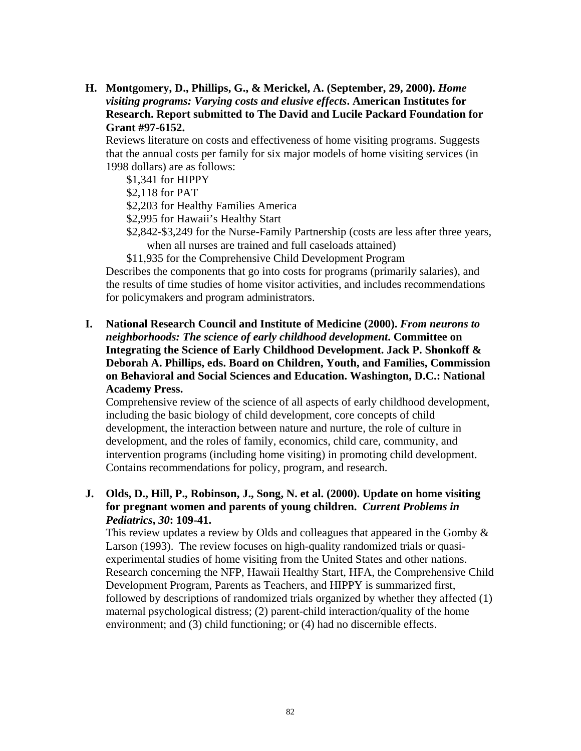**H. Montgomery, D., Phillips, G., & Merickel, A. (September, 29, 2000).** *Home visiting programs: Varying costs and elusive effects***. American Institutes for Research. Report submitted to The David and Lucile Packard Foundation for Grant #97-6152.** 

Reviews literature on costs and effectiveness of home visiting programs. Suggests that the annual costs per family for six major models of home visiting services (in 1998 dollars) are as follows:

\$1,341 for HIPPY

\$2,118 for PAT

\$2,203 for Healthy Families America

\$2,995 for Hawaii's Healthy Start

\$2,842-\$3,249 for the Nurse-Family Partnership (costs are less after three years, when all nurses are trained and full caseloads attained)

\$11,935 for the Comprehensive Child Development Program

Describes the components that go into costs for programs (primarily salaries), and the results of time studies of home visitor activities, and includes recommendations for policymakers and program administrators.

**I. National Research Council and Institute of Medicine (2000).** *From neurons to neighborhoods: The science of early childhood development***. Committee on Integrating the Science of Early Childhood Development. Jack P. Shonkoff & Deborah A. Phillips, eds. Board on Children, Youth, and Families, Commission on Behavioral and Social Sciences and Education. Washington, D.C.: National Academy Press.** 

Comprehensive review of the science of all aspects of early childhood development, including the basic biology of child development, core concepts of child development, the interaction between nature and nurture, the role of culture in development, and the roles of family, economics, child care, community, and intervention programs (including home visiting) in promoting child development. Contains recommendations for policy, program, and research.

#### **J. Olds, D., Hill, P., Robinson, J., Song, N. et al. (2000). Update on home visiting for pregnant women and parents of young children.** *Current Problems in Pediatrics***,** *30***: 109-41.**

This review updates a review by Olds and colleagues that appeared in the Gomby  $\&$ Larson (1993). The review focuses on high-quality randomized trials or quasiexperimental studies of home visiting from the United States and other nations. Research concerning the NFP, Hawaii Healthy Start, HFA, the Comprehensive Child Development Program, Parents as Teachers, and HIPPY is summarized first, followed by descriptions of randomized trials organized by whether they affected (1) maternal psychological distress; (2) parent-child interaction/quality of the home environment; and (3) child functioning; or (4) had no discernible effects.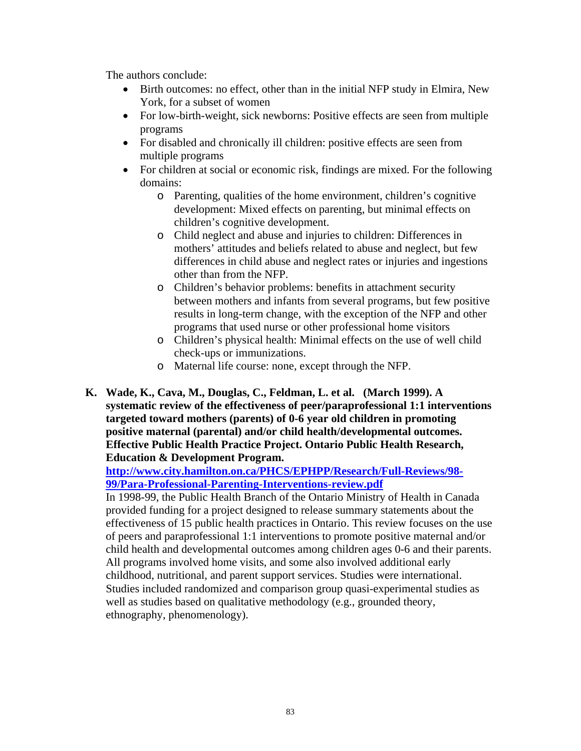The authors conclude:

- Birth outcomes: no effect, other than in the initial NFP study in Elmira, New York, for a subset of women
- For low-birth-weight, sick newborns: Positive effects are seen from multiple programs
- For disabled and chronically ill children: positive effects are seen from multiple programs
- For children at social or economic risk, findings are mixed. For the following domains:
	- o Parenting, qualities of the home environment, children's cognitive development: Mixed effects on parenting, but minimal effects on children's cognitive development.
	- o Child neglect and abuse and injuries to children: Differences in mothers' attitudes and beliefs related to abuse and neglect, but few differences in child abuse and neglect rates or injuries and ingestions other than from the NFP.
	- o Children's behavior problems: benefits in attachment security between mothers and infants from several programs, but few positive results in long-term change, with the exception of the NFP and other programs that used nurse or other professional home visitors
	- o Children's physical health: Minimal effects on the use of well child check-ups or immunizations.
	- o Maternal life course: none, except through the NFP.
- **K. Wade, K., Cava, M., Douglas, C., Feldman, L. et al. (March 1999). A systematic review of the effectiveness of peer/paraprofessional 1:1 interventions targeted toward mothers (parents) of 0-6 year old children in promoting positive maternal (parental) and/or child health/developmental outcomes. Effective Public Health Practice Project. Ontario Public Health Research, Education & Development Program.**

**http://www.city.hamilton.on.ca/PHCS/EPHPP/Research/Full-Reviews/98- 99/Para-Professional-Parenting-Interventions-review.pdf** 

In 1998-99, the Public Health Branch of the Ontario Ministry of Health in Canada provided funding for a project designed to release summary statements about the effectiveness of 15 public health practices in Ontario. This review focuses on the use of peers and paraprofessional 1:1 interventions to promote positive maternal and/or child health and developmental outcomes among children ages 0-6 and their parents. All programs involved home visits, and some also involved additional early childhood, nutritional, and parent support services. Studies were international. Studies included randomized and comparison group quasi-experimental studies as well as studies based on qualitative methodology (e.g., grounded theory, ethnography, phenomenology).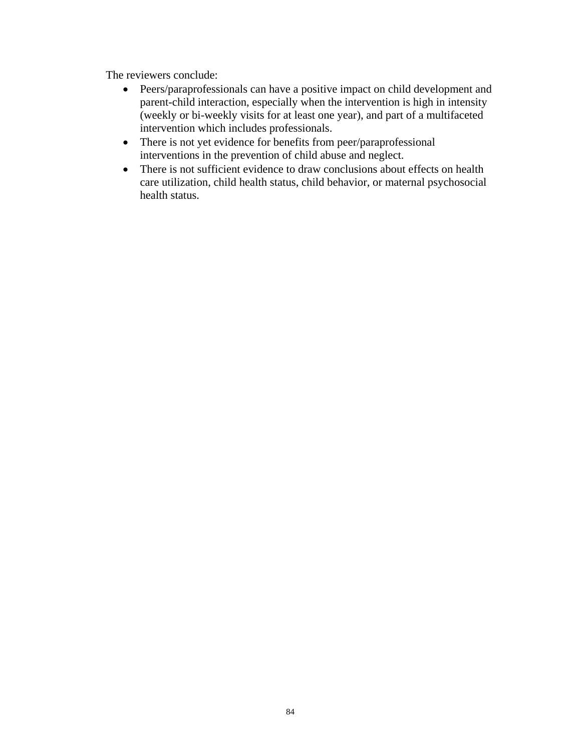The reviewers conclude:

- Peers/paraprofessionals can have a positive impact on child development and parent-child interaction, especially when the intervention is high in intensity (weekly or bi-weekly visits for at least one year), and part of a multifaceted intervention which includes professionals.
- There is not yet evidence for benefits from peer/paraprofessional interventions in the prevention of child abuse and neglect.
- There is not sufficient evidence to draw conclusions about effects on health care utilization, child health status, child behavior, or maternal psychosocial health status.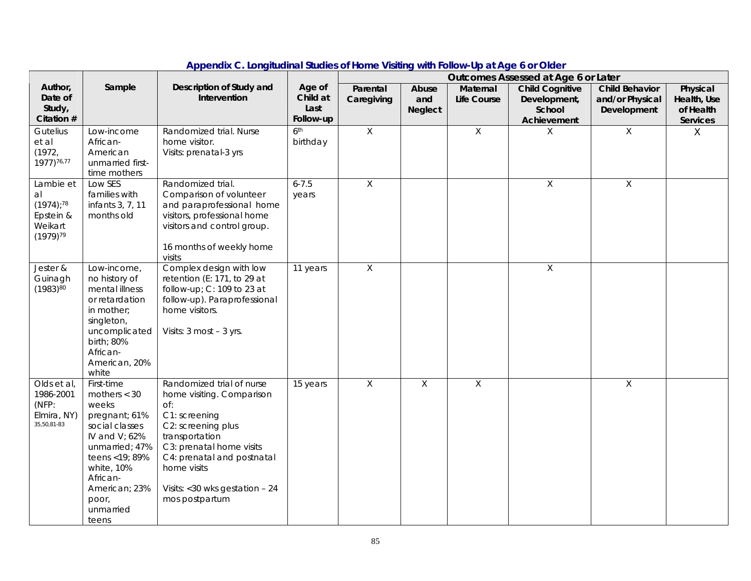|                                                                                      |                                                                                                                                                                                                             |                                                                                                                                                                                                                                                        |                                         | ponaix of Edifyriaaniai claares of Home Visiting With Follow op at Age 6 or Glaci<br>Outcomes Assessed at Age 6 or Later |                                |                         |                                                                 |                                                         |                                                  |
|--------------------------------------------------------------------------------------|-------------------------------------------------------------------------------------------------------------------------------------------------------------------------------------------------------------|--------------------------------------------------------------------------------------------------------------------------------------------------------------------------------------------------------------------------------------------------------|-----------------------------------------|--------------------------------------------------------------------------------------------------------------------------|--------------------------------|-------------------------|-----------------------------------------------------------------|---------------------------------------------------------|--------------------------------------------------|
| Author,<br>Date of<br>Study,<br>Citation #                                           | Sample                                                                                                                                                                                                      | Description of Study and<br>Intervention                                                                                                                                                                                                               | Age of<br>Child at<br>Last<br>Follow-up | Parental<br>Caregiving                                                                                                   | Abuse<br>and<br><b>Neglect</b> | Maternal<br>Life Course | <b>Child Cognitive</b><br>Development,<br>School<br>Achievement | <b>Child Behavior</b><br>and/or Physical<br>Development | Physical<br>Health, Use<br>of Health<br>Services |
| Gutelius<br>et al<br>(1972,<br>1977) 76,77                                           | Low-income<br>African-<br>American<br>unmarried first-<br>time mothers                                                                                                                                      | Randomized trial. Nurse<br>home visitor.<br>Visits: prenatal-3 yrs                                                                                                                                                                                     | 6 <sup>th</sup><br>birthday             | $\mathsf X$                                                                                                              |                                | $\mathsf{X}$            | X                                                               | X                                                       | X                                                |
| Lambie et<br>al<br>$(1974)$ ; <sup>78</sup><br>Epstein &<br>Weikart<br>$(1979)^{79}$ | Low SES<br>families with<br>infants 3, 7, 11<br>months old                                                                                                                                                  | Randomized trial.<br>Comparison of volunteer<br>and paraprofessional home<br>visitors, professional home<br>visitors and control group.<br>16 months of weekly home<br>visits                                                                          | $6 - 7.5$<br>years                      | X                                                                                                                        |                                |                         | $\sf X$                                                         | $\sf X$                                                 |                                                  |
| Jester &<br>Guinagh<br>$(1983)^{80}$                                                 | Low-income,<br>no history of<br>mental illness<br>or retardation<br>in mother;<br>singleton,<br>uncomplicated<br>birth; 80%<br>African-<br>American, 20%<br>white                                           | Complex design with low<br>retention (E: 171, to 29 at<br>follow-up; C: 109 to 23 at<br>follow-up). Paraprofessional<br>home visitors.<br>Visits: $3 \text{ most } -3 \text{ yrs.}$                                                                    | 11 years                                | $\overline{X}$                                                                                                           |                                |                         | $\mathsf X$                                                     |                                                         |                                                  |
| Olds et al,<br>1986-2001<br>(NFP:<br>Elmira, NY)<br>35,50,81-83                      | First-time<br>mothers $<$ 30<br>weeks<br>pregnant; 61%<br>social classes<br>IV and $V: 62\%$<br>unmarried; 47%<br>teens < 19; 89%<br>white, 10%<br>African-<br>American; 23%<br>poor,<br>unmarried<br>teens | Randomized trial of nurse<br>home visiting. Comparison<br>Of:<br>C1: screening<br>C2: screening plus<br>transportation<br>C3: prenatal home visits<br>C4: prenatal and postnatal<br>home visits<br>Visits: $<$ 30 wks gestation - 24<br>mos postpartum | 15 years                                | $\mathsf{X}$                                                                                                             | $\mathsf{X}$                   | $\mathsf X$             |                                                                 | $\mathsf{X}$                                            |                                                  |

#### **Appendix C. Longitudinal Studies of Home Visiting with Follow-Up at Age 6 or Older**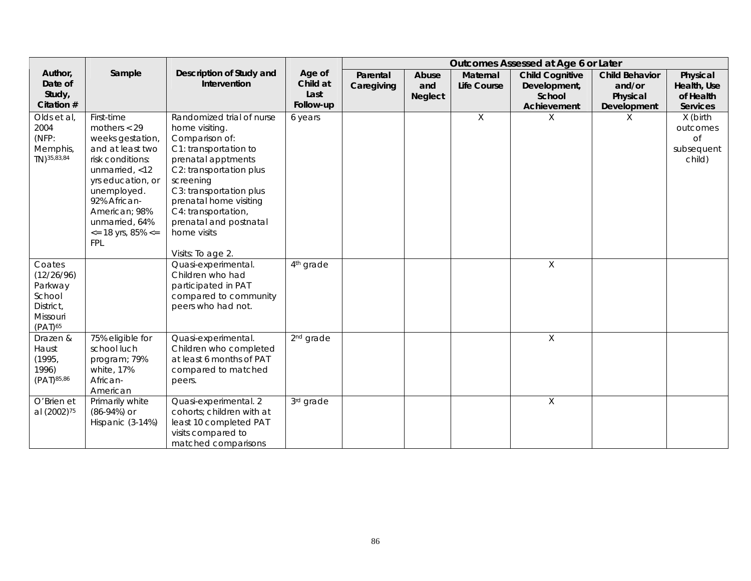|                                                                                    |                                                                                                                                                                                                                                                             |                                                                                                                                                                                                                                                                                                |                                         | Outcomes Assessed at Age 6 or Later |                                |                                |                                                                 |                                                            |                                                           |
|------------------------------------------------------------------------------------|-------------------------------------------------------------------------------------------------------------------------------------------------------------------------------------------------------------------------------------------------------------|------------------------------------------------------------------------------------------------------------------------------------------------------------------------------------------------------------------------------------------------------------------------------------------------|-----------------------------------------|-------------------------------------|--------------------------------|--------------------------------|-----------------------------------------------------------------|------------------------------------------------------------|-----------------------------------------------------------|
| Author,<br>Date of<br>Study,<br>Citation #                                         | Sample                                                                                                                                                                                                                                                      | Description of Study and<br>Intervention                                                                                                                                                                                                                                                       | Age of<br>Child at<br>Last<br>Follow-up | Parental<br>Caregiving              | Abuse<br>and<br><b>Neglect</b> | <b>Maternal</b><br>Life Course | <b>Child Cognitive</b><br>Development,<br>School<br>Achievement | <b>Child Behavior</b><br>and/or<br>Physical<br>Development | Physical<br>Health, Use<br>of Health<br><b>Services</b>   |
| Olds et al,<br>2004<br>(NFP:<br>Memphis,<br>TN) 35, 83, 84                         | First-time<br>mothers $<$ 29<br>weeks gestation,<br>and at least two<br>risk conditions:<br>unmarried, $<$ 12<br>yrs education, or<br>unemployed.<br>92% African-<br>American; 98%<br>unmarried, 64%<br>$\epsilon$ = 18 yrs, 85% $\epsilon$ =<br><b>FPL</b> | Randomized trial of nurse<br>home visiting.<br>Comparison of:<br>C1: transportation to<br>prenatal apptments<br>C2: transportation plus<br>screening<br>C3: transportation plus<br>prenatal home visiting<br>C4: transportation,<br>prenatal and postnatal<br>home visits<br>Visits: To age 2. | 6 years                                 |                                     |                                | X                              | X                                                               | X                                                          | X (birth<br>outcomes<br><b>of</b><br>subsequent<br>child) |
| Coates<br>(12/26/96)<br>Parkway<br>School<br>District,<br>Missouri<br>$(PAT)^{65}$ |                                                                                                                                                                                                                                                             | Quasi-experimental.<br>Children who had<br>participated in PAT<br>compared to community<br>peers who had not.                                                                                                                                                                                  | 4 <sup>th</sup> grade                   |                                     |                                |                                | $\mathsf{X}$                                                    |                                                            |                                                           |
| Drazen &<br>Haust<br>(1995,<br>1996)<br>(PAT) 85,86                                | 75% eligible for<br>school luch<br>program; 79%<br>white, 17%<br>African-<br>American                                                                                                                                                                       | Quasi-experimental.<br>Children who completed<br>at least 6 months of PAT<br>compared to matched<br>peers.                                                                                                                                                                                     | 2 <sup>nd</sup> grade                   |                                     |                                |                                | X                                                               |                                                            |                                                           |
| O'Brien et<br>al (2002) <sup>75</sup>                                              | Primarily white<br>$(86-94%)$ or<br>Hispanic (3-14%)                                                                                                                                                                                                        | Quasi-experimental. 2<br>cohorts; children with at<br>least 10 completed PAT<br>visits compared to<br>matched comparisons                                                                                                                                                                      | 3rd grade                               |                                     |                                |                                | X                                                               |                                                            |                                                           |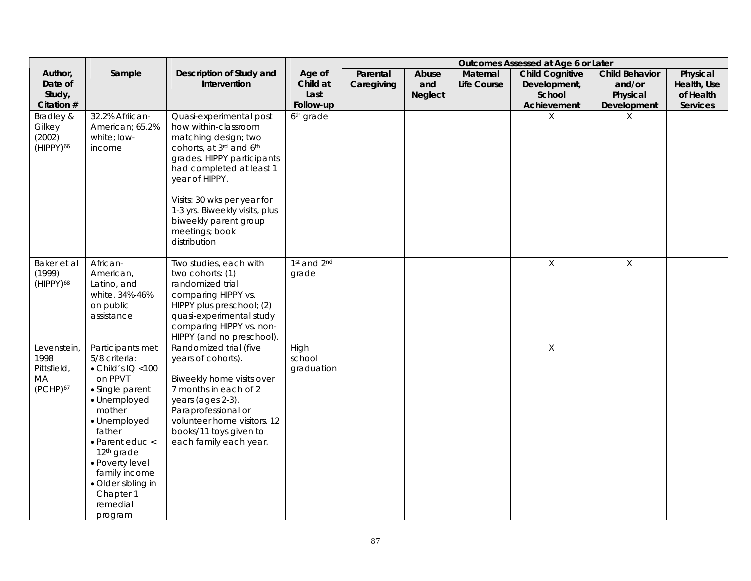|                                                                      |                                                                                                                                                                                                                                                                                                          |                                                                                                                                                                                                                                                                                                            | Outcomes Assessed at Age 6 or Later |                        |                                |                         |                                                  |                                             |                                      |
|----------------------------------------------------------------------|----------------------------------------------------------------------------------------------------------------------------------------------------------------------------------------------------------------------------------------------------------------------------------------------------------|------------------------------------------------------------------------------------------------------------------------------------------------------------------------------------------------------------------------------------------------------------------------------------------------------------|-------------------------------------|------------------------|--------------------------------|-------------------------|--------------------------------------------------|---------------------------------------------|--------------------------------------|
| Author,<br>Date of<br>Study,                                         | Sample                                                                                                                                                                                                                                                                                                   | Description of Study and<br>Intervention                                                                                                                                                                                                                                                                   | Age of<br>Child at<br>Last          | Parental<br>Caregiving | Abuse<br>and<br><b>Neglect</b> | Maternal<br>Life Course | <b>Child Cognitive</b><br>Development,<br>School | <b>Child Behavior</b><br>and/or<br>Physical | Physical<br>Health, Use<br>of Health |
| Citation #<br>Bradley &<br>Gilkey<br>(2002)<br>(HIPPY) <sup>66</sup> | 32.2% Afriican-<br>American; 65.2%<br>white: low-<br>income                                                                                                                                                                                                                                              | Quasi-experimental post<br>how within-classroom<br>matching design; two<br>cohorts, at 3rd and 6th<br>grades. HIPPY participants<br>had completed at least 1<br>year of HIPPY.<br>Visits: 30 wks per year for<br>1-3 yrs. Biweekly visits, plus<br>biweekly parent group<br>meetings; book<br>distribution | Follow-up<br>6 <sup>th</sup> grade  |                        |                                |                         | Achievement<br>X                                 | Development<br>X                            | Services                             |
| Baker et al<br>(1999)<br>(HIPPY) <sup>68</sup>                       | African-<br>American,<br>Latino, and<br>white. 34%-46%<br>on public<br>assistance                                                                                                                                                                                                                        | Two studies, each with<br>two cohorts: (1)<br>randomized trial<br>comparing HIPPY vs.<br>HIPPY plus preschool; (2)<br>quasi-experimental study<br>comparing HIPPY vs. non-<br>HIPPY (and no preschool).                                                                                                    | 1st and 2nd<br>grade                |                        |                                |                         | $\mathsf{X}$                                     | $\chi$                                      |                                      |
| Levenstein,<br>1998<br>Pittsfield,<br>MA<br>(PCHP) <sup>67</sup>     | Participants met<br>5/8 criteria:<br>$\bullet$ Child's IQ < 100<br>on PPVT<br>• Single parent<br>· Unemployed<br>mother<br>· Unemployed<br>father<br>$\bullet$ Parent educ $\lt$<br>12 <sup>th</sup> grade<br>· Poverty level<br>family income<br>· Older sibling in<br>Chapter 1<br>remedial<br>program | Randomized trial (five<br>years of cohorts).<br>Biweekly home visits over<br>7 months in each of 2<br>years (ages 2-3).<br>Paraprofessional or<br>volunteer home visitors. 12<br>books/11 toys given to<br>each family each year.                                                                          | High<br>school<br>graduation        |                        |                                |                         | $\mathsf X$                                      |                                             |                                      |